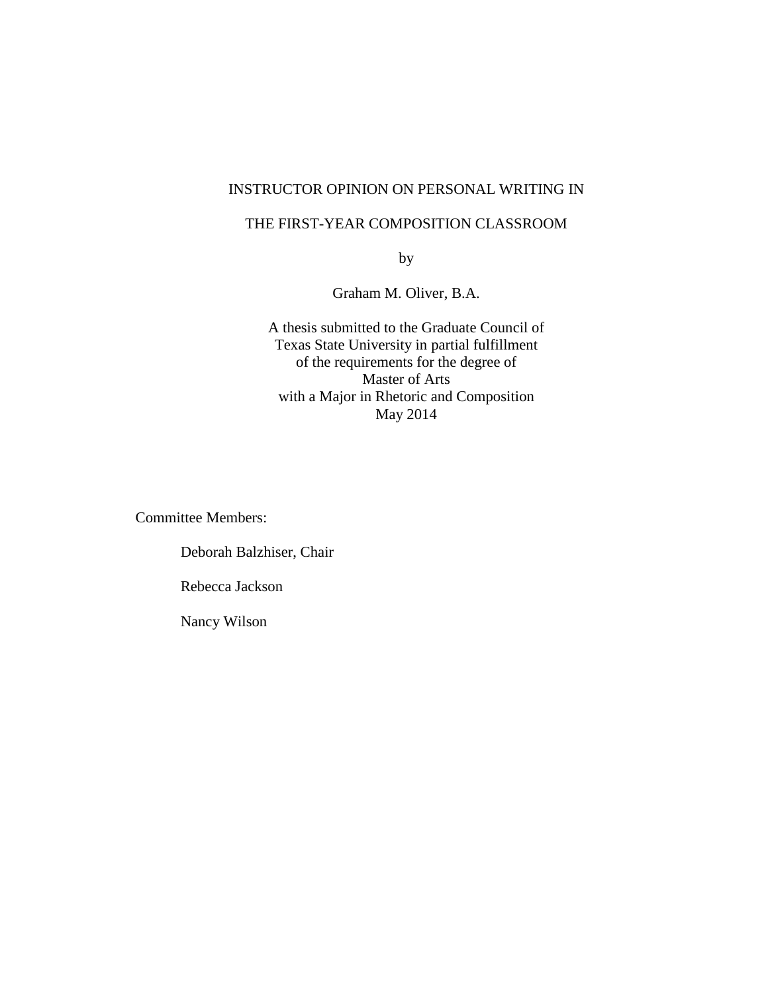## INSTRUCTOR OPINION ON PERSONAL WRITING IN

## THE FIRST-YEAR COMPOSITION CLASSROOM

by

Graham M. Oliver, B.A.

A thesis submitted to the Graduate Council of Texas State University in partial fulfillment of the requirements for the degree of Master of Arts with a Major in Rhetoric and Composition May 2014

Committee Members:

Deborah Balzhiser, Chair Rebecca Jackson Nancy Wilson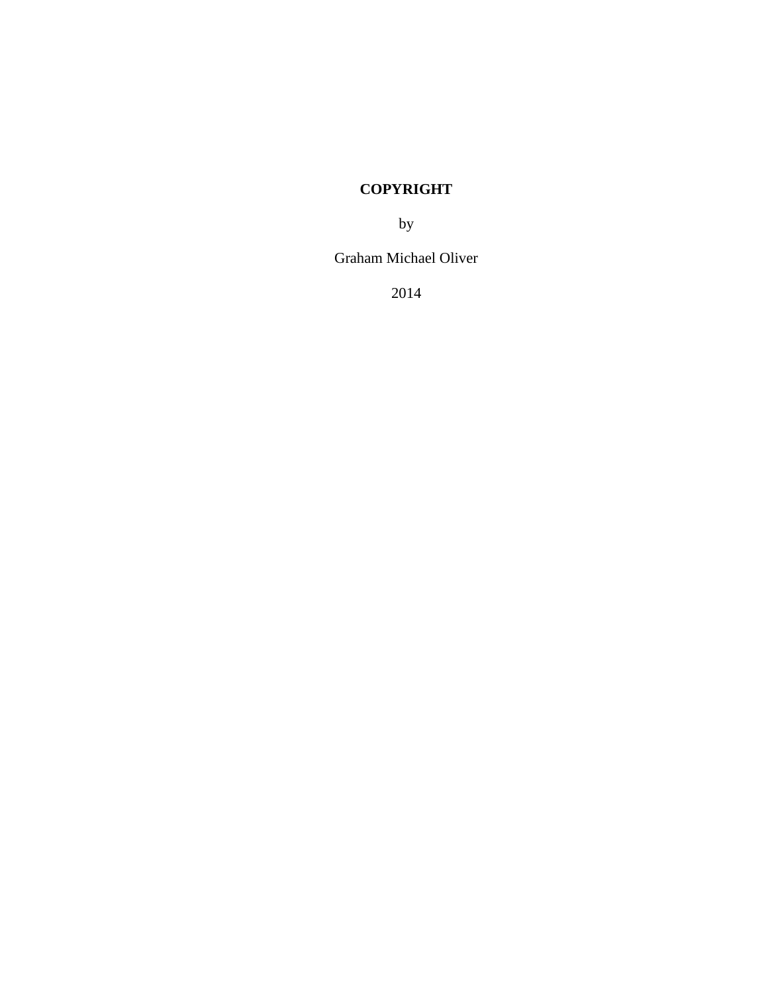# **COPYRIGHT**

by

Graham Michael Oliver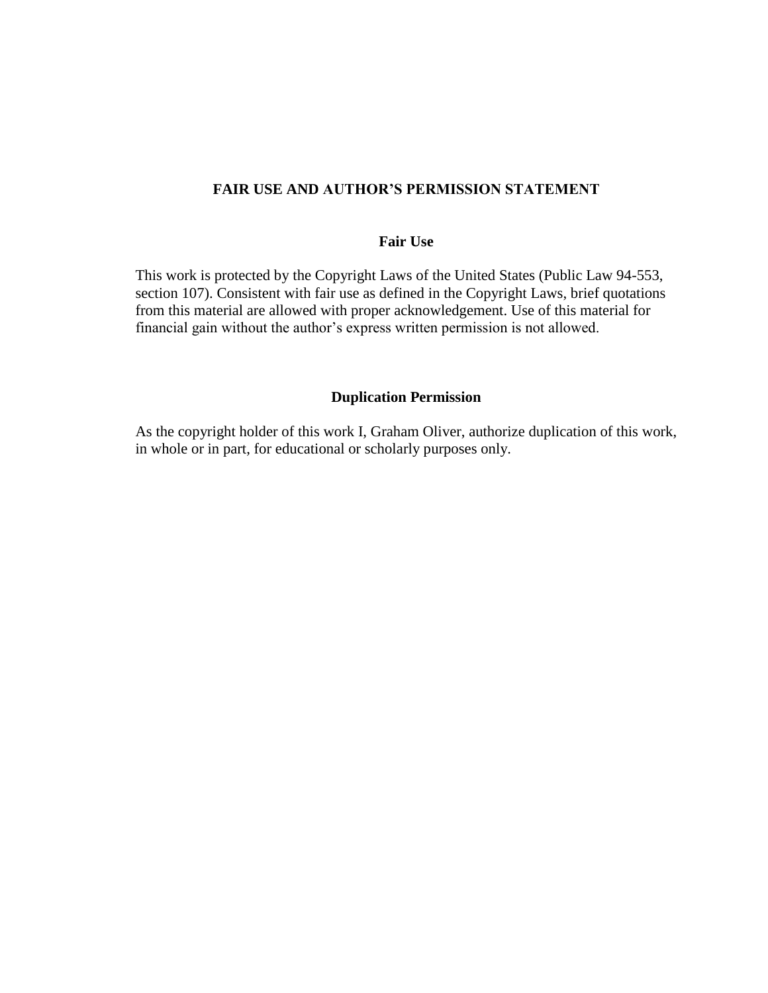## **FAIR USE AND AUTHOR'S PERMISSION STATEMENT**

## **Fair Use**

This work is protected by the Copyright Laws of the United States (Public Law 94-553, section 107). Consistent with fair use as defined in the Copyright Laws, brief quotations from this material are allowed with proper acknowledgement. Use of this material for financial gain without the author's express written permission is not allowed.

#### **Duplication Permission**

As the copyright holder of this work I, Graham Oliver, authorize duplication of this work, in whole or in part, for educational or scholarly purposes only.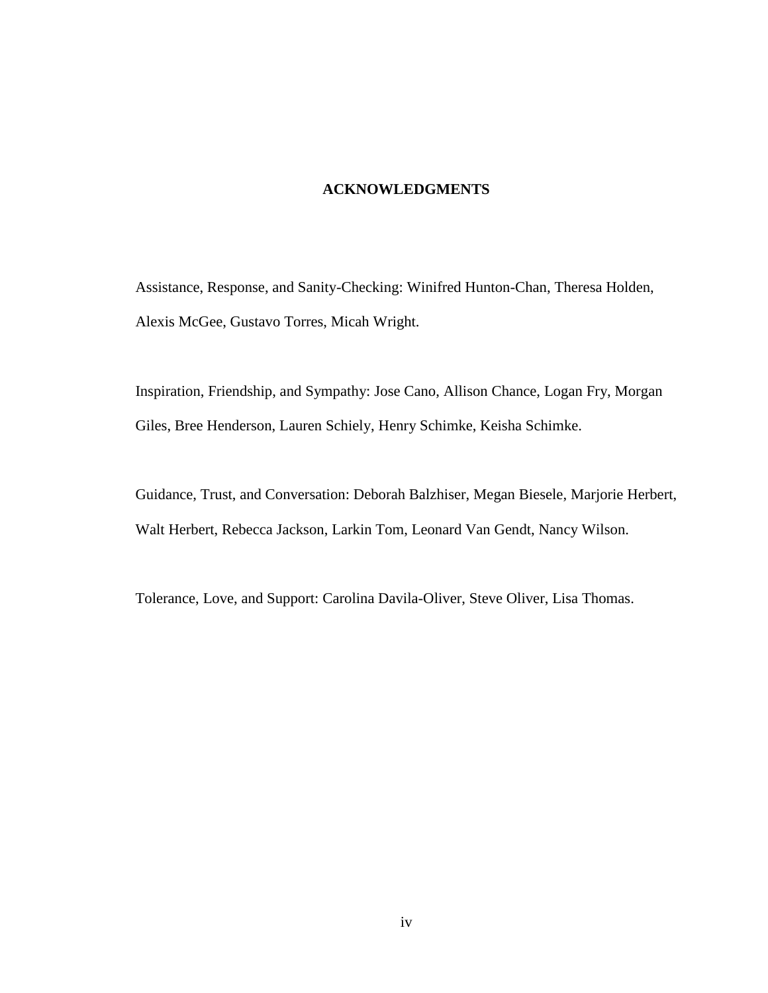## **ACKNOWLEDGMENTS**

Assistance, Response, and Sanity-Checking: Winifred Hunton-Chan, Theresa Holden, Alexis McGee, Gustavo Torres, Micah Wright.

Inspiration, Friendship, and Sympathy: Jose Cano, Allison Chance, Logan Fry, Morgan Giles, Bree Henderson, Lauren Schiely, Henry Schimke, Keisha Schimke.

Guidance, Trust, and Conversation: Deborah Balzhiser, Megan Biesele, Marjorie Herbert, Walt Herbert, Rebecca Jackson, Larkin Tom, Leonard Van Gendt, Nancy Wilson.

Tolerance, Love, and Support: Carolina Davila-Oliver, Steve Oliver, Lisa Thomas.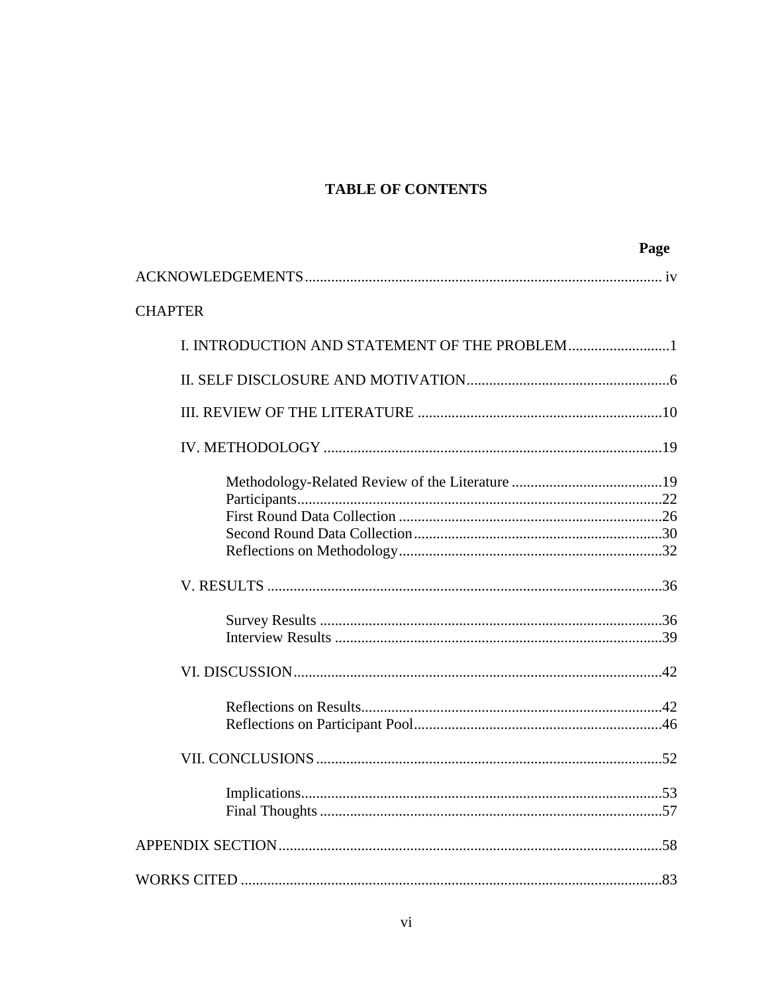## **TABLE OF CONTENTS**

|                                               | Page |
|-----------------------------------------------|------|
|                                               |      |
| <b>CHAPTER</b>                                |      |
| I. INTRODUCTION AND STATEMENT OF THE PROBLEM1 |      |
|                                               |      |
|                                               |      |
|                                               |      |
|                                               |      |
|                                               |      |
|                                               |      |
|                                               |      |
|                                               |      |
|                                               |      |
|                                               |      |
|                                               |      |
|                                               |      |
|                                               |      |
|                                               |      |
|                                               |      |
|                                               |      |
|                                               |      |
|                                               |      |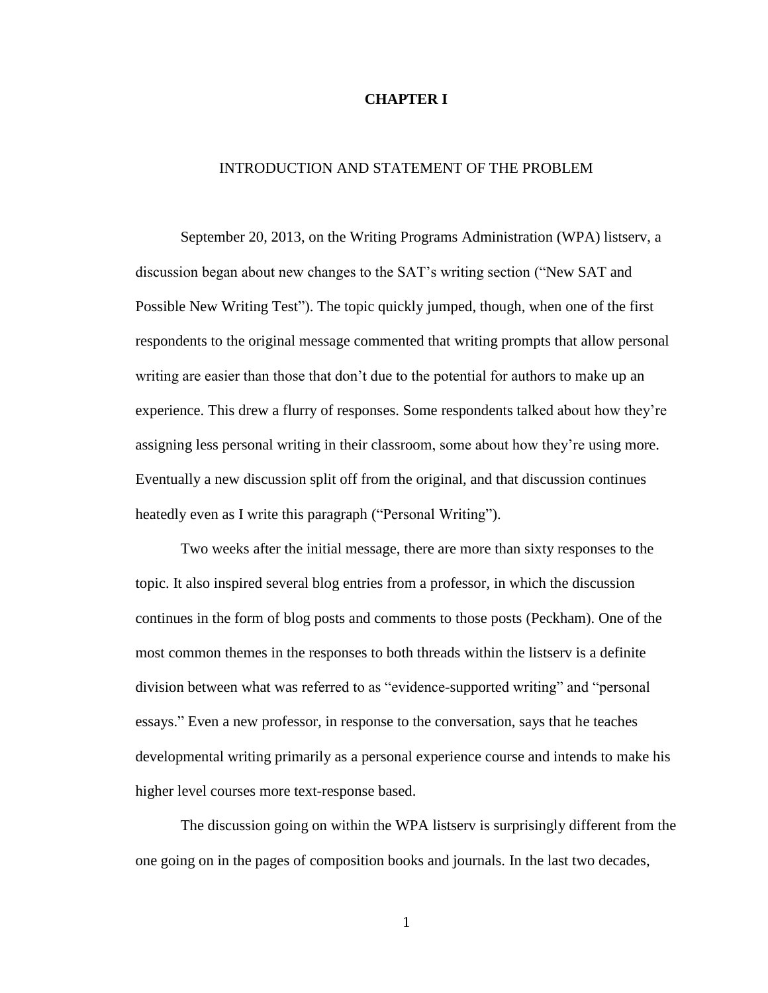#### **CHAPTER I**

## INTRODUCTION AND STATEMENT OF THE PROBLEM

September 20, 2013, on the Writing Programs Administration (WPA) listserv, a discussion began about new changes to the SAT's writing section ("New SAT and Possible New Writing Test"). The topic quickly jumped, though, when one of the first respondents to the original message commented that writing prompts that allow personal writing are easier than those that don't due to the potential for authors to make up an experience. This drew a flurry of responses. Some respondents talked about how they're assigning less personal writing in their classroom, some about how they're using more. Eventually a new discussion split off from the original, and that discussion continues heatedly even as I write this paragraph ("Personal Writing").

Two weeks after the initial message, there are more than sixty responses to the topic. It also inspired several blog entries from a professor, in which the discussion continues in the form of blog posts and comments to those posts (Peckham). One of the most common themes in the responses to both threads within the listserv is a definite division between what was referred to as "evidence-supported writing" and "personal essays." Even a new professor, in response to the conversation, says that he teaches developmental writing primarily as a personal experience course and intends to make his higher level courses more text-response based.

The discussion going on within the WPA listserv is surprisingly different from the one going on in the pages of composition books and journals. In the last two decades,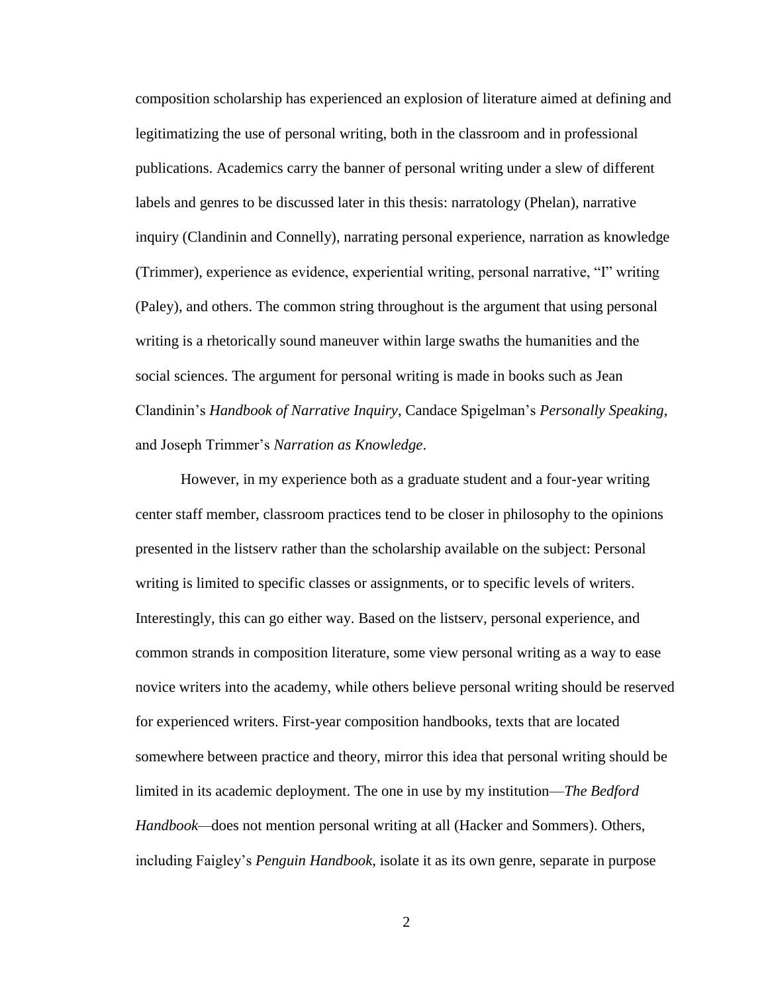composition scholarship has experienced an explosion of literature aimed at defining and legitimatizing the use of personal writing, both in the classroom and in professional publications. Academics carry the banner of personal writing under a slew of different labels and genres to be discussed later in this thesis: narratology (Phelan), narrative inquiry (Clandinin and Connelly), narrating personal experience, narration as knowledge (Trimmer), experience as evidence, experiential writing, personal narrative, "I" writing (Paley), and others. The common string throughout is the argument that using personal writing is a rhetorically sound maneuver within large swaths the humanities and the social sciences. The argument for personal writing is made in books such as Jean Clandinin's *Handbook of Narrative Inquiry*, Candace Spigelman's *Personally Speaking*, and Joseph Trimmer's *Narration as Knowledge*.

However, in my experience both as a graduate student and a four-year writing center staff member, classroom practices tend to be closer in philosophy to the opinions presented in the listserv rather than the scholarship available on the subject: Personal writing is limited to specific classes or assignments, or to specific levels of writers. Interestingly, this can go either way. Based on the listserv, personal experience, and common strands in composition literature, some view personal writing as a way to ease novice writers into the academy, while others believe personal writing should be reserved for experienced writers. First-year composition handbooks, texts that are located somewhere between practice and theory, mirror this idea that personal writing should be limited in its academic deployment. The one in use by my institution—*The Bedford Handbook—*does not mention personal writing at all (Hacker and Sommers). Others, including Faigley's *Penguin Handbook*, isolate it as its own genre, separate in purpose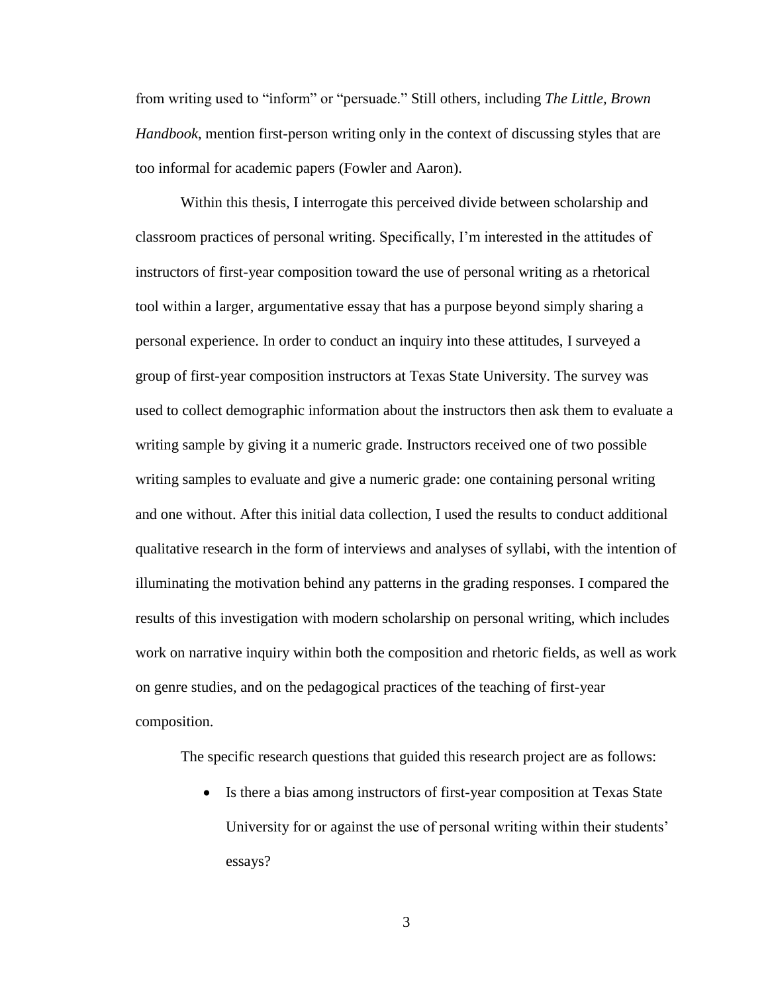from writing used to "inform" or "persuade." Still others, including *The Little, Brown Handbook*, mention first-person writing only in the context of discussing styles that are too informal for academic papers (Fowler and Aaron).

Within this thesis, I interrogate this perceived divide between scholarship and classroom practices of personal writing. Specifically, I'm interested in the attitudes of instructors of first-year composition toward the use of personal writing as a rhetorical tool within a larger, argumentative essay that has a purpose beyond simply sharing a personal experience. In order to conduct an inquiry into these attitudes, I surveyed a group of first-year composition instructors at Texas State University. The survey was used to collect demographic information about the instructors then ask them to evaluate a writing sample by giving it a numeric grade. Instructors received one of two possible writing samples to evaluate and give a numeric grade: one containing personal writing and one without. After this initial data collection, I used the results to conduct additional qualitative research in the form of interviews and analyses of syllabi, with the intention of illuminating the motivation behind any patterns in the grading responses. I compared the results of this investigation with modern scholarship on personal writing, which includes work on narrative inquiry within both the composition and rhetoric fields, as well as work on genre studies, and on the pedagogical practices of the teaching of first-year composition.

The specific research questions that guided this research project are as follows:

 Is there a bias among instructors of first-year composition at Texas State University for or against the use of personal writing within their students' essays?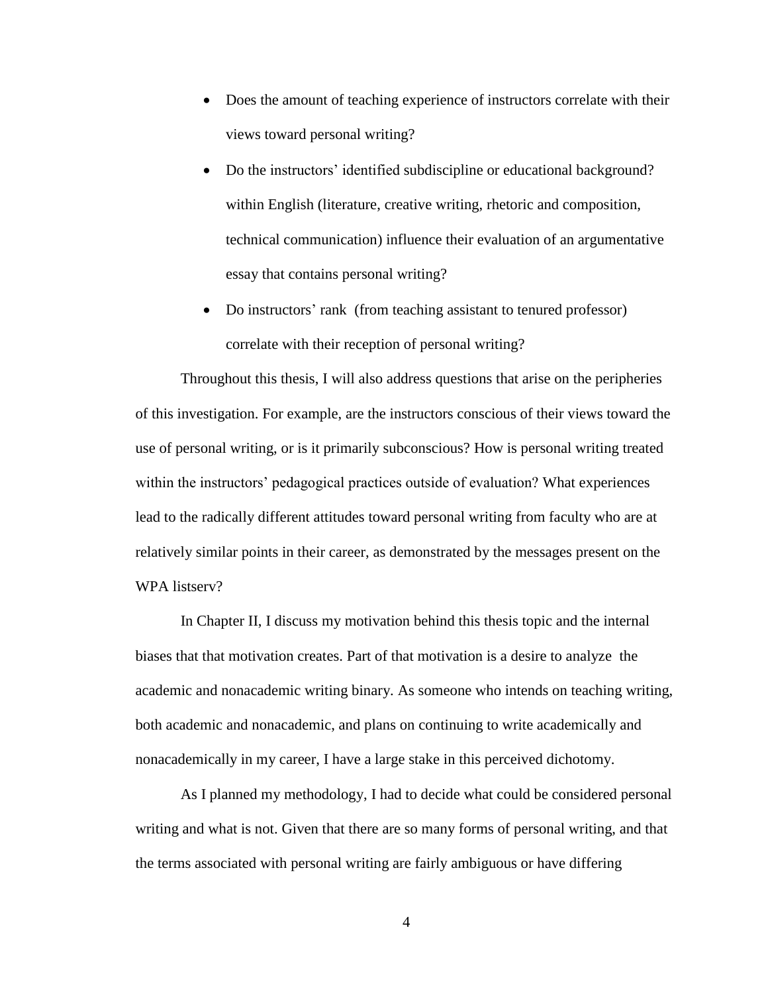- Does the amount of teaching experience of instructors correlate with their views toward personal writing?
- Do the instructors' identified subdiscipline or educational background? within English (literature, creative writing, rhetoric and composition, technical communication) influence their evaluation of an argumentative essay that contains personal writing?
- Do instructors' rank (from teaching assistant to tenured professor) correlate with their reception of personal writing?

Throughout this thesis, I will also address questions that arise on the peripheries of this investigation. For example, are the instructors conscious of their views toward the use of personal writing, or is it primarily subconscious? How is personal writing treated within the instructors' pedagogical practices outside of evaluation? What experiences lead to the radically different attitudes toward personal writing from faculty who are at relatively similar points in their career, as demonstrated by the messages present on the WPA listserv?

In Chapter II, I discuss my motivation behind this thesis topic and the internal biases that that motivation creates. Part of that motivation is a desire to analyze the academic and nonacademic writing binary. As someone who intends on teaching writing, both academic and nonacademic, and plans on continuing to write academically and nonacademically in my career, I have a large stake in this perceived dichotomy.

As I planned my methodology, I had to decide what could be considered personal writing and what is not. Given that there are so many forms of personal writing, and that the terms associated with personal writing are fairly ambiguous or have differing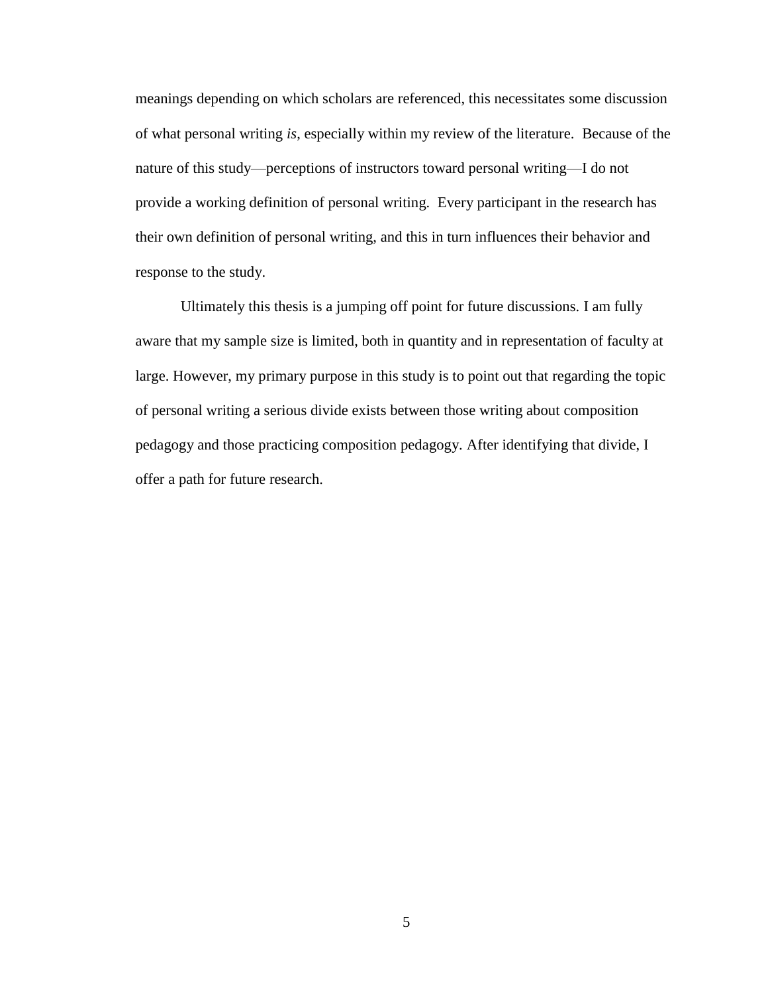meanings depending on which scholars are referenced, this necessitates some discussion of what personal writing *is*, especially within my review of the literature. Because of the nature of this study—perceptions of instructors toward personal writing—I do not provide a working definition of personal writing. Every participant in the research has their own definition of personal writing, and this in turn influences their behavior and response to the study.

Ultimately this thesis is a jumping off point for future discussions. I am fully aware that my sample size is limited, both in quantity and in representation of faculty at large. However, my primary purpose in this study is to point out that regarding the topic of personal writing a serious divide exists between those writing about composition pedagogy and those practicing composition pedagogy. After identifying that divide, I offer a path for future research.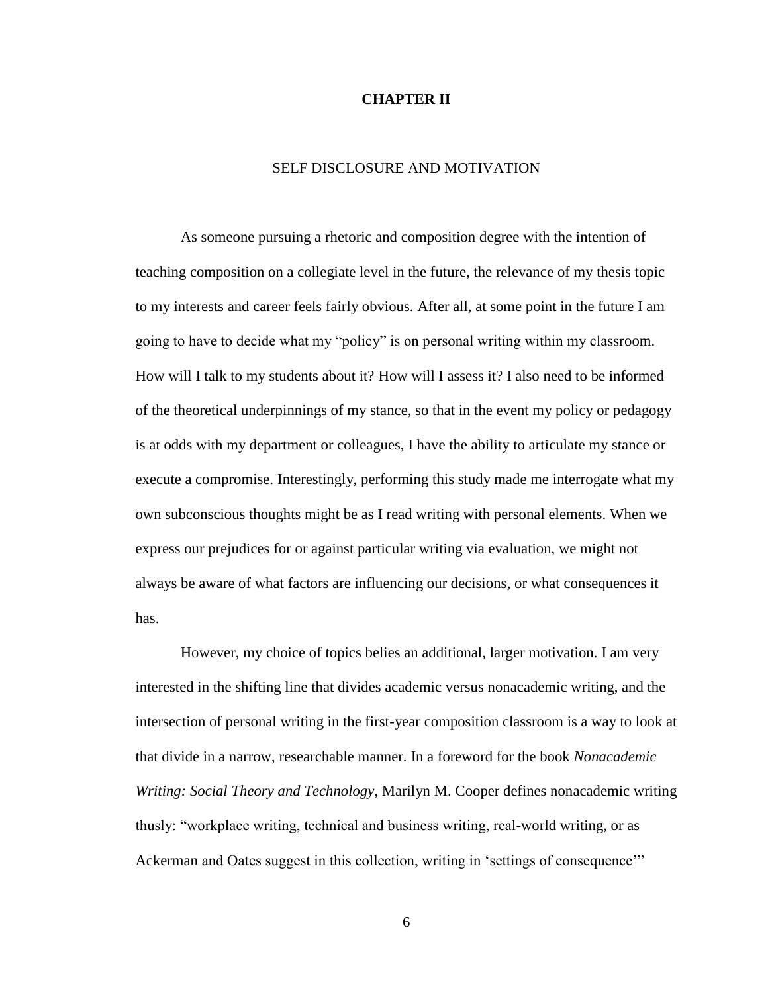#### **CHAPTER II**

## SELF DISCLOSURE AND MOTIVATION

As someone pursuing a rhetoric and composition degree with the intention of teaching composition on a collegiate level in the future, the relevance of my thesis topic to my interests and career feels fairly obvious. After all, at some point in the future I am going to have to decide what my "policy" is on personal writing within my classroom. How will I talk to my students about it? How will I assess it? I also need to be informed of the theoretical underpinnings of my stance, so that in the event my policy or pedagogy is at odds with my department or colleagues, I have the ability to articulate my stance or execute a compromise. Interestingly, performing this study made me interrogate what my own subconscious thoughts might be as I read writing with personal elements. When we express our prejudices for or against particular writing via evaluation, we might not always be aware of what factors are influencing our decisions, or what consequences it has.

However, my choice of topics belies an additional, larger motivation. I am very interested in the shifting line that divides academic versus nonacademic writing, and the intersection of personal writing in the first-year composition classroom is a way to look at that divide in a narrow, researchable manner. In a foreword for the book *Nonacademic Writing: Social Theory and Technology*, Marilyn M. Cooper defines nonacademic writing thusly: "workplace writing, technical and business writing, real-world writing, or as Ackerman and Oates suggest in this collection, writing in 'settings of consequence'"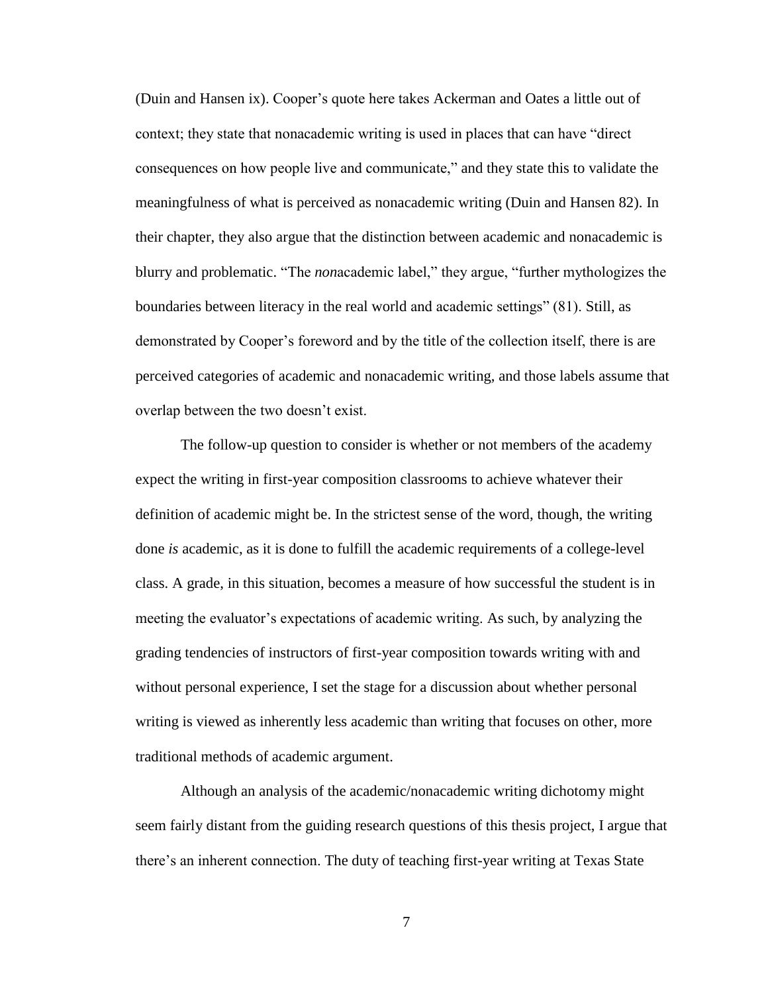(Duin and Hansen ix). Cooper's quote here takes Ackerman and Oates a little out of context; they state that nonacademic writing is used in places that can have "direct consequences on how people live and communicate," and they state this to validate the meaningfulness of what is perceived as nonacademic writing (Duin and Hansen 82). In their chapter, they also argue that the distinction between academic and nonacademic is blurry and problematic. "The *non*academic label," they argue, "further mythologizes the boundaries between literacy in the real world and academic settings" (81). Still, as demonstrated by Cooper's foreword and by the title of the collection itself, there is are perceived categories of academic and nonacademic writing, and those labels assume that overlap between the two doesn't exist.

The follow-up question to consider is whether or not members of the academy expect the writing in first-year composition classrooms to achieve whatever their definition of academic might be. In the strictest sense of the word, though, the writing done *is* academic, as it is done to fulfill the academic requirements of a college-level class. A grade, in this situation, becomes a measure of how successful the student is in meeting the evaluator's expectations of academic writing. As such, by analyzing the grading tendencies of instructors of first-year composition towards writing with and without personal experience, I set the stage for a discussion about whether personal writing is viewed as inherently less academic than writing that focuses on other, more traditional methods of academic argument.

Although an analysis of the academic/nonacademic writing dichotomy might seem fairly distant from the guiding research questions of this thesis project, I argue that there's an inherent connection. The duty of teaching first-year writing at Texas State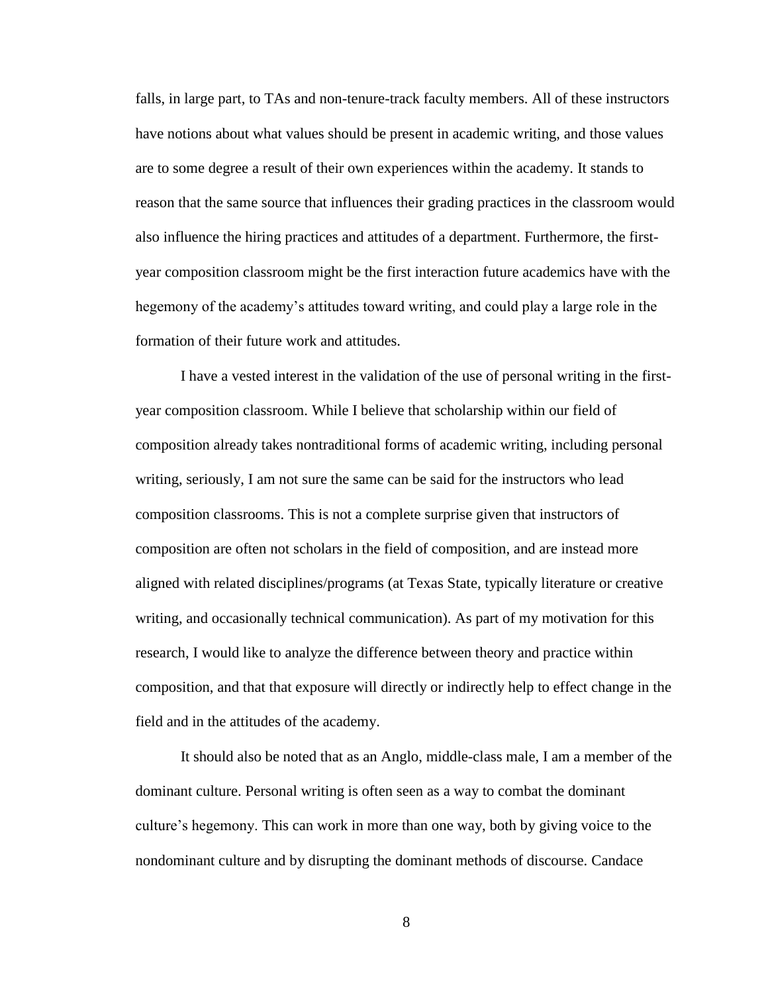falls, in large part, to TAs and non-tenure-track faculty members. All of these instructors have notions about what values should be present in academic writing, and those values are to some degree a result of their own experiences within the academy. It stands to reason that the same source that influences their grading practices in the classroom would also influence the hiring practices and attitudes of a department. Furthermore, the firstyear composition classroom might be the first interaction future academics have with the hegemony of the academy's attitudes toward writing, and could play a large role in the formation of their future work and attitudes.

I have a vested interest in the validation of the use of personal writing in the firstyear composition classroom. While I believe that scholarship within our field of composition already takes nontraditional forms of academic writing, including personal writing, seriously, I am not sure the same can be said for the instructors who lead composition classrooms. This is not a complete surprise given that instructors of composition are often not scholars in the field of composition, and are instead more aligned with related disciplines/programs (at Texas State, typically literature or creative writing, and occasionally technical communication). As part of my motivation for this research, I would like to analyze the difference between theory and practice within composition, and that that exposure will directly or indirectly help to effect change in the field and in the attitudes of the academy.

It should also be noted that as an Anglo, middle-class male, I am a member of the dominant culture. Personal writing is often seen as a way to combat the dominant culture's hegemony. This can work in more than one way, both by giving voice to the nondominant culture and by disrupting the dominant methods of discourse. Candace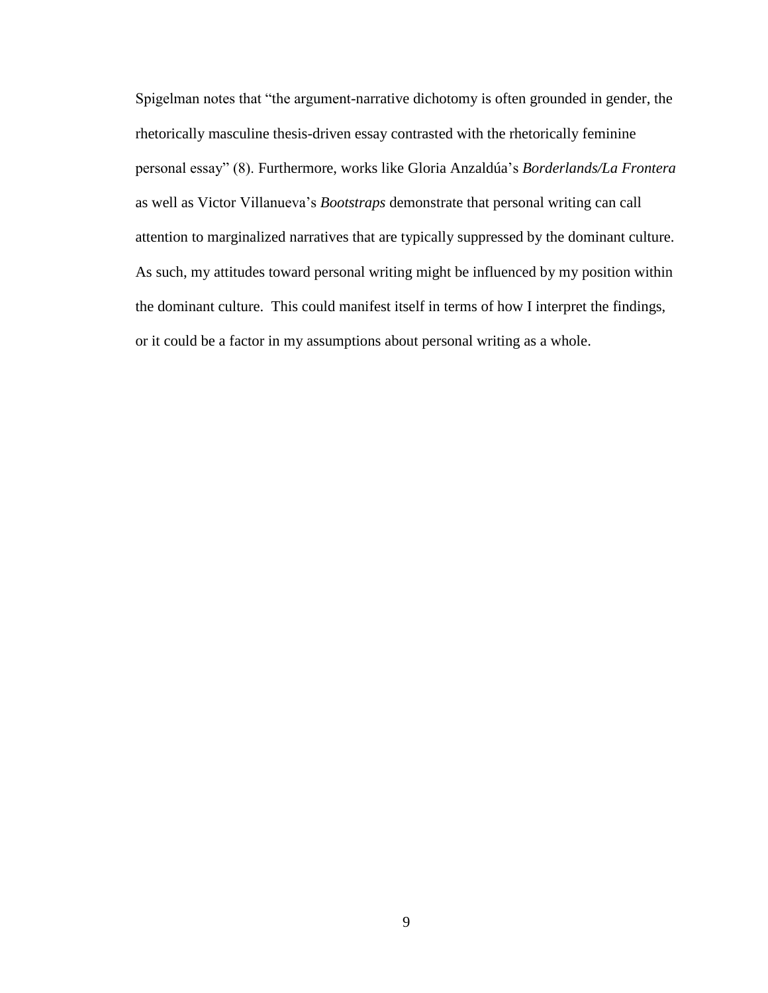Spigelman notes that "the argument-narrative dichotomy is often grounded in gender, the rhetorically masculine thesis-driven essay contrasted with the rhetorically feminine personal essay" (8). Furthermore, works like Gloria Anzaldúa's *Borderlands/La Frontera* as well as Victor Villanueva's *Bootstraps* demonstrate that personal writing can call attention to marginalized narratives that are typically suppressed by the dominant culture. As such, my attitudes toward personal writing might be influenced by my position within the dominant culture. This could manifest itself in terms of how I interpret the findings, or it could be a factor in my assumptions about personal writing as a whole.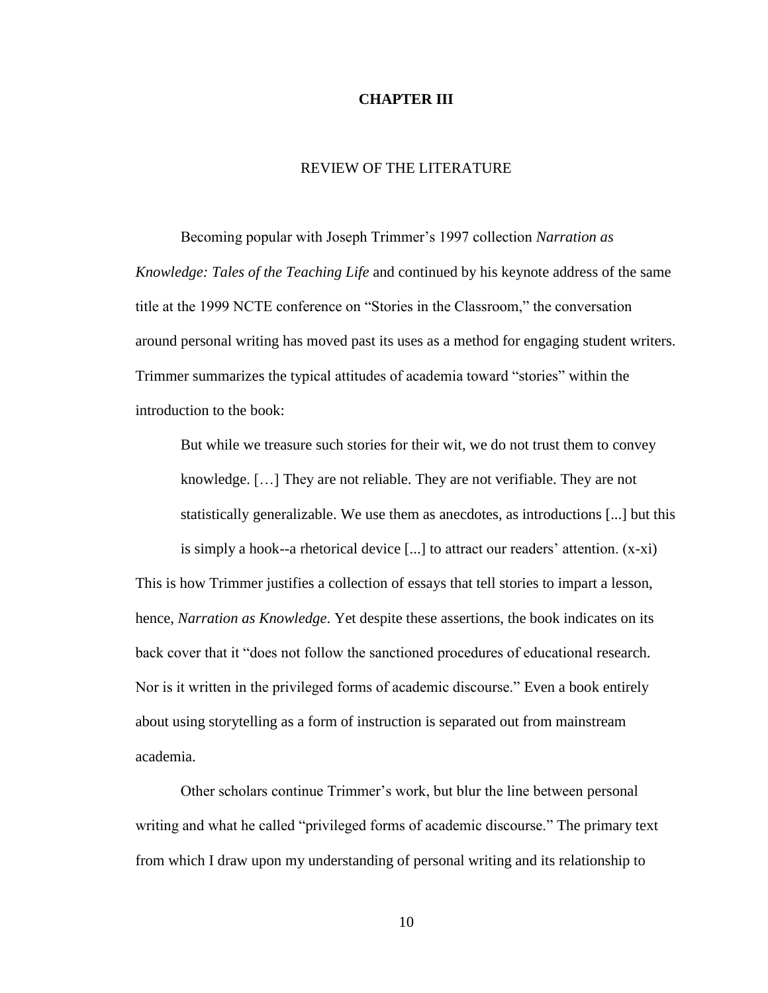#### **CHAPTER III**

## REVIEW OF THE LITERATURE

Becoming popular with Joseph Trimmer's 1997 collection *Narration as Knowledge: Tales of the Teaching Life* and continued by his keynote address of the same title at the 1999 NCTE conference on "Stories in the Classroom," the conversation around personal writing has moved past its uses as a method for engaging student writers. Trimmer summarizes the typical attitudes of academia toward "stories" within the introduction to the book:

But while we treasure such stories for their wit, we do not trust them to convey knowledge. […] They are not reliable. They are not verifiable. They are not statistically generalizable. We use them as anecdotes, as introductions [...] but this is simply a hook--a rhetorical device  $[\dots]$  to attract our readers' attention.  $(x-xi)$ 

This is how Trimmer justifies a collection of essays that tell stories to impart a lesson, hence, *Narration as Knowledge*. Yet despite these assertions, the book indicates on its back cover that it "does not follow the sanctioned procedures of educational research. Nor is it written in the privileged forms of academic discourse." Even a book entirely about using storytelling as a form of instruction is separated out from mainstream academia.

Other scholars continue Trimmer's work, but blur the line between personal writing and what he called "privileged forms of academic discourse." The primary text from which I draw upon my understanding of personal writing and its relationship to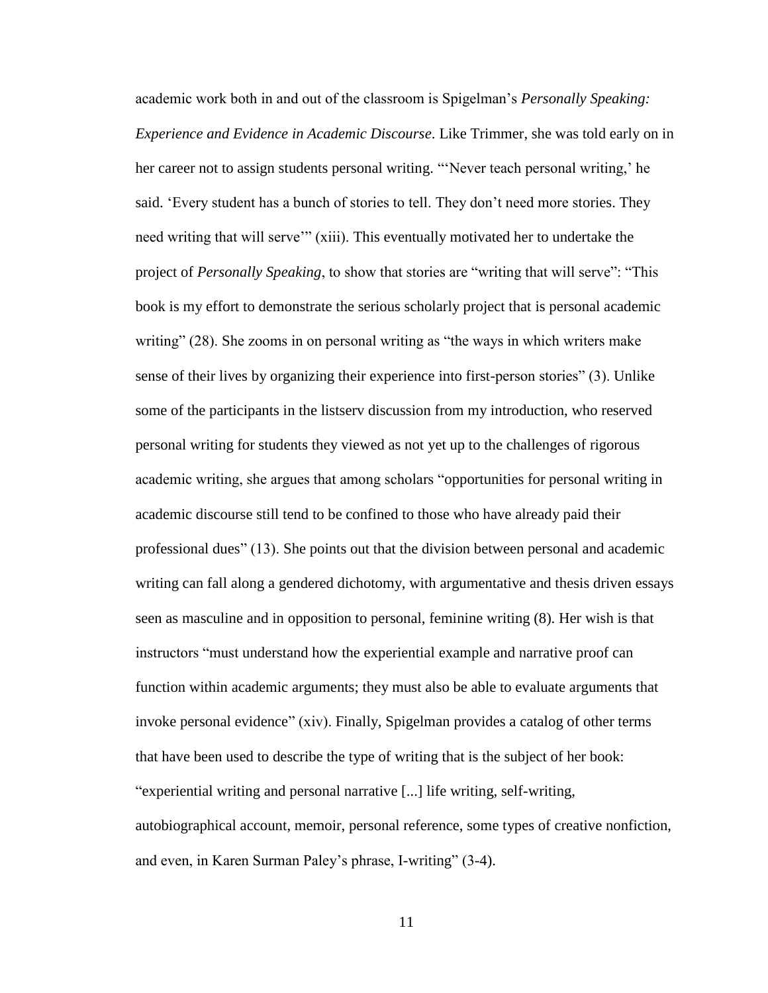academic work both in and out of the classroom is Spigelman's *Personally Speaking: Experience and Evidence in Academic Discourse*. Like Trimmer, she was told early on in her career not to assign students personal writing. "'Never teach personal writing,' he said. 'Every student has a bunch of stories to tell. They don't need more stories. They need writing that will serve'" (xiii). This eventually motivated her to undertake the project of *Personally Speaking*, to show that stories are "writing that will serve": "This book is my effort to demonstrate the serious scholarly project that is personal academic writing" (28). She zooms in on personal writing as "the ways in which writers make sense of their lives by organizing their experience into first-person stories" (3). Unlike some of the participants in the listserv discussion from my introduction, who reserved personal writing for students they viewed as not yet up to the challenges of rigorous academic writing, she argues that among scholars "opportunities for personal writing in academic discourse still tend to be confined to those who have already paid their professional dues" (13). She points out that the division between personal and academic writing can fall along a gendered dichotomy, with argumentative and thesis driven essays seen as masculine and in opposition to personal, feminine writing (8). Her wish is that instructors "must understand how the experiential example and narrative proof can function within academic arguments; they must also be able to evaluate arguments that invoke personal evidence" (xiv). Finally, Spigelman provides a catalog of other terms that have been used to describe the type of writing that is the subject of her book: "experiential writing and personal narrative [...] life writing, self-writing, autobiographical account, memoir, personal reference, some types of creative nonfiction, and even, in Karen Surman Paley's phrase, I-writing" (3-4).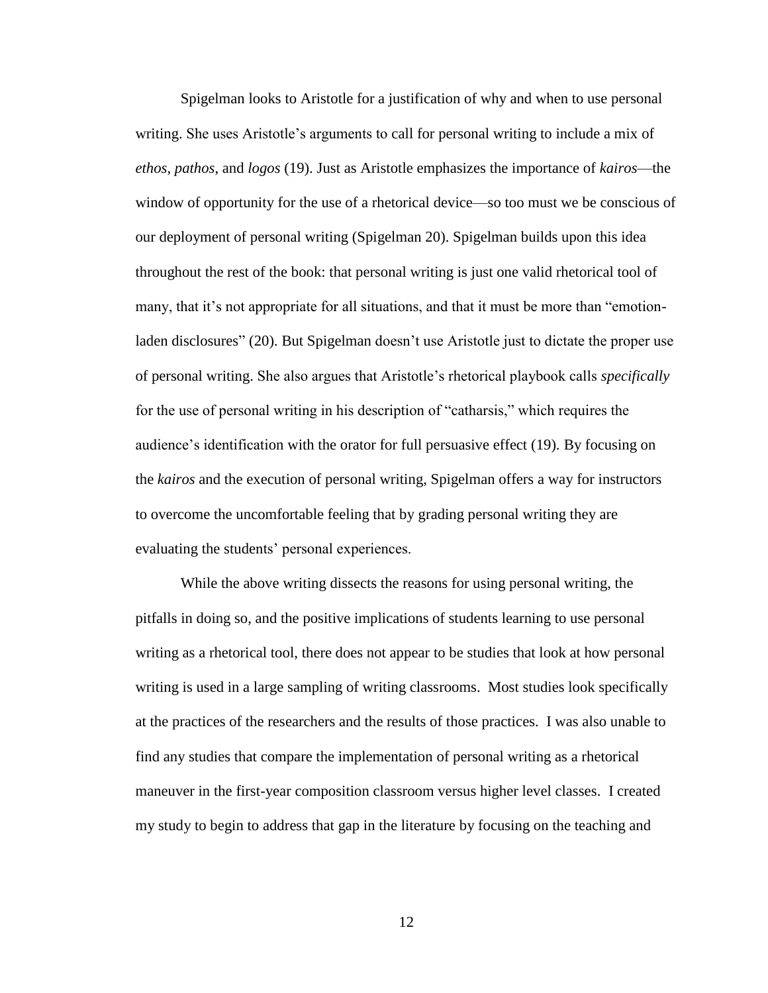Spigelman looks to Aristotle for a justification of why and when to use personal writing. She uses Aristotle's arguments to call for personal writing to include a mix of *ethos*, *pathos*, and *logos* (19). Just as Aristotle emphasizes the importance of *kairos*—the window of opportunity for the use of a rhetorical device—so too must we be conscious of our deployment of personal writing (Spigelman 20). Spigelman builds upon this idea throughout the rest of the book: that personal writing is just one valid rhetorical tool of many, that it's not appropriate for all situations, and that it must be more than "emotionladen disclosures" (20). But Spigelman doesn't use Aristotle just to dictate the proper use of personal writing. She also argues that Aristotle's rhetorical playbook calls *specifically* for the use of personal writing in his description of "catharsis," which requires the audience's identification with the orator for full persuasive effect (19). By focusing on the *kairos* and the execution of personal writing, Spigelman offers a way for instructors to overcome the uncomfortable feeling that by grading personal writing they are evaluating the students' personal experiences.

While the above writing dissects the reasons for using personal writing, the pitfalls in doing so, and the positive implications of students learning to use personal writing as a rhetorical tool, there does not appear to be studies that look at how personal writing is used in a large sampling of writing classrooms. Most studies look specifically at the practices of the researchers and the results of those practices. I was also unable to find any studies that compare the implementation of personal writing as a rhetorical maneuver in the first-year composition classroom versus higher level classes. I created my study to begin to address that gap in the literature by focusing on the teaching and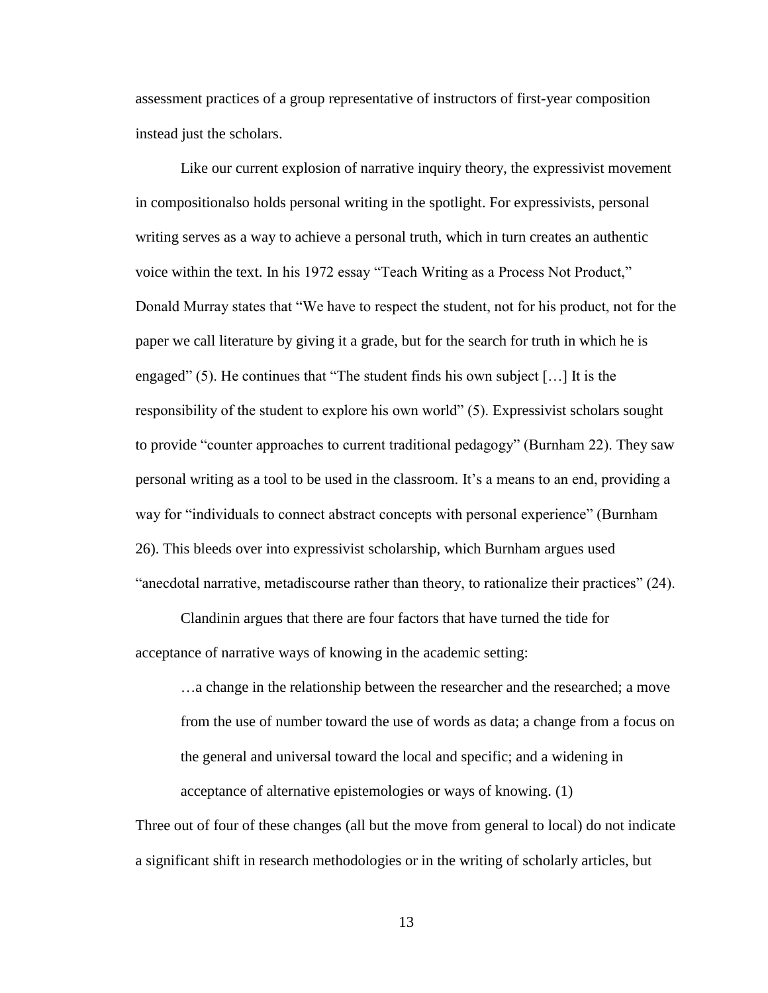assessment practices of a group representative of instructors of first-year composition instead just the scholars.

Like our current explosion of narrative inquiry theory, the expressivist movement in compositionalso holds personal writing in the spotlight. For expressivists, personal writing serves as a way to achieve a personal truth, which in turn creates an authentic voice within the text. In his 1972 essay "Teach Writing as a Process Not Product," Donald Murray states that "We have to respect the student, not for his product, not for the paper we call literature by giving it a grade, but for the search for truth in which he is engaged" (5). He continues that "The student finds his own subject […] It is the responsibility of the student to explore his own world" (5). Expressivist scholars sought to provide "counter approaches to current traditional pedagogy" (Burnham 22). They saw personal writing as a tool to be used in the classroom. It's a means to an end, providing a way for "individuals to connect abstract concepts with personal experience" (Burnham 26). This bleeds over into expressivist scholarship, which Burnham argues used "anecdotal narrative, metadiscourse rather than theory, to rationalize their practices" (24).

Clandinin argues that there are four factors that have turned the tide for acceptance of narrative ways of knowing in the academic setting:

…a change in the relationship between the researcher and the researched; a move from the use of number toward the use of words as data; a change from a focus on the general and universal toward the local and specific; and a widening in acceptance of alternative epistemologies or ways of knowing. (1)

Three out of four of these changes (all but the move from general to local) do not indicate a significant shift in research methodologies or in the writing of scholarly articles, but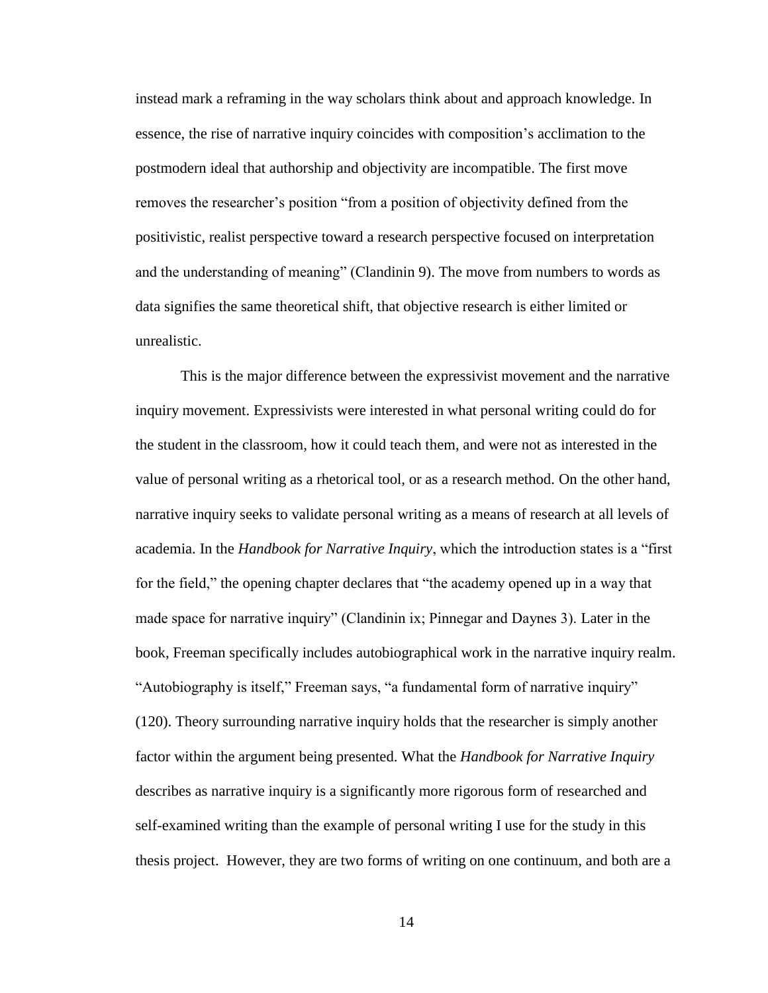instead mark a reframing in the way scholars think about and approach knowledge. In essence, the rise of narrative inquiry coincides with composition's acclimation to the postmodern ideal that authorship and objectivity are incompatible. The first move removes the researcher's position "from a position of objectivity defined from the positivistic, realist perspective toward a research perspective focused on interpretation and the understanding of meaning" (Clandinin 9). The move from numbers to words as data signifies the same theoretical shift, that objective research is either limited or unrealistic.

This is the major difference between the expressivist movement and the narrative inquiry movement. Expressivists were interested in what personal writing could do for the student in the classroom, how it could teach them, and were not as interested in the value of personal writing as a rhetorical tool, or as a research method. On the other hand, narrative inquiry seeks to validate personal writing as a means of research at all levels of academia. In the *Handbook for Narrative Inquiry*, which the introduction states is a "first for the field," the opening chapter declares that "the academy opened up in a way that made space for narrative inquiry" (Clandinin ix; Pinnegar and Daynes 3). Later in the book, Freeman specifically includes autobiographical work in the narrative inquiry realm. "Autobiography is itself," Freeman says, "a fundamental form of narrative inquiry" (120). Theory surrounding narrative inquiry holds that the researcher is simply another factor within the argument being presented. What the *Handbook for Narrative Inquiry* describes as narrative inquiry is a significantly more rigorous form of researched and self-examined writing than the example of personal writing I use for the study in this thesis project. However, they are two forms of writing on one continuum, and both are a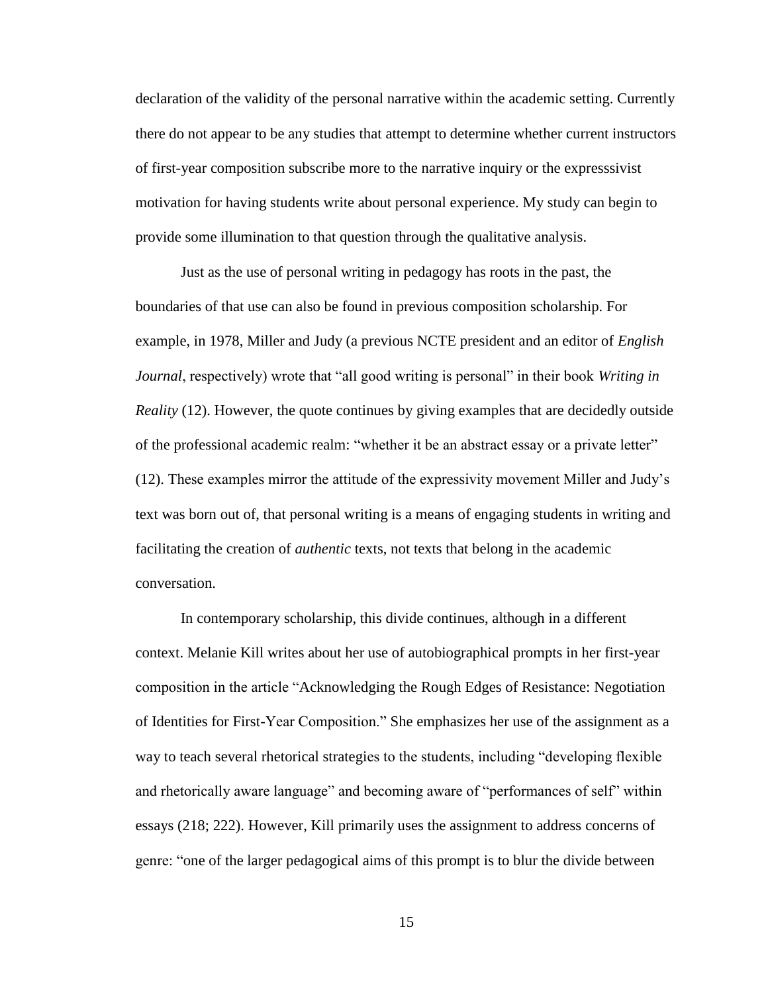declaration of the validity of the personal narrative within the academic setting. Currently there do not appear to be any studies that attempt to determine whether current instructors of first-year composition subscribe more to the narrative inquiry or the expresssivist motivation for having students write about personal experience. My study can begin to provide some illumination to that question through the qualitative analysis.

Just as the use of personal writing in pedagogy has roots in the past, the boundaries of that use can also be found in previous composition scholarship. For example, in 1978, Miller and Judy (a previous NCTE president and an editor of *English Journal*, respectively) wrote that "all good writing is personal" in their book *Writing in Reality* (12). However, the quote continues by giving examples that are decidedly outside of the professional academic realm: "whether it be an abstract essay or a private letter" (12). These examples mirror the attitude of the expressivity movement Miller and Judy's text was born out of, that personal writing is a means of engaging students in writing and facilitating the creation of *authentic* texts, not texts that belong in the academic conversation.

In contemporary scholarship, this divide continues, although in a different context. Melanie Kill writes about her use of autobiographical prompts in her first-year composition in the article "Acknowledging the Rough Edges of Resistance: Negotiation of Identities for First-Year Composition." She emphasizes her use of the assignment as a way to teach several rhetorical strategies to the students, including "developing flexible and rhetorically aware language" and becoming aware of "performances of self" within essays (218; 222). However, Kill primarily uses the assignment to address concerns of genre: "one of the larger pedagogical aims of this prompt is to blur the divide between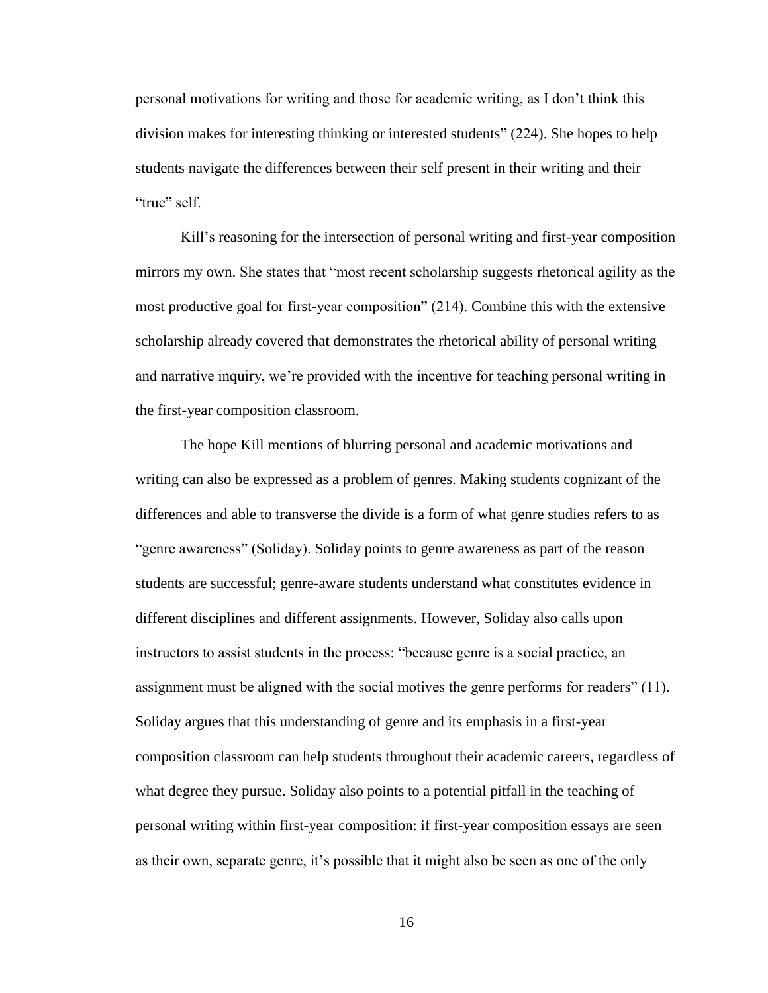personal motivations for writing and those for academic writing, as I don't think this division makes for interesting thinking or interested students" (224). She hopes to help students navigate the differences between their self present in their writing and their "true" self

Kill's reasoning for the intersection of personal writing and first-year composition mirrors my own. She states that "most recent scholarship suggests rhetorical agility as the most productive goal for first-year composition" (214). Combine this with the extensive scholarship already covered that demonstrates the rhetorical ability of personal writing and narrative inquiry, we're provided with the incentive for teaching personal writing in the first-year composition classroom.

The hope Kill mentions of blurring personal and academic motivations and writing can also be expressed as a problem of genres. Making students cognizant of the differences and able to transverse the divide is a form of what genre studies refers to as "genre awareness" (Soliday). Soliday points to genre awareness as part of the reason students are successful; genre-aware students understand what constitutes evidence in different disciplines and different assignments. However, Soliday also calls upon instructors to assist students in the process: "because genre is a social practice, an assignment must be aligned with the social motives the genre performs for readers" (11). Soliday argues that this understanding of genre and its emphasis in a first-year composition classroom can help students throughout their academic careers, regardless of what degree they pursue. Soliday also points to a potential pitfall in the teaching of personal writing within first-year composition: if first-year composition essays are seen as their own, separate genre, it's possible that it might also be seen as one of the only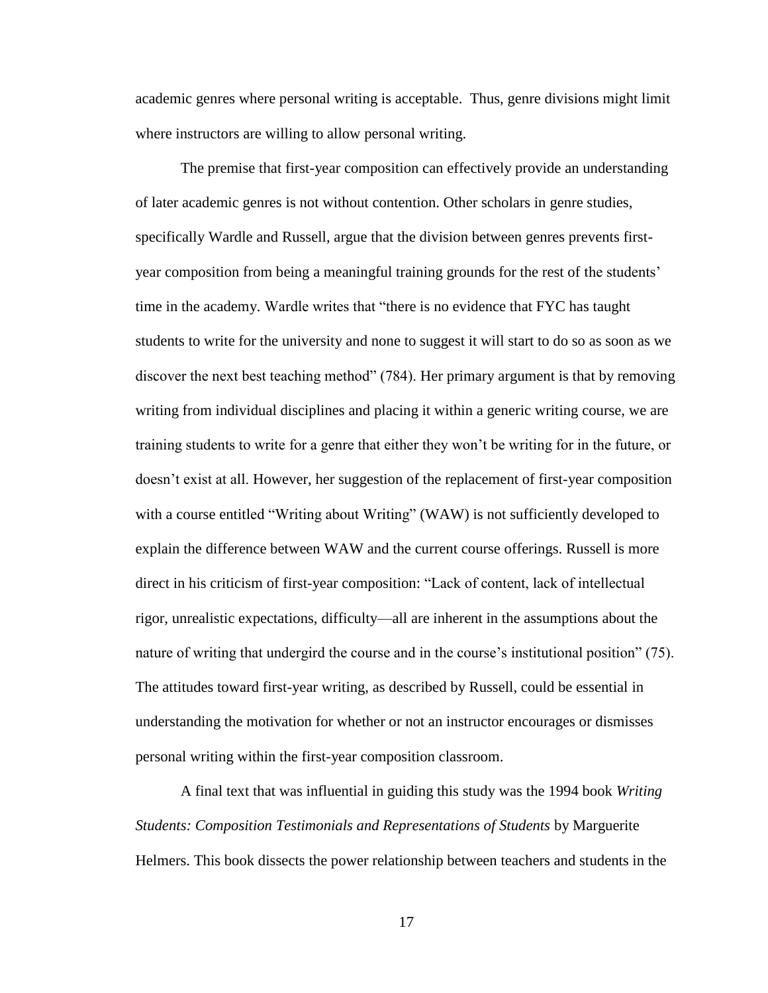academic genres where personal writing is acceptable. Thus, genre divisions might limit where instructors are willing to allow personal writing.

The premise that first-year composition can effectively provide an understanding of later academic genres is not without contention. Other scholars in genre studies, specifically Wardle and Russell, argue that the division between genres prevents firstyear composition from being a meaningful training grounds for the rest of the students' time in the academy. Wardle writes that "there is no evidence that FYC has taught students to write for the university and none to suggest it will start to do so as soon as we discover the next best teaching method" (784). Her primary argument is that by removing writing from individual disciplines and placing it within a generic writing course, we are training students to write for a genre that either they won't be writing for in the future, or doesn't exist at all. However, her suggestion of the replacement of first-year composition with a course entitled "Writing about Writing" (WAW) is not sufficiently developed to explain the difference between WAW and the current course offerings. Russell is more direct in his criticism of first-year composition: "Lack of content, lack of intellectual rigor, unrealistic expectations, difficulty—all are inherent in the assumptions about the nature of writing that undergird the course and in the course's institutional position" (75). The attitudes toward first-year writing, as described by Russell, could be essential in understanding the motivation for whether or not an instructor encourages or dismisses personal writing within the first-year composition classroom.

A final text that was influential in guiding this study was the 1994 book *Writing Students: Composition Testimonials and Representations of Students* by Marguerite Helmers. This book dissects the power relationship between teachers and students in the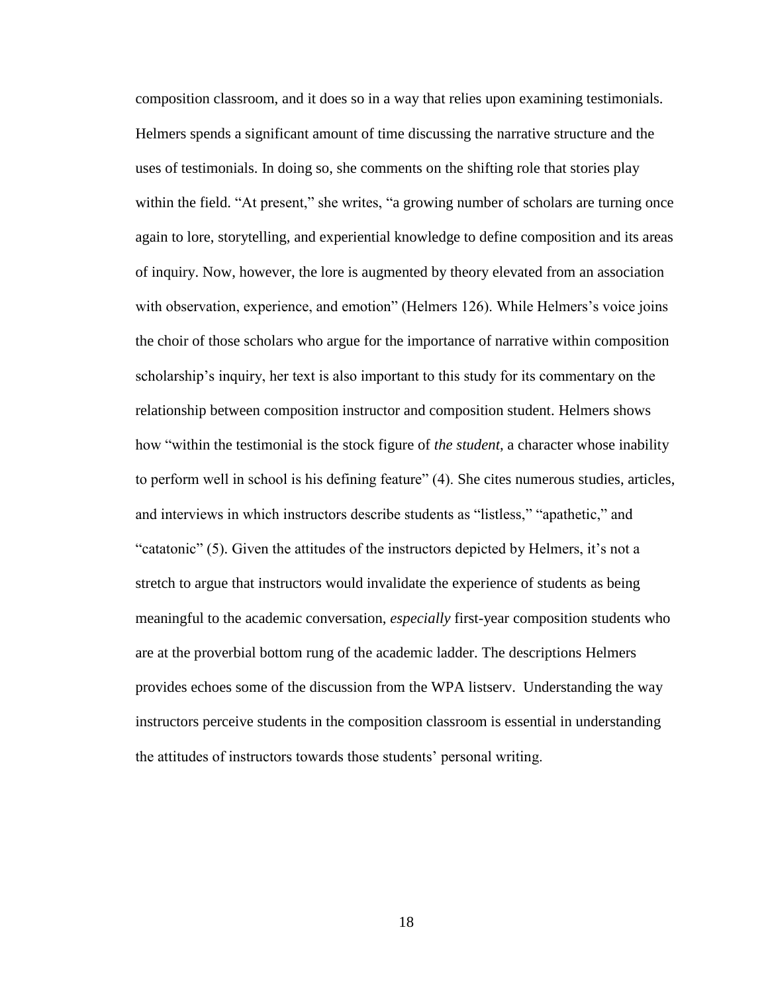composition classroom, and it does so in a way that relies upon examining testimonials. Helmers spends a significant amount of time discussing the narrative structure and the uses of testimonials. In doing so, she comments on the shifting role that stories play within the field. "At present," she writes, "a growing number of scholars are turning once again to lore, storytelling, and experiential knowledge to define composition and its areas of inquiry. Now, however, the lore is augmented by theory elevated from an association with observation, experience, and emotion" (Helmers 126). While Helmers's voice joins the choir of those scholars who argue for the importance of narrative within composition scholarship's inquiry, her text is also important to this study for its commentary on the relationship between composition instructor and composition student. Helmers shows how "within the testimonial is the stock figure of *the student*, a character whose inability to perform well in school is his defining feature" (4). She cites numerous studies, articles, and interviews in which instructors describe students as "listless," "apathetic," and "catatonic" (5). Given the attitudes of the instructors depicted by Helmers, it's not a stretch to argue that instructors would invalidate the experience of students as being meaningful to the academic conversation, *especially* first-year composition students who are at the proverbial bottom rung of the academic ladder. The descriptions Helmers provides echoes some of the discussion from the WPA listserv. Understanding the way instructors perceive students in the composition classroom is essential in understanding the attitudes of instructors towards those students' personal writing.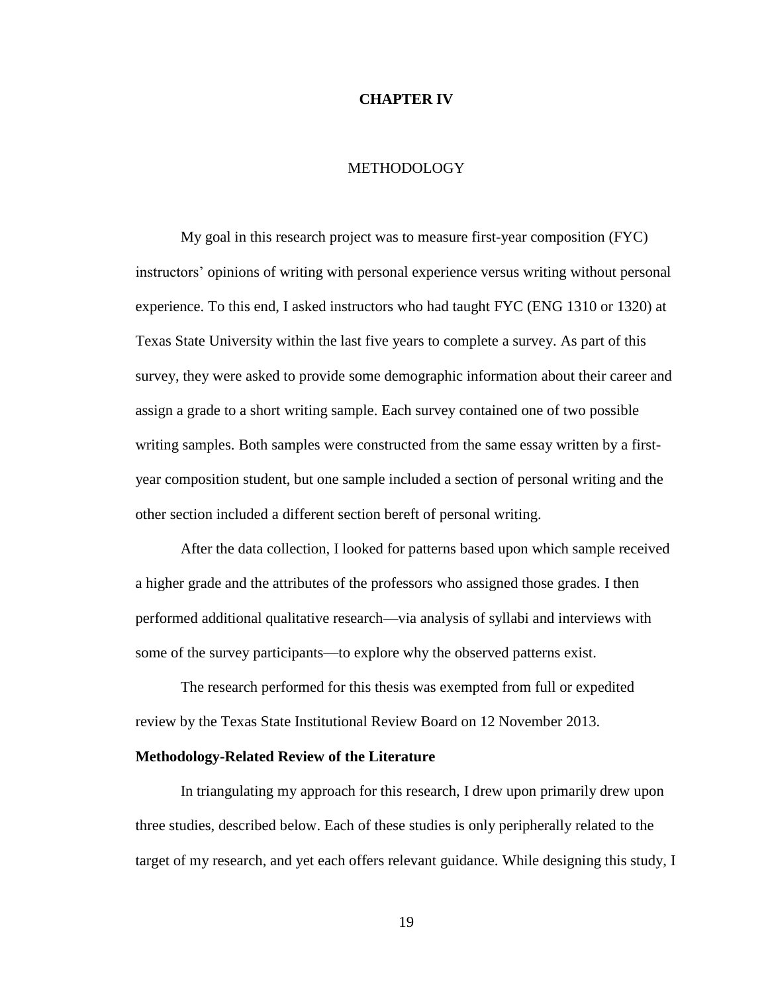#### **CHAPTER IV**

### METHODOLOGY

My goal in this research project was to measure first-year composition (FYC) instructors' opinions of writing with personal experience versus writing without personal experience. To this end, I asked instructors who had taught FYC (ENG 1310 or 1320) at Texas State University within the last five years to complete a survey. As part of this survey, they were asked to provide some demographic information about their career and assign a grade to a short writing sample. Each survey contained one of two possible writing samples. Both samples were constructed from the same essay written by a firstyear composition student, but one sample included a section of personal writing and the other section included a different section bereft of personal writing.

After the data collection, I looked for patterns based upon which sample received a higher grade and the attributes of the professors who assigned those grades. I then performed additional qualitative research—via analysis of syllabi and interviews with some of the survey participants—to explore why the observed patterns exist.

The research performed for this thesis was exempted from full or expedited review by the Texas State Institutional Review Board on 12 November 2013.

#### **Methodology-Related Review of the Literature**

In triangulating my approach for this research, I drew upon primarily drew upon three studies, described below. Each of these studies is only peripherally related to the target of my research, and yet each offers relevant guidance. While designing this study, I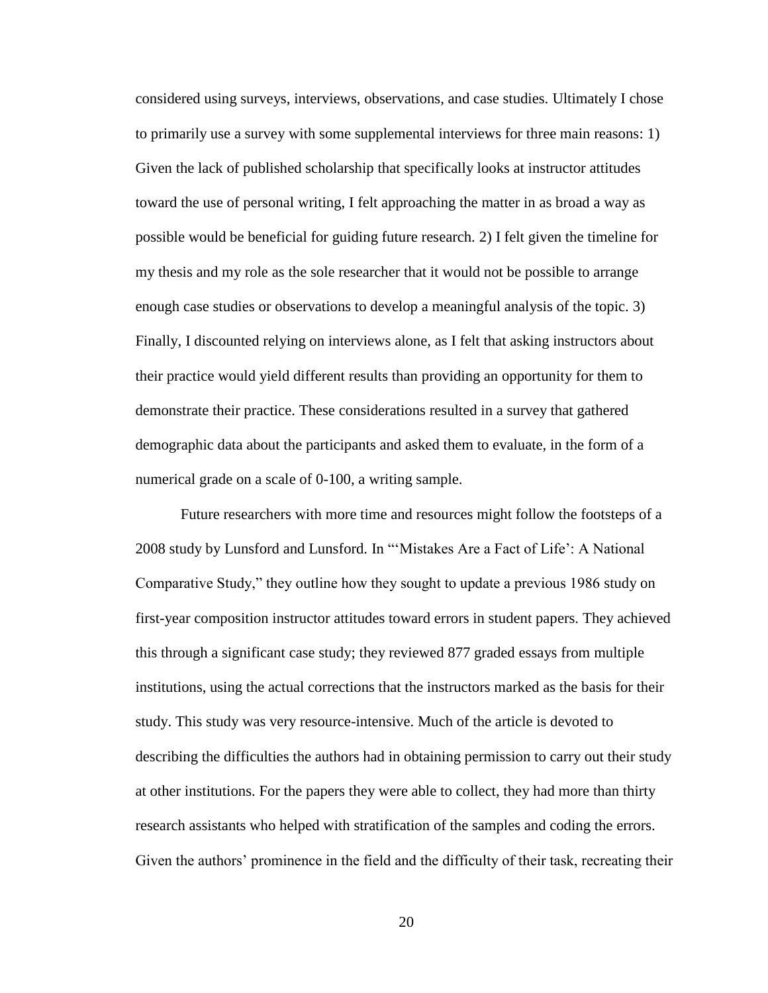considered using surveys, interviews, observations, and case studies. Ultimately I chose to primarily use a survey with some supplemental interviews for three main reasons: 1) Given the lack of published scholarship that specifically looks at instructor attitudes toward the use of personal writing, I felt approaching the matter in as broad a way as possible would be beneficial for guiding future research. 2) I felt given the timeline for my thesis and my role as the sole researcher that it would not be possible to arrange enough case studies or observations to develop a meaningful analysis of the topic. 3) Finally, I discounted relying on interviews alone, as I felt that asking instructors about their practice would yield different results than providing an opportunity for them to demonstrate their practice. These considerations resulted in a survey that gathered demographic data about the participants and asked them to evaluate, in the form of a numerical grade on a scale of 0-100, a writing sample.

Future researchers with more time and resources might follow the footsteps of a 2008 study by Lunsford and Lunsford. In "'Mistakes Are a Fact of Life': A National Comparative Study," they outline how they sought to update a previous 1986 study on first-year composition instructor attitudes toward errors in student papers. They achieved this through a significant case study; they reviewed 877 graded essays from multiple institutions, using the actual corrections that the instructors marked as the basis for their study. This study was very resource-intensive. Much of the article is devoted to describing the difficulties the authors had in obtaining permission to carry out their study at other institutions. For the papers they were able to collect, they had more than thirty research assistants who helped with stratification of the samples and coding the errors. Given the authors' prominence in the field and the difficulty of their task, recreating their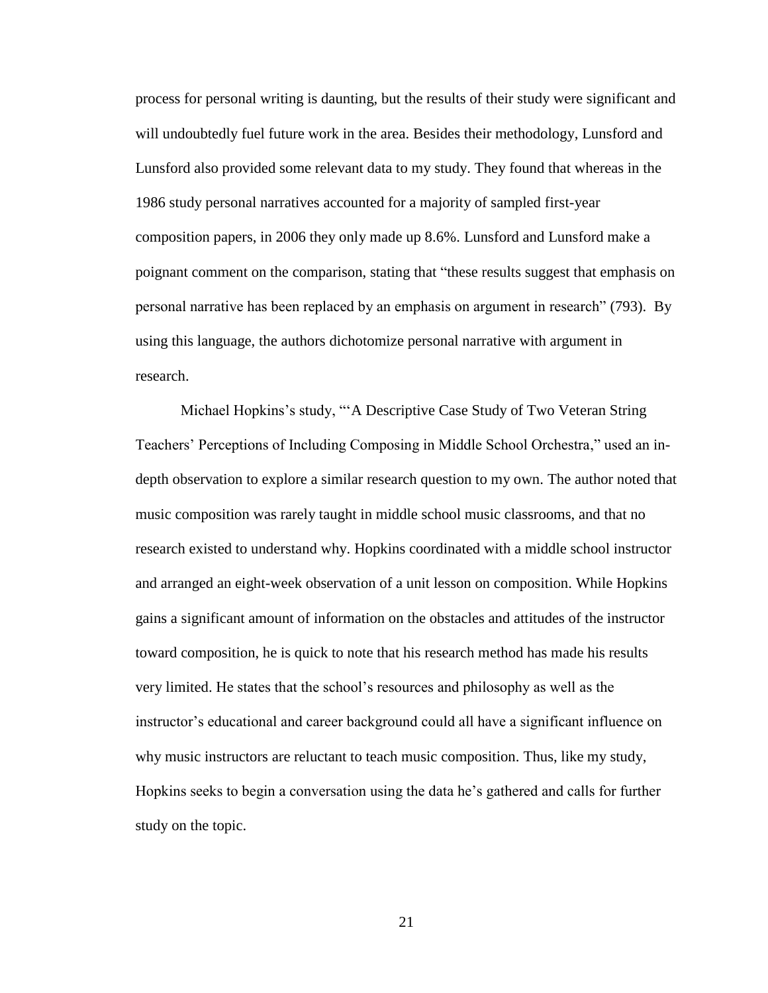process for personal writing is daunting, but the results of their study were significant and will undoubtedly fuel future work in the area. Besides their methodology, Lunsford and Lunsford also provided some relevant data to my study. They found that whereas in the 1986 study personal narratives accounted for a majority of sampled first-year composition papers, in 2006 they only made up 8.6%. Lunsford and Lunsford make a poignant comment on the comparison, stating that "these results suggest that emphasis on personal narrative has been replaced by an emphasis on argument in research" (793). By using this language, the authors dichotomize personal narrative with argument in research.

Michael Hopkins's study, "'A Descriptive Case Study of Two Veteran String Teachers' Perceptions of Including Composing in Middle School Orchestra," used an indepth observation to explore a similar research question to my own. The author noted that music composition was rarely taught in middle school music classrooms, and that no research existed to understand why. Hopkins coordinated with a middle school instructor and arranged an eight-week observation of a unit lesson on composition. While Hopkins gains a significant amount of information on the obstacles and attitudes of the instructor toward composition, he is quick to note that his research method has made his results very limited. He states that the school's resources and philosophy as well as the instructor's educational and career background could all have a significant influence on why music instructors are reluctant to teach music composition. Thus, like my study, Hopkins seeks to begin a conversation using the data he's gathered and calls for further study on the topic.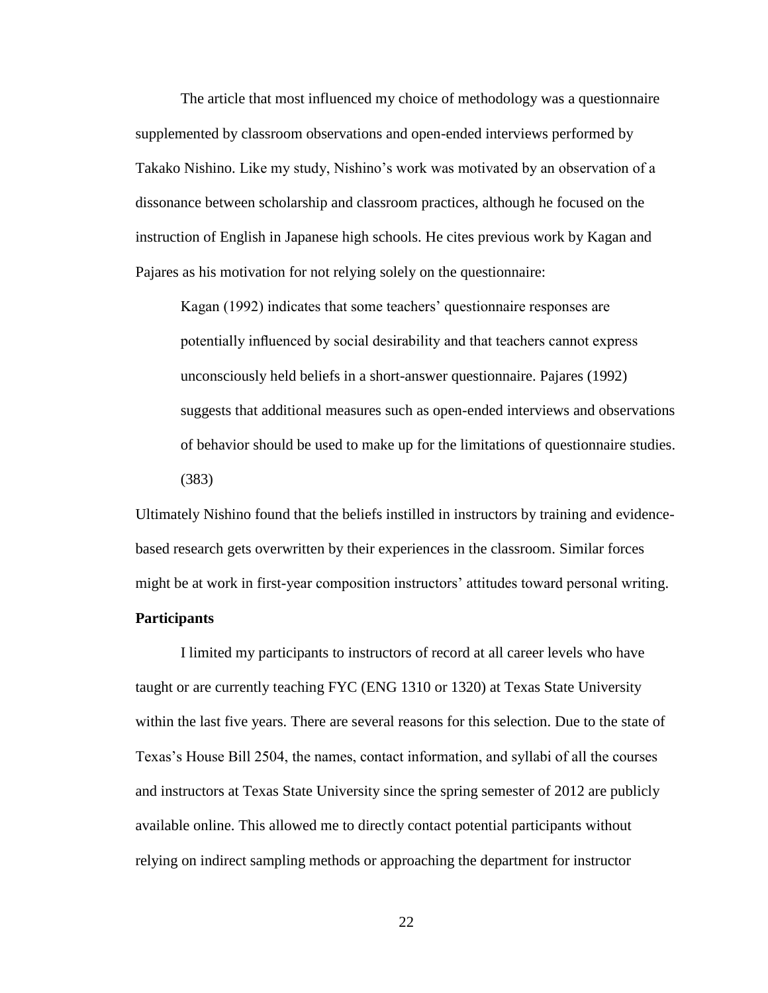The article that most influenced my choice of methodology was a questionnaire supplemented by classroom observations and open-ended interviews performed by Takako Nishino. Like my study, Nishino's work was motivated by an observation of a dissonance between scholarship and classroom practices, although he focused on the instruction of English in Japanese high schools. He cites previous work by Kagan and Pajares as his motivation for not relying solely on the questionnaire:

Kagan (1992) indicates that some teachers' questionnaire responses are potentially influenced by social desirability and that teachers cannot express unconsciously held beliefs in a short-answer questionnaire. Pajares (1992) suggests that additional measures such as open-ended interviews and observations of behavior should be used to make up for the limitations of questionnaire studies. (383)

Ultimately Nishino found that the beliefs instilled in instructors by training and evidencebased research gets overwritten by their experiences in the classroom. Similar forces might be at work in first-year composition instructors' attitudes toward personal writing.

#### **Participants**

I limited my participants to instructors of record at all career levels who have taught or are currently teaching FYC (ENG 1310 or 1320) at Texas State University within the last five years. There are several reasons for this selection. Due to the state of Texas's House Bill 2504, the names, contact information, and syllabi of all the courses and instructors at Texas State University since the spring semester of 2012 are publicly available online. This allowed me to directly contact potential participants without relying on indirect sampling methods or approaching the department for instructor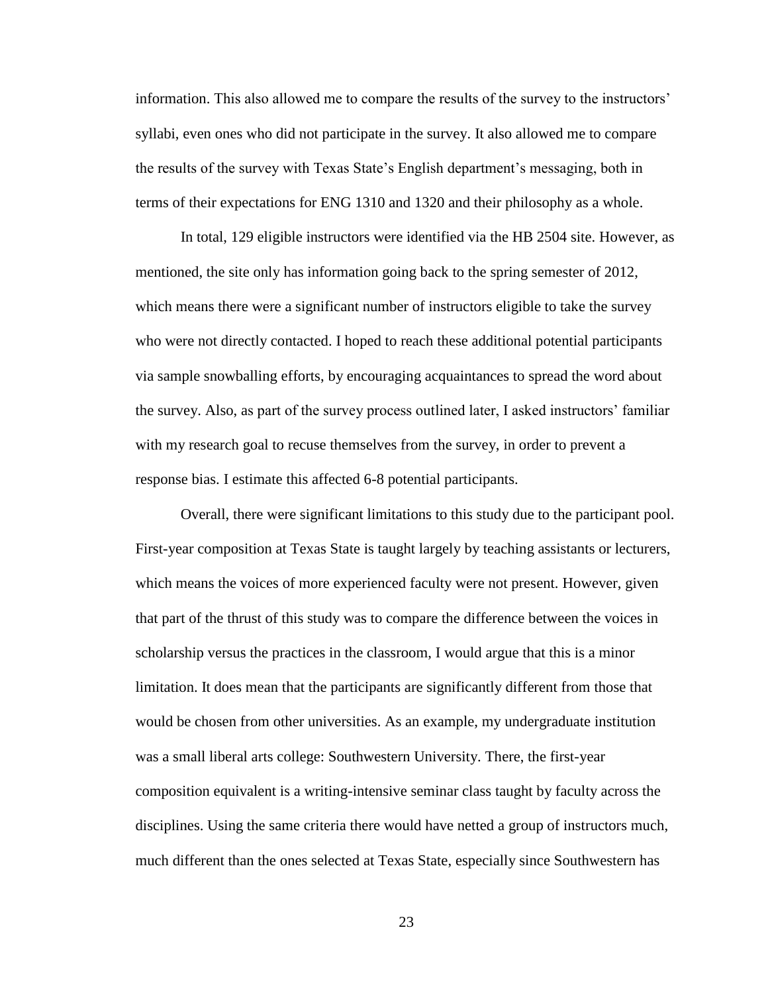information. This also allowed me to compare the results of the survey to the instructors' syllabi, even ones who did not participate in the survey. It also allowed me to compare the results of the survey with Texas State's English department's messaging, both in terms of their expectations for ENG 1310 and 1320 and their philosophy as a whole.

In total, 129 eligible instructors were identified via the HB 2504 site. However, as mentioned, the site only has information going back to the spring semester of 2012, which means there were a significant number of instructors eligible to take the survey who were not directly contacted. I hoped to reach these additional potential participants via sample snowballing efforts, by encouraging acquaintances to spread the word about the survey. Also, as part of the survey process outlined later, I asked instructors' familiar with my research goal to recuse themselves from the survey, in order to prevent a response bias. I estimate this affected 6-8 potential participants.

Overall, there were significant limitations to this study due to the participant pool. First-year composition at Texas State is taught largely by teaching assistants or lecturers, which means the voices of more experienced faculty were not present. However, given that part of the thrust of this study was to compare the difference between the voices in scholarship versus the practices in the classroom, I would argue that this is a minor limitation. It does mean that the participants are significantly different from those that would be chosen from other universities. As an example, my undergraduate institution was a small liberal arts college: Southwestern University. There, the first-year composition equivalent is a writing-intensive seminar class taught by faculty across the disciplines. Using the same criteria there would have netted a group of instructors much, much different than the ones selected at Texas State, especially since Southwestern has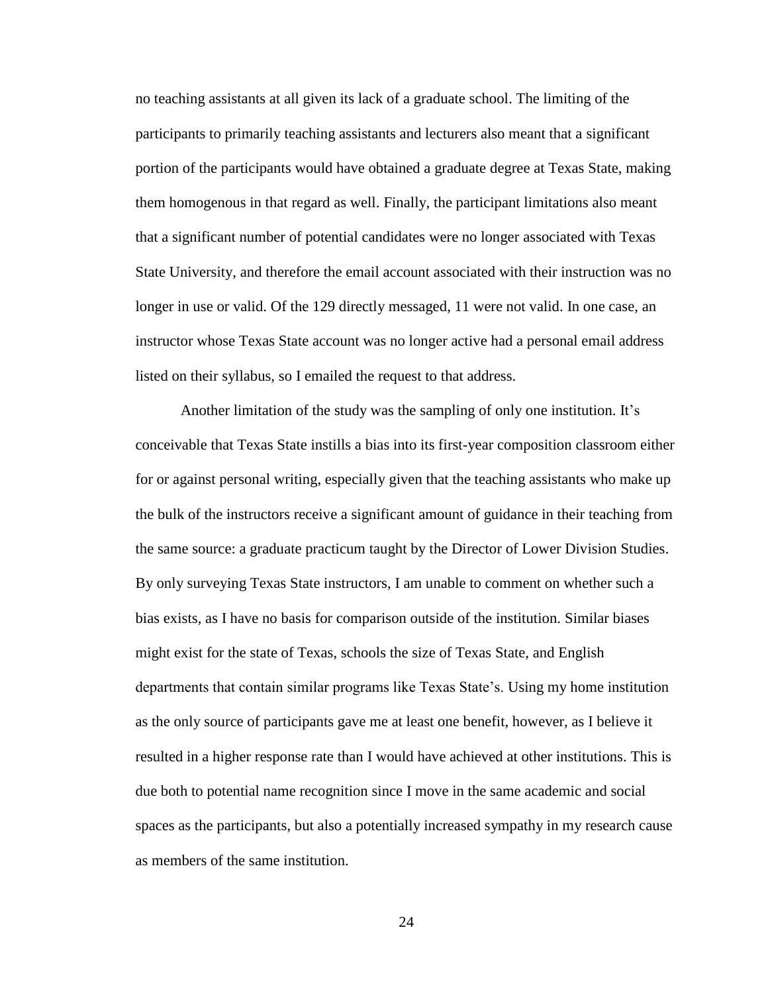no teaching assistants at all given its lack of a graduate school. The limiting of the participants to primarily teaching assistants and lecturers also meant that a significant portion of the participants would have obtained a graduate degree at Texas State, making them homogenous in that regard as well. Finally, the participant limitations also meant that a significant number of potential candidates were no longer associated with Texas State University, and therefore the email account associated with their instruction was no longer in use or valid. Of the 129 directly messaged, 11 were not valid. In one case, an instructor whose Texas State account was no longer active had a personal email address listed on their syllabus, so I emailed the request to that address.

Another limitation of the study was the sampling of only one institution. It's conceivable that Texas State instills a bias into its first-year composition classroom either for or against personal writing, especially given that the teaching assistants who make up the bulk of the instructors receive a significant amount of guidance in their teaching from the same source: a graduate practicum taught by the Director of Lower Division Studies. By only surveying Texas State instructors, I am unable to comment on whether such a bias exists, as I have no basis for comparison outside of the institution. Similar biases might exist for the state of Texas, schools the size of Texas State, and English departments that contain similar programs like Texas State's. Using my home institution as the only source of participants gave me at least one benefit, however, as I believe it resulted in a higher response rate than I would have achieved at other institutions. This is due both to potential name recognition since I move in the same academic and social spaces as the participants, but also a potentially increased sympathy in my research cause as members of the same institution.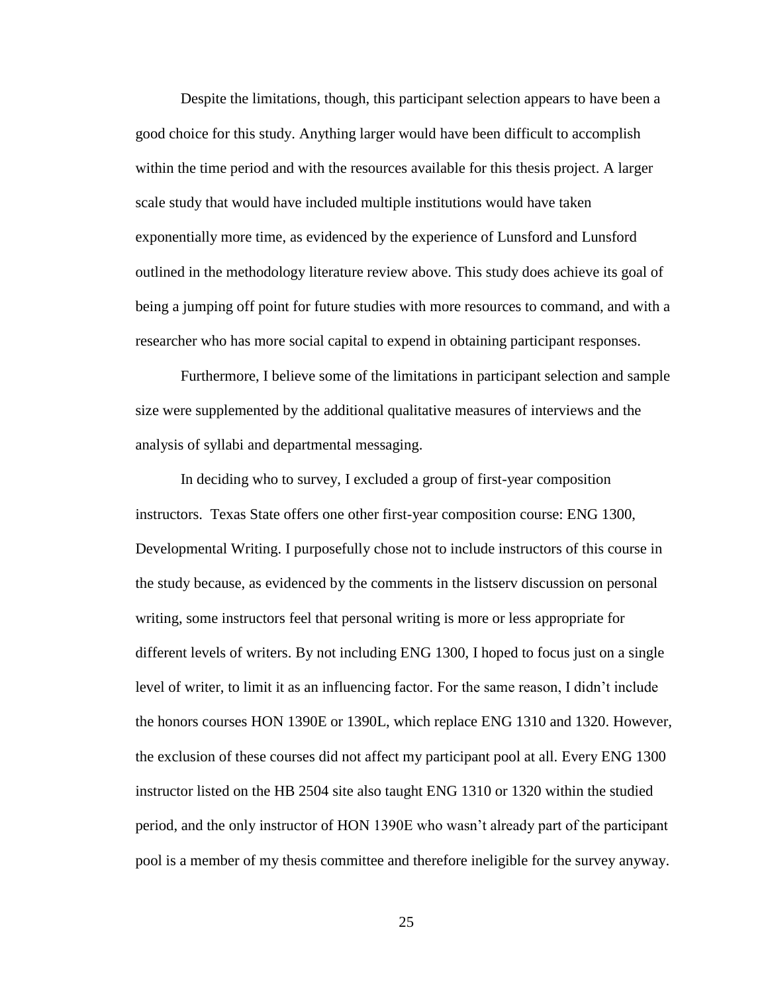Despite the limitations, though, this participant selection appears to have been a good choice for this study. Anything larger would have been difficult to accomplish within the time period and with the resources available for this thesis project. A larger scale study that would have included multiple institutions would have taken exponentially more time, as evidenced by the experience of Lunsford and Lunsford outlined in the methodology literature review above. This study does achieve its goal of being a jumping off point for future studies with more resources to command, and with a researcher who has more social capital to expend in obtaining participant responses.

Furthermore, I believe some of the limitations in participant selection and sample size were supplemented by the additional qualitative measures of interviews and the analysis of syllabi and departmental messaging.

In deciding who to survey, I excluded a group of first-year composition instructors. Texas State offers one other first-year composition course: ENG 1300, Developmental Writing. I purposefully chose not to include instructors of this course in the study because, as evidenced by the comments in the listserv discussion on personal writing, some instructors feel that personal writing is more or less appropriate for different levels of writers. By not including ENG 1300, I hoped to focus just on a single level of writer, to limit it as an influencing factor. For the same reason, I didn't include the honors courses HON 1390E or 1390L, which replace ENG 1310 and 1320. However, the exclusion of these courses did not affect my participant pool at all. Every ENG 1300 instructor listed on the HB 2504 site also taught ENG 1310 or 1320 within the studied period, and the only instructor of HON 1390E who wasn't already part of the participant pool is a member of my thesis committee and therefore ineligible for the survey anyway.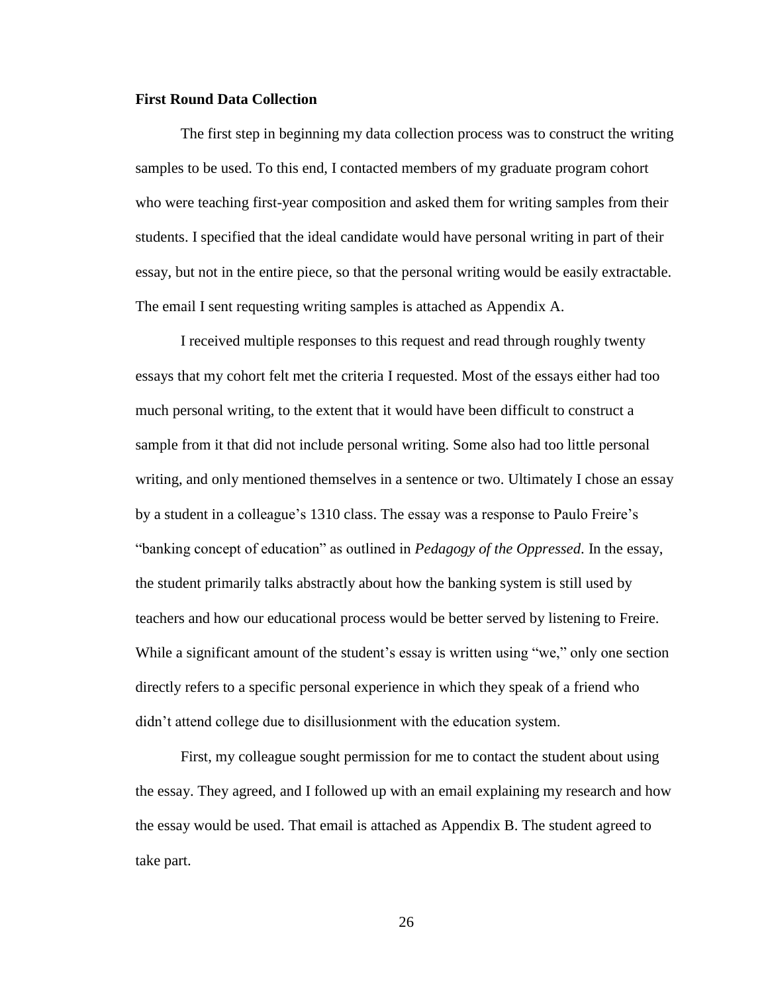#### **First Round Data Collection**

The first step in beginning my data collection process was to construct the writing samples to be used. To this end, I contacted members of my graduate program cohort who were teaching first-year composition and asked them for writing samples from their students. I specified that the ideal candidate would have personal writing in part of their essay, but not in the entire piece, so that the personal writing would be easily extractable. The email I sent requesting writing samples is attached as Appendix A.

I received multiple responses to this request and read through roughly twenty essays that my cohort felt met the criteria I requested. Most of the essays either had too much personal writing, to the extent that it would have been difficult to construct a sample from it that did not include personal writing. Some also had too little personal writing, and only mentioned themselves in a sentence or two. Ultimately I chose an essay by a student in a colleague's 1310 class. The essay was a response to Paulo Freire's "banking concept of education" as outlined in *Pedagogy of the Oppressed*. In the essay, the student primarily talks abstractly about how the banking system is still used by teachers and how our educational process would be better served by listening to Freire. While a significant amount of the student's essay is written using "we," only one section directly refers to a specific personal experience in which they speak of a friend who didn't attend college due to disillusionment with the education system.

First, my colleague sought permission for me to contact the student about using the essay. They agreed, and I followed up with an email explaining my research and how the essay would be used. That email is attached as Appendix B. The student agreed to take part.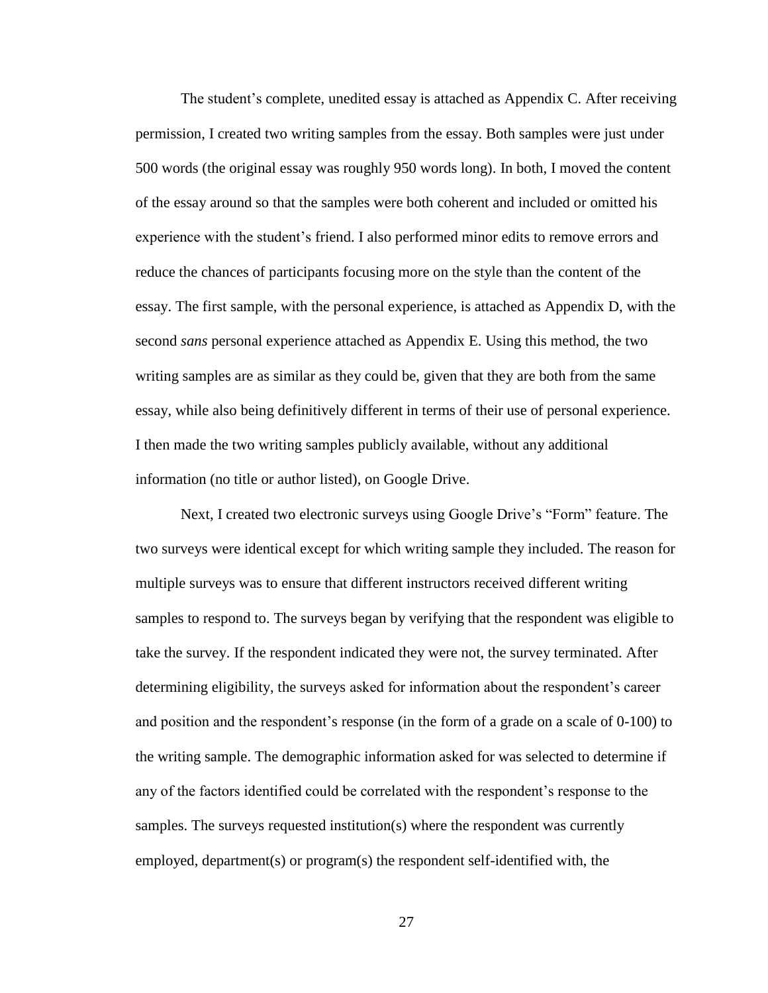The student's complete, unedited essay is attached as Appendix C. After receiving permission, I created two writing samples from the essay. Both samples were just under 500 words (the original essay was roughly 950 words long). In both, I moved the content of the essay around so that the samples were both coherent and included or omitted his experience with the student's friend. I also performed minor edits to remove errors and reduce the chances of participants focusing more on the style than the content of the essay. The first sample, with the personal experience, is attached as Appendix D, with the second *sans* personal experience attached as Appendix E. Using this method, the two writing samples are as similar as they could be, given that they are both from the same essay, while also being definitively different in terms of their use of personal experience. I then made the two writing samples publicly available, without any additional information (no title or author listed), on Google Drive.

Next, I created two electronic surveys using Google Drive's "Form" feature. The two surveys were identical except for which writing sample they included. The reason for multiple surveys was to ensure that different instructors received different writing samples to respond to. The surveys began by verifying that the respondent was eligible to take the survey. If the respondent indicated they were not, the survey terminated. After determining eligibility, the surveys asked for information about the respondent's career and position and the respondent's response (in the form of a grade on a scale of 0-100) to the writing sample. The demographic information asked for was selected to determine if any of the factors identified could be correlated with the respondent's response to the samples. The surveys requested institution(s) where the respondent was currently employed, department(s) or program(s) the respondent self-identified with, the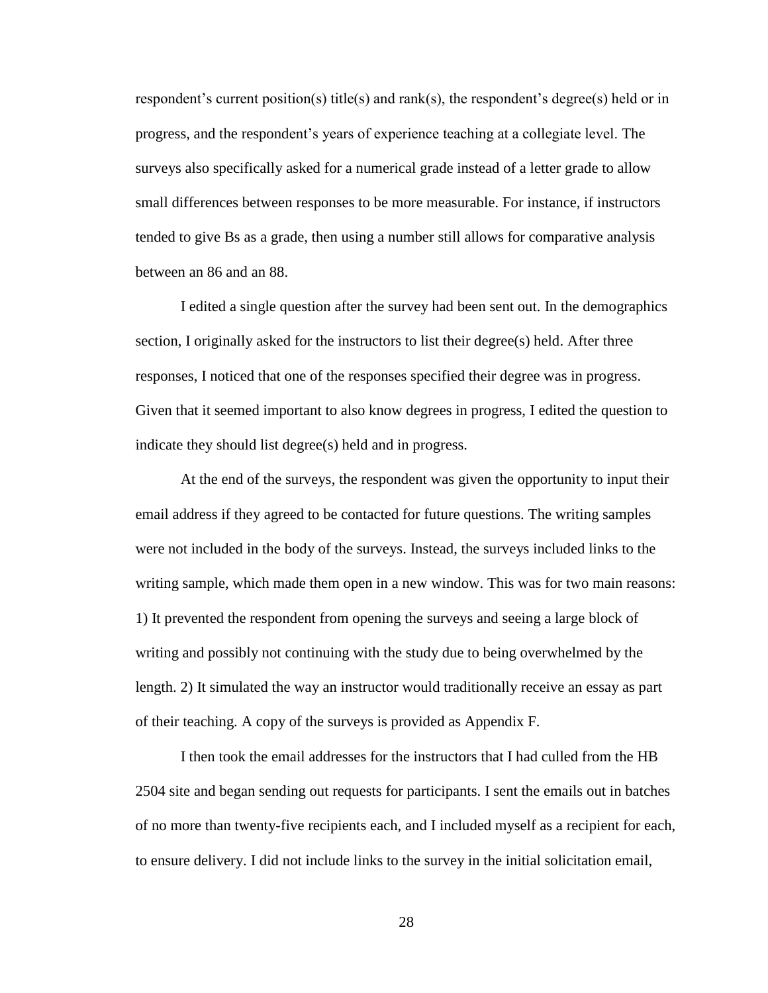respondent's current position(s) title(s) and rank(s), the respondent's degree(s) held or in progress, and the respondent's years of experience teaching at a collegiate level. The surveys also specifically asked for a numerical grade instead of a letter grade to allow small differences between responses to be more measurable. For instance, if instructors tended to give Bs as a grade, then using a number still allows for comparative analysis between an 86 and an 88.

I edited a single question after the survey had been sent out. In the demographics section, I originally asked for the instructors to list their degree(s) held. After three responses, I noticed that one of the responses specified their degree was in progress. Given that it seemed important to also know degrees in progress, I edited the question to indicate they should list degree(s) held and in progress.

At the end of the surveys, the respondent was given the opportunity to input their email address if they agreed to be contacted for future questions. The writing samples were not included in the body of the surveys. Instead, the surveys included links to the writing sample, which made them open in a new window. This was for two main reasons: 1) It prevented the respondent from opening the surveys and seeing a large block of writing and possibly not continuing with the study due to being overwhelmed by the length. 2) It simulated the way an instructor would traditionally receive an essay as part of their teaching. A copy of the surveys is provided as Appendix F.

I then took the email addresses for the instructors that I had culled from the HB 2504 site and began sending out requests for participants. I sent the emails out in batches of no more than twenty-five recipients each, and I included myself as a recipient for each, to ensure delivery. I did not include links to the survey in the initial solicitation email,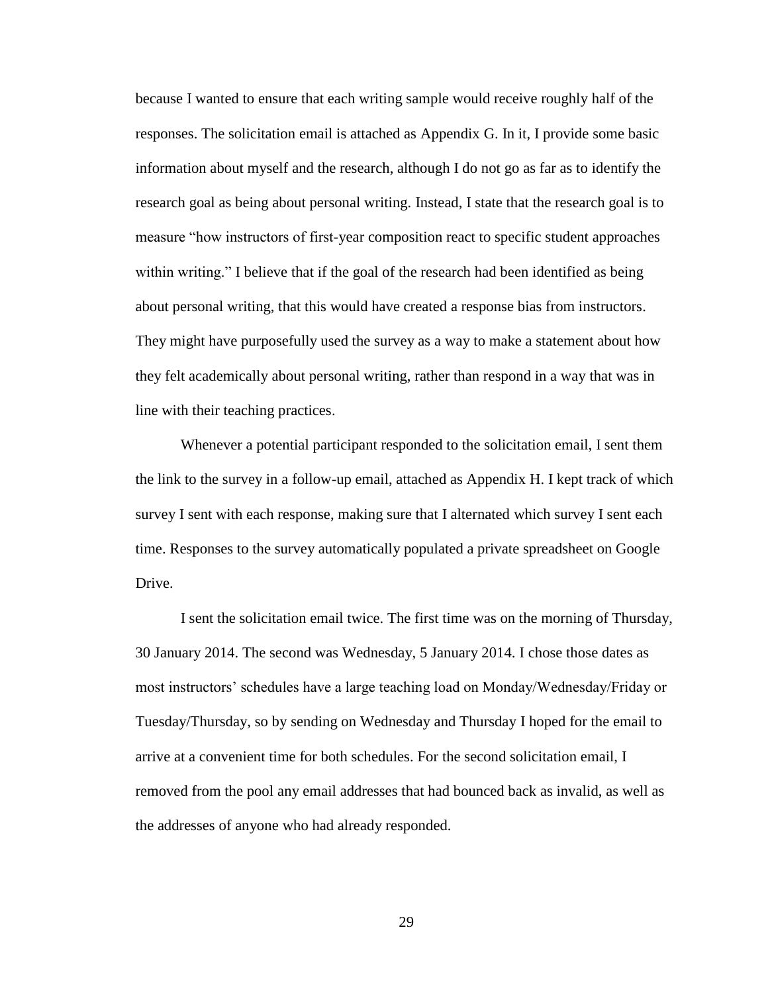because I wanted to ensure that each writing sample would receive roughly half of the responses. The solicitation email is attached as Appendix G. In it, I provide some basic information about myself and the research, although I do not go as far as to identify the research goal as being about personal writing. Instead, I state that the research goal is to measure "how instructors of first-year composition react to specific student approaches within writing." I believe that if the goal of the research had been identified as being about personal writing, that this would have created a response bias from instructors. They might have purposefully used the survey as a way to make a statement about how they felt academically about personal writing, rather than respond in a way that was in line with their teaching practices.

Whenever a potential participant responded to the solicitation email, I sent them the link to the survey in a follow-up email, attached as Appendix H. I kept track of which survey I sent with each response, making sure that I alternated which survey I sent each time. Responses to the survey automatically populated a private spreadsheet on Google Drive.

I sent the solicitation email twice. The first time was on the morning of Thursday, 30 January 2014. The second was Wednesday, 5 January 2014. I chose those dates as most instructors' schedules have a large teaching load on Monday/Wednesday/Friday or Tuesday/Thursday, so by sending on Wednesday and Thursday I hoped for the email to arrive at a convenient time for both schedules. For the second solicitation email, I removed from the pool any email addresses that had bounced back as invalid, as well as the addresses of anyone who had already responded.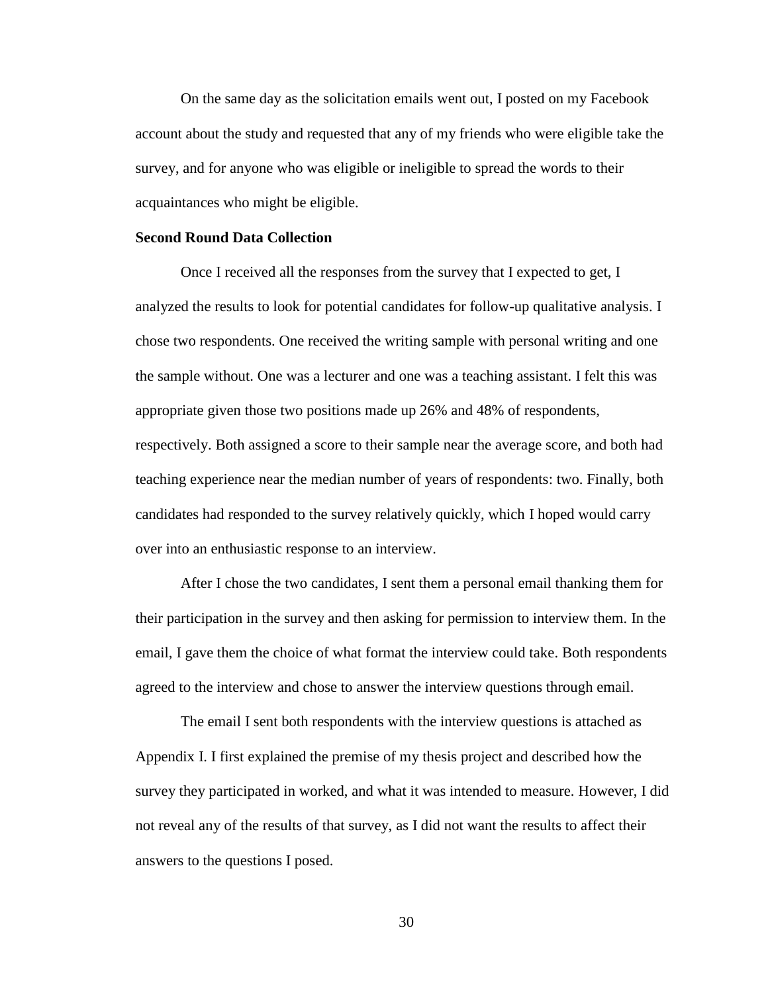On the same day as the solicitation emails went out, I posted on my Facebook account about the study and requested that any of my friends who were eligible take the survey, and for anyone who was eligible or ineligible to spread the words to their acquaintances who might be eligible.

#### **Second Round Data Collection**

Once I received all the responses from the survey that I expected to get, I analyzed the results to look for potential candidates for follow-up qualitative analysis. I chose two respondents. One received the writing sample with personal writing and one the sample without. One was a lecturer and one was a teaching assistant. I felt this was appropriate given those two positions made up 26% and 48% of respondents, respectively. Both assigned a score to their sample near the average score, and both had teaching experience near the median number of years of respondents: two. Finally, both candidates had responded to the survey relatively quickly, which I hoped would carry over into an enthusiastic response to an interview.

After I chose the two candidates, I sent them a personal email thanking them for their participation in the survey and then asking for permission to interview them. In the email, I gave them the choice of what format the interview could take. Both respondents agreed to the interview and chose to answer the interview questions through email.

The email I sent both respondents with the interview questions is attached as Appendix I. I first explained the premise of my thesis project and described how the survey they participated in worked, and what it was intended to measure. However, I did not reveal any of the results of that survey, as I did not want the results to affect their answers to the questions I posed.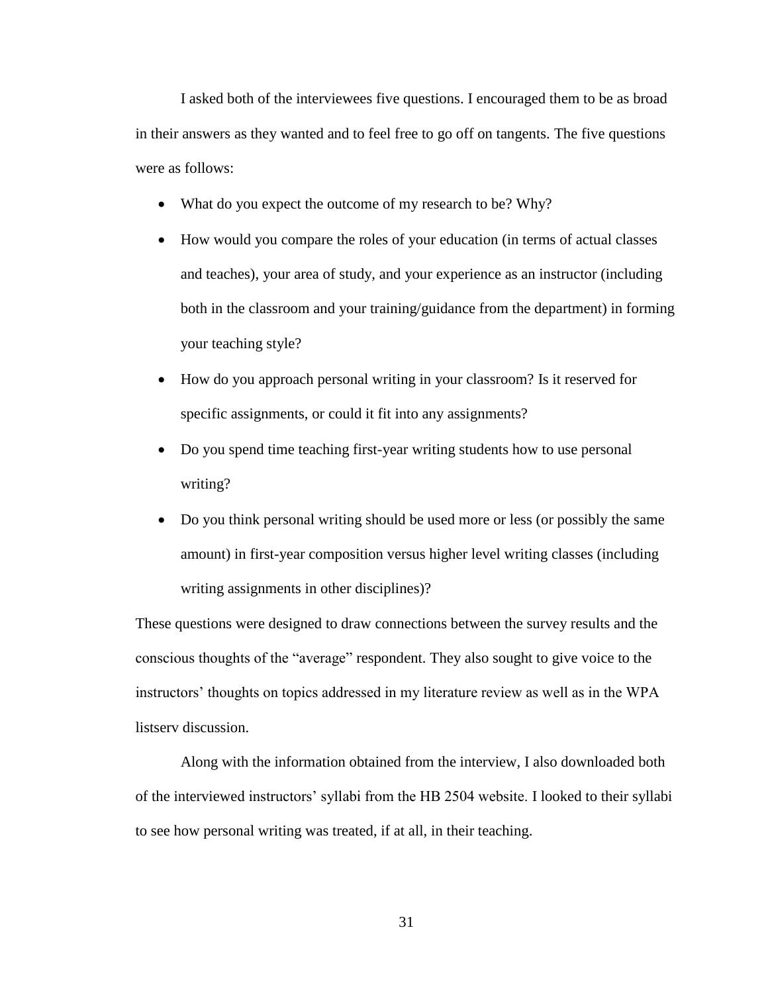I asked both of the interviewees five questions. I encouraged them to be as broad in their answers as they wanted and to feel free to go off on tangents. The five questions were as follows:

- What do you expect the outcome of my research to be? Why?
- How would you compare the roles of your education (in terms of actual classes and teaches), your area of study, and your experience as an instructor (including both in the classroom and your training/guidance from the department) in forming your teaching style?
- How do you approach personal writing in your classroom? Is it reserved for specific assignments, or could it fit into any assignments?
- Do you spend time teaching first-year writing students how to use personal writing?
- Do you think personal writing should be used more or less (or possibly the same amount) in first-year composition versus higher level writing classes (including writing assignments in other disciplines)?

These questions were designed to draw connections between the survey results and the conscious thoughts of the "average" respondent. They also sought to give voice to the instructors' thoughts on topics addressed in my literature review as well as in the WPA listserv discussion.

Along with the information obtained from the interview, I also downloaded both of the interviewed instructors' syllabi from the HB 2504 website. I looked to their syllabi to see how personal writing was treated, if at all, in their teaching.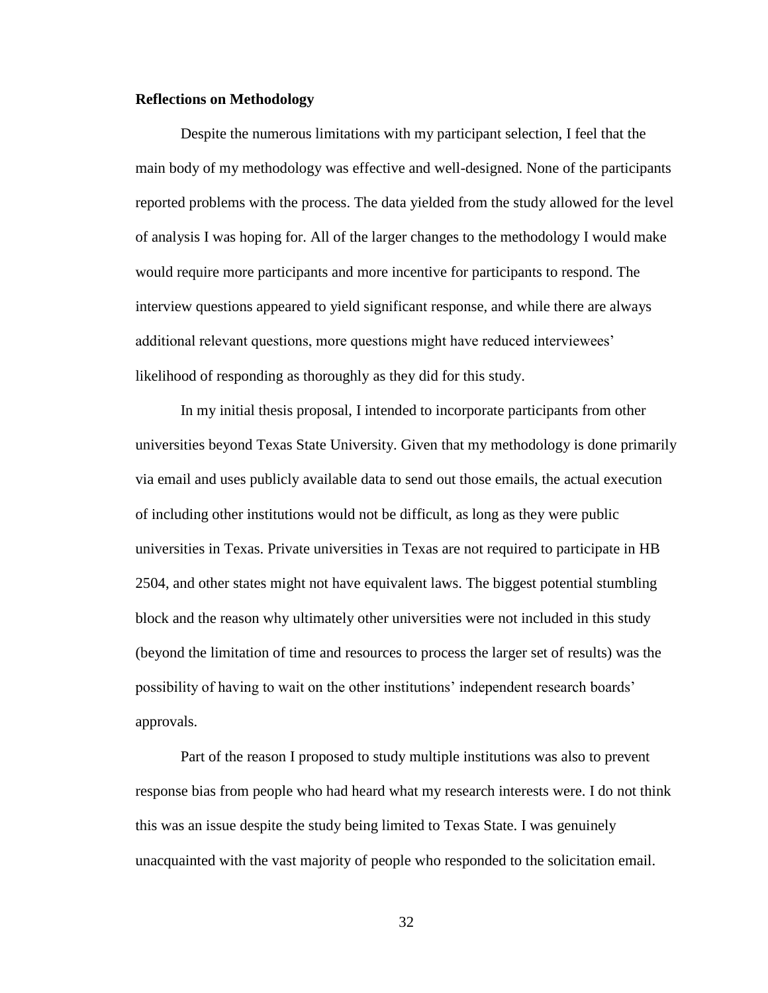#### **Reflections on Methodology**

Despite the numerous limitations with my participant selection, I feel that the main body of my methodology was effective and well-designed. None of the participants reported problems with the process. The data yielded from the study allowed for the level of analysis I was hoping for. All of the larger changes to the methodology I would make would require more participants and more incentive for participants to respond. The interview questions appeared to yield significant response, and while there are always additional relevant questions, more questions might have reduced interviewees' likelihood of responding as thoroughly as they did for this study.

In my initial thesis proposal, I intended to incorporate participants from other universities beyond Texas State University. Given that my methodology is done primarily via email and uses publicly available data to send out those emails, the actual execution of including other institutions would not be difficult, as long as they were public universities in Texas. Private universities in Texas are not required to participate in HB 2504, and other states might not have equivalent laws. The biggest potential stumbling block and the reason why ultimately other universities were not included in this study (beyond the limitation of time and resources to process the larger set of results) was the possibility of having to wait on the other institutions' independent research boards' approvals.

Part of the reason I proposed to study multiple institutions was also to prevent response bias from people who had heard what my research interests were. I do not think this was an issue despite the study being limited to Texas State. I was genuinely unacquainted with the vast majority of people who responded to the solicitation email.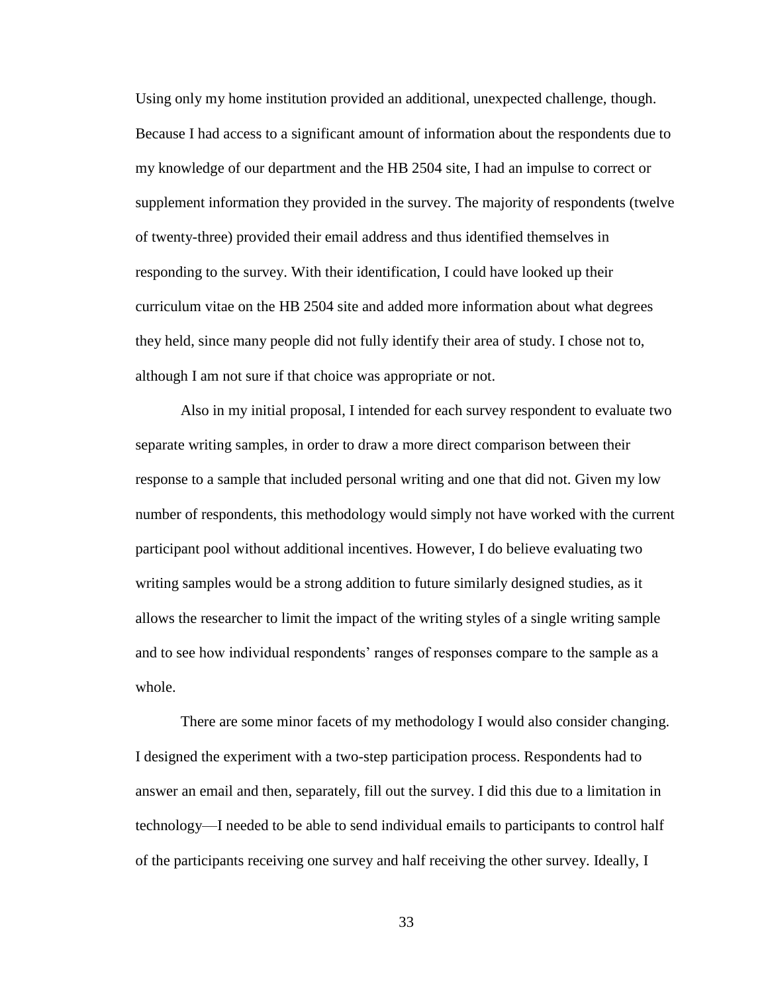Using only my home institution provided an additional, unexpected challenge, though. Because I had access to a significant amount of information about the respondents due to my knowledge of our department and the HB 2504 site, I had an impulse to correct or supplement information they provided in the survey. The majority of respondents (twelve of twenty-three) provided their email address and thus identified themselves in responding to the survey. With their identification, I could have looked up their curriculum vitae on the HB 2504 site and added more information about what degrees they held, since many people did not fully identify their area of study. I chose not to, although I am not sure if that choice was appropriate or not.

Also in my initial proposal, I intended for each survey respondent to evaluate two separate writing samples, in order to draw a more direct comparison between their response to a sample that included personal writing and one that did not. Given my low number of respondents, this methodology would simply not have worked with the current participant pool without additional incentives. However, I do believe evaluating two writing samples would be a strong addition to future similarly designed studies, as it allows the researcher to limit the impact of the writing styles of a single writing sample and to see how individual respondents' ranges of responses compare to the sample as a whole.

There are some minor facets of my methodology I would also consider changing. I designed the experiment with a two-step participation process. Respondents had to answer an email and then, separately, fill out the survey. I did this due to a limitation in technology—I needed to be able to send individual emails to participants to control half of the participants receiving one survey and half receiving the other survey. Ideally, I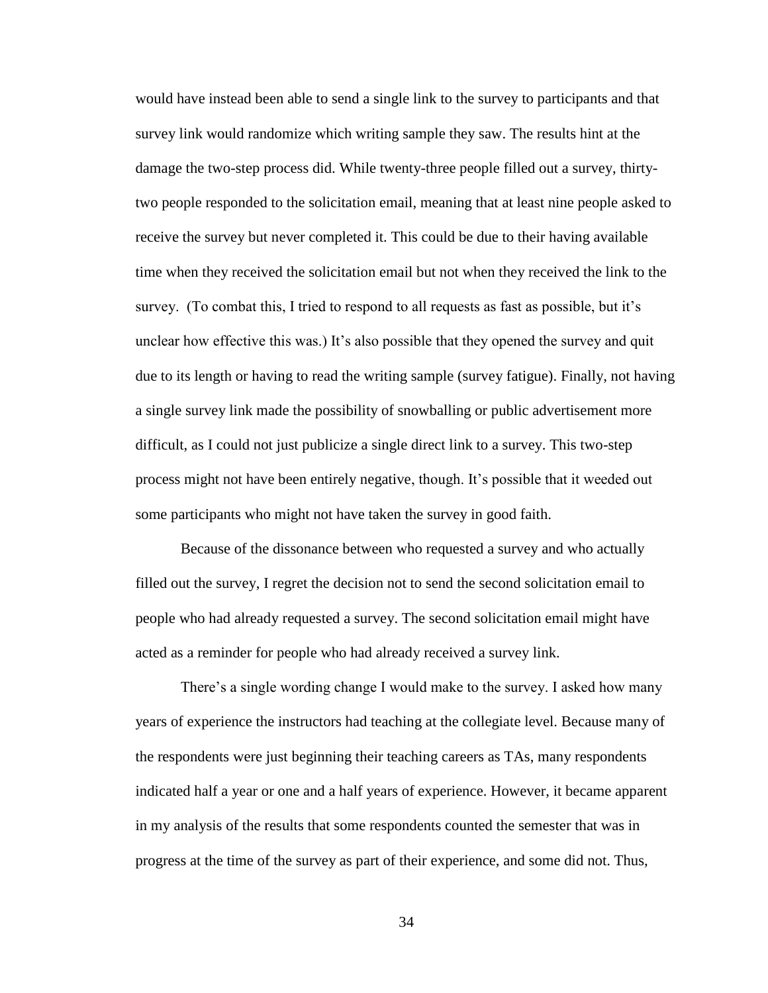would have instead been able to send a single link to the survey to participants and that survey link would randomize which writing sample they saw. The results hint at the damage the two-step process did. While twenty-three people filled out a survey, thirtytwo people responded to the solicitation email, meaning that at least nine people asked to receive the survey but never completed it. This could be due to their having available time when they received the solicitation email but not when they received the link to the survey. (To combat this, I tried to respond to all requests as fast as possible, but it's unclear how effective this was.) It's also possible that they opened the survey and quit due to its length or having to read the writing sample (survey fatigue). Finally, not having a single survey link made the possibility of snowballing or public advertisement more difficult, as I could not just publicize a single direct link to a survey. This two-step process might not have been entirely negative, though. It's possible that it weeded out some participants who might not have taken the survey in good faith.

Because of the dissonance between who requested a survey and who actually filled out the survey, I regret the decision not to send the second solicitation email to people who had already requested a survey. The second solicitation email might have acted as a reminder for people who had already received a survey link.

There's a single wording change I would make to the survey. I asked how many years of experience the instructors had teaching at the collegiate level. Because many of the respondents were just beginning their teaching careers as TAs, many respondents indicated half a year or one and a half years of experience. However, it became apparent in my analysis of the results that some respondents counted the semester that was in progress at the time of the survey as part of their experience, and some did not. Thus,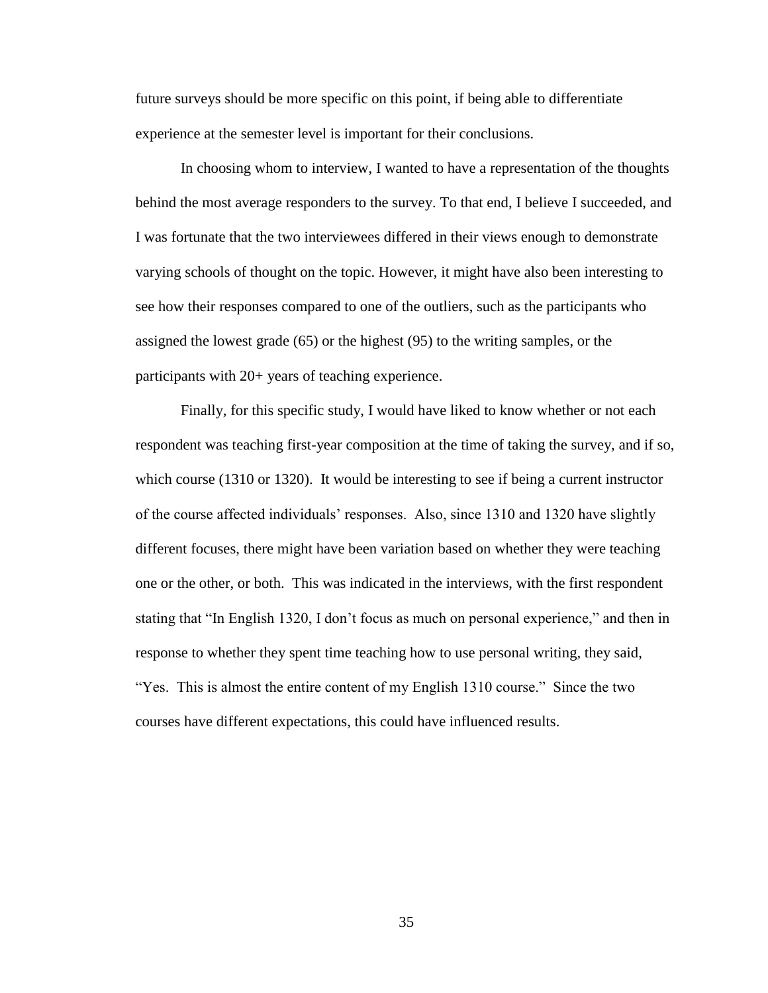future surveys should be more specific on this point, if being able to differentiate experience at the semester level is important for their conclusions.

In choosing whom to interview, I wanted to have a representation of the thoughts behind the most average responders to the survey. To that end, I believe I succeeded, and I was fortunate that the two interviewees differed in their views enough to demonstrate varying schools of thought on the topic. However, it might have also been interesting to see how their responses compared to one of the outliers, such as the participants who assigned the lowest grade (65) or the highest (95) to the writing samples, or the participants with 20+ years of teaching experience.

Finally, for this specific study, I would have liked to know whether or not each respondent was teaching first-year composition at the time of taking the survey, and if so, which course (1310 or 1320). It would be interesting to see if being a current instructor of the course affected individuals' responses. Also, since 1310 and 1320 have slightly different focuses, there might have been variation based on whether they were teaching one or the other, or both. This was indicated in the interviews, with the first respondent stating that "In English 1320, I don't focus as much on personal experience," and then in response to whether they spent time teaching how to use personal writing, they said, "Yes. This is almost the entire content of my English 1310 course." Since the two courses have different expectations, this could have influenced results.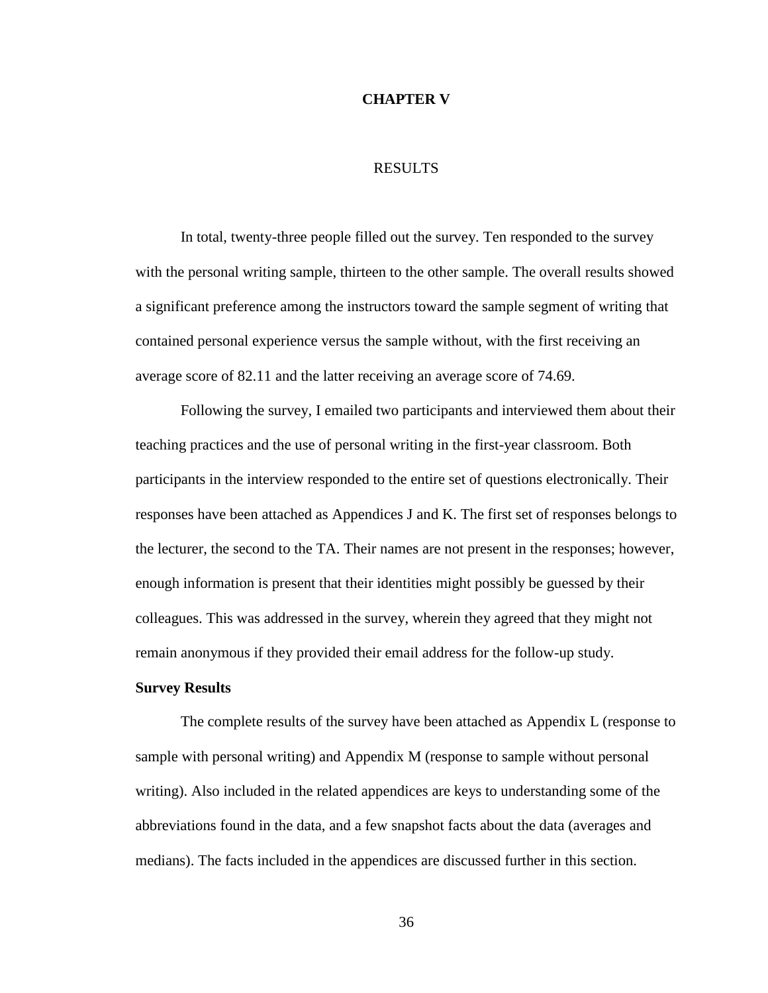#### **CHAPTER V**

### RESULTS

In total, twenty-three people filled out the survey. Ten responded to the survey with the personal writing sample, thirteen to the other sample. The overall results showed a significant preference among the instructors toward the sample segment of writing that contained personal experience versus the sample without, with the first receiving an average score of 82.11 and the latter receiving an average score of 74.69.

Following the survey, I emailed two participants and interviewed them about their teaching practices and the use of personal writing in the first-year classroom. Both participants in the interview responded to the entire set of questions electronically. Their responses have been attached as Appendices J and K. The first set of responses belongs to the lecturer, the second to the TA. Their names are not present in the responses; however, enough information is present that their identities might possibly be guessed by their colleagues. This was addressed in the survey, wherein they agreed that they might not remain anonymous if they provided their email address for the follow-up study.

### **Survey Results**

The complete results of the survey have been attached as Appendix L (response to sample with personal writing) and Appendix M (response to sample without personal writing). Also included in the related appendices are keys to understanding some of the abbreviations found in the data, and a few snapshot facts about the data (averages and medians). The facts included in the appendices are discussed further in this section.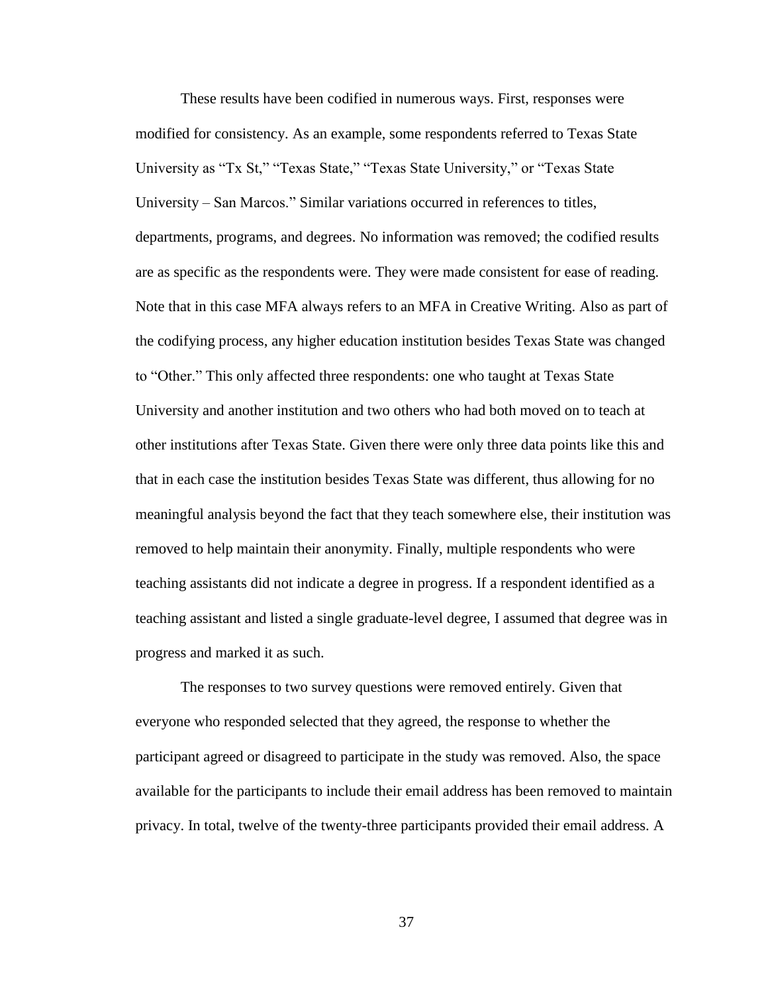These results have been codified in numerous ways. First, responses were modified for consistency. As an example, some respondents referred to Texas State University as "Tx St," "Texas State," "Texas State University," or "Texas State University – San Marcos." Similar variations occurred in references to titles, departments, programs, and degrees. No information was removed; the codified results are as specific as the respondents were. They were made consistent for ease of reading. Note that in this case MFA always refers to an MFA in Creative Writing. Also as part of the codifying process, any higher education institution besides Texas State was changed to "Other." This only affected three respondents: one who taught at Texas State University and another institution and two others who had both moved on to teach at other institutions after Texas State. Given there were only three data points like this and that in each case the institution besides Texas State was different, thus allowing for no meaningful analysis beyond the fact that they teach somewhere else, their institution was removed to help maintain their anonymity. Finally, multiple respondents who were teaching assistants did not indicate a degree in progress. If a respondent identified as a teaching assistant and listed a single graduate-level degree, I assumed that degree was in progress and marked it as such.

The responses to two survey questions were removed entirely. Given that everyone who responded selected that they agreed, the response to whether the participant agreed or disagreed to participate in the study was removed. Also, the space available for the participants to include their email address has been removed to maintain privacy. In total, twelve of the twenty-three participants provided their email address. A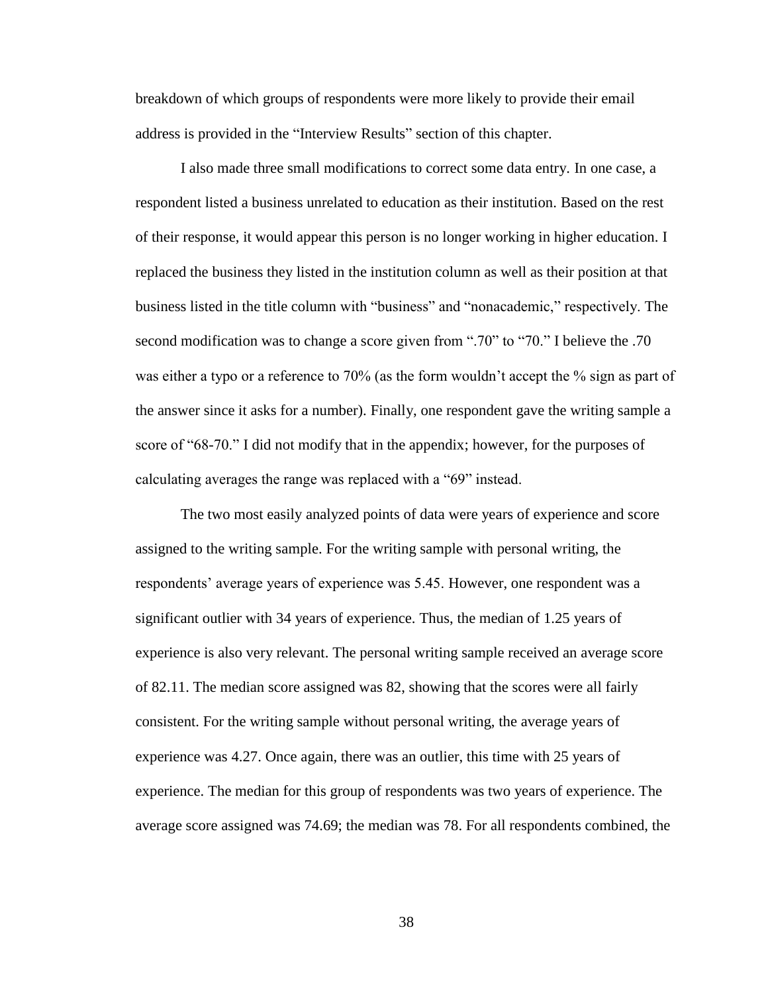breakdown of which groups of respondents were more likely to provide their email address is provided in the "Interview Results" section of this chapter.

I also made three small modifications to correct some data entry. In one case, a respondent listed a business unrelated to education as their institution. Based on the rest of their response, it would appear this person is no longer working in higher education. I replaced the business they listed in the institution column as well as their position at that business listed in the title column with "business" and "nonacademic," respectively. The second modification was to change a score given from ".70" to "70." I believe the .70 was either a typo or a reference to 70% (as the form wouldn't accept the % sign as part of the answer since it asks for a number). Finally, one respondent gave the writing sample a score of "68-70." I did not modify that in the appendix; however, for the purposes of calculating averages the range was replaced with a "69" instead.

The two most easily analyzed points of data were years of experience and score assigned to the writing sample. For the writing sample with personal writing, the respondents' average years of experience was 5.45. However, one respondent was a significant outlier with 34 years of experience. Thus, the median of 1.25 years of experience is also very relevant. The personal writing sample received an average score of 82.11. The median score assigned was 82, showing that the scores were all fairly consistent. For the writing sample without personal writing, the average years of experience was 4.27. Once again, there was an outlier, this time with 25 years of experience. The median for this group of respondents was two years of experience. The average score assigned was 74.69; the median was 78. For all respondents combined, the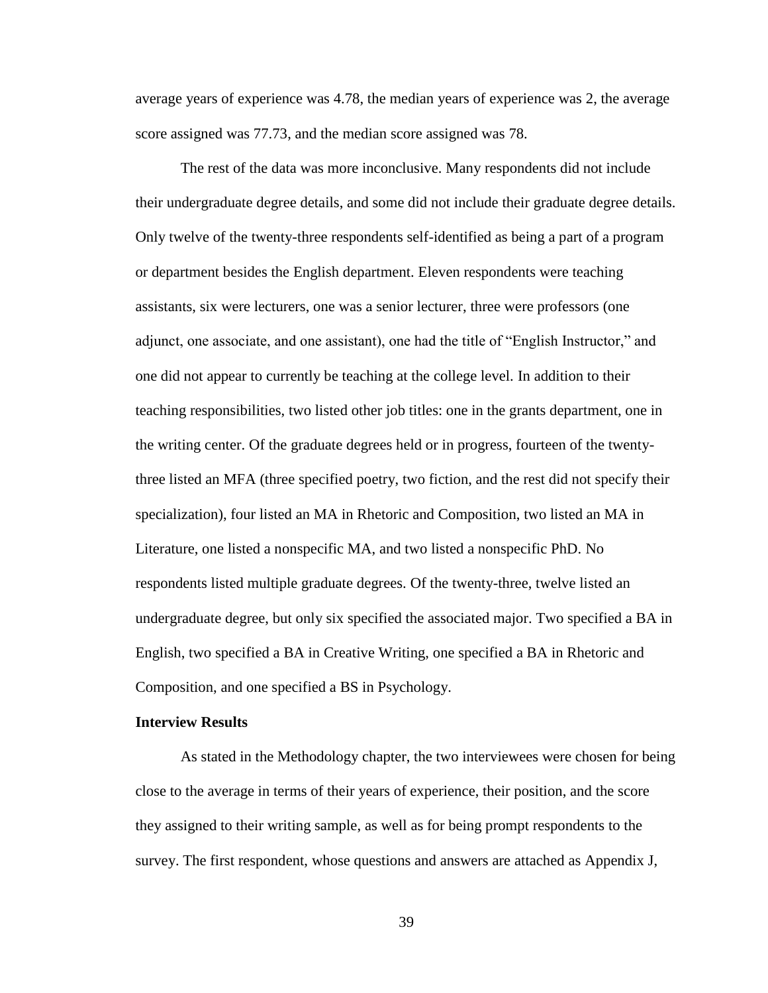average years of experience was 4.78, the median years of experience was 2, the average score assigned was 77.73, and the median score assigned was 78.

The rest of the data was more inconclusive. Many respondents did not include their undergraduate degree details, and some did not include their graduate degree details. Only twelve of the twenty-three respondents self-identified as being a part of a program or department besides the English department. Eleven respondents were teaching assistants, six were lecturers, one was a senior lecturer, three were professors (one adjunct, one associate, and one assistant), one had the title of "English Instructor," and one did not appear to currently be teaching at the college level. In addition to their teaching responsibilities, two listed other job titles: one in the grants department, one in the writing center. Of the graduate degrees held or in progress, fourteen of the twentythree listed an MFA (three specified poetry, two fiction, and the rest did not specify their specialization), four listed an MA in Rhetoric and Composition, two listed an MA in Literature, one listed a nonspecific MA, and two listed a nonspecific PhD. No respondents listed multiple graduate degrees. Of the twenty-three, twelve listed an undergraduate degree, but only six specified the associated major. Two specified a BA in English, two specified a BA in Creative Writing, one specified a BA in Rhetoric and Composition, and one specified a BS in Psychology.

## **Interview Results**

As stated in the Methodology chapter, the two interviewees were chosen for being close to the average in terms of their years of experience, their position, and the score they assigned to their writing sample, as well as for being prompt respondents to the survey. The first respondent, whose questions and answers are attached as Appendix J,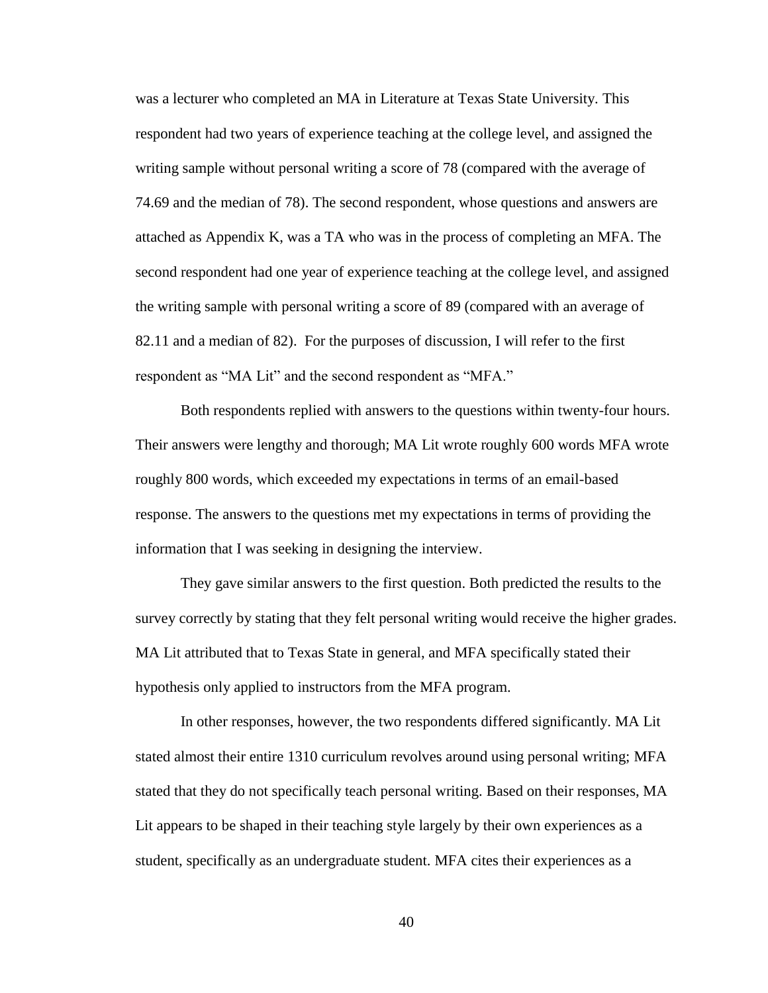was a lecturer who completed an MA in Literature at Texas State University. This respondent had two years of experience teaching at the college level, and assigned the writing sample without personal writing a score of 78 (compared with the average of 74.69 and the median of 78). The second respondent, whose questions and answers are attached as Appendix K, was a TA who was in the process of completing an MFA. The second respondent had one year of experience teaching at the college level, and assigned the writing sample with personal writing a score of 89 (compared with an average of 82.11 and a median of 82). For the purposes of discussion, I will refer to the first respondent as "MA Lit" and the second respondent as "MFA."

Both respondents replied with answers to the questions within twenty-four hours. Their answers were lengthy and thorough; MA Lit wrote roughly 600 words MFA wrote roughly 800 words, which exceeded my expectations in terms of an email-based response. The answers to the questions met my expectations in terms of providing the information that I was seeking in designing the interview.

They gave similar answers to the first question. Both predicted the results to the survey correctly by stating that they felt personal writing would receive the higher grades. MA Lit attributed that to Texas State in general, and MFA specifically stated their hypothesis only applied to instructors from the MFA program.

In other responses, however, the two respondents differed significantly. MA Lit stated almost their entire 1310 curriculum revolves around using personal writing; MFA stated that they do not specifically teach personal writing. Based on their responses, MA Lit appears to be shaped in their teaching style largely by their own experiences as a student, specifically as an undergraduate student. MFA cites their experiences as a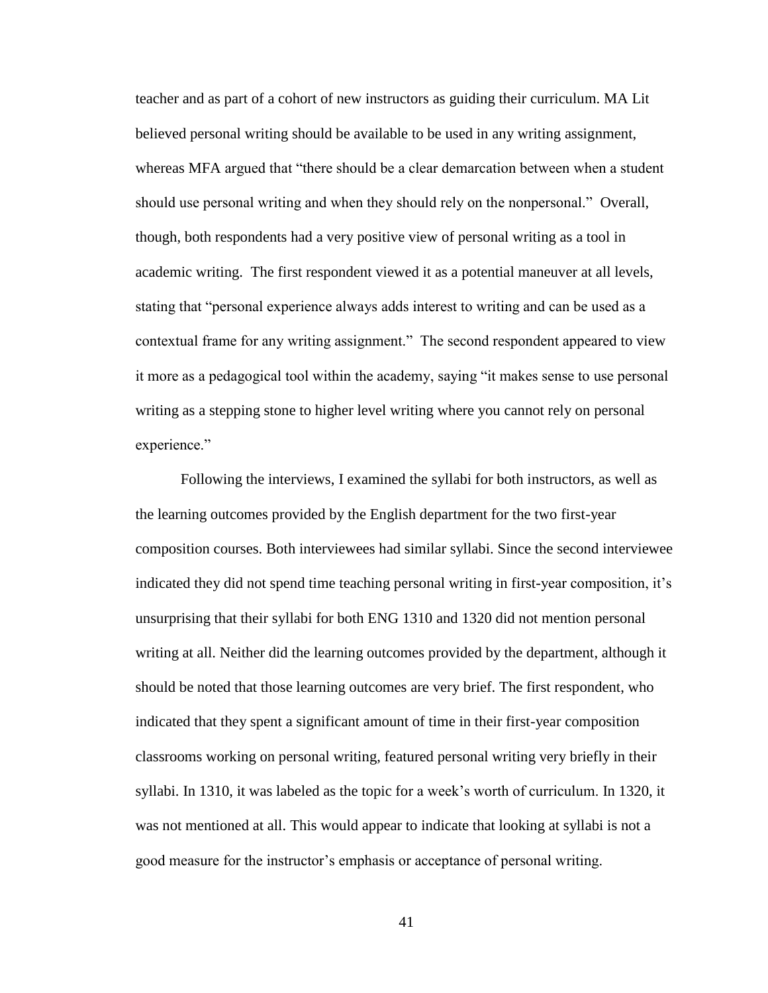teacher and as part of a cohort of new instructors as guiding their curriculum. MA Lit believed personal writing should be available to be used in any writing assignment, whereas MFA argued that "there should be a clear demarcation between when a student should use personal writing and when they should rely on the nonpersonal." Overall, though, both respondents had a very positive view of personal writing as a tool in academic writing. The first respondent viewed it as a potential maneuver at all levels, stating that "personal experience always adds interest to writing and can be used as a contextual frame for any writing assignment." The second respondent appeared to view it more as a pedagogical tool within the academy, saying "it makes sense to use personal writing as a stepping stone to higher level writing where you cannot rely on personal experience."

Following the interviews, I examined the syllabi for both instructors, as well as the learning outcomes provided by the English department for the two first-year composition courses. Both interviewees had similar syllabi. Since the second interviewee indicated they did not spend time teaching personal writing in first-year composition, it's unsurprising that their syllabi for both ENG 1310 and 1320 did not mention personal writing at all. Neither did the learning outcomes provided by the department, although it should be noted that those learning outcomes are very brief. The first respondent, who indicated that they spent a significant amount of time in their first-year composition classrooms working on personal writing, featured personal writing very briefly in their syllabi. In 1310, it was labeled as the topic for a week's worth of curriculum. In 1320, it was not mentioned at all. This would appear to indicate that looking at syllabi is not a good measure for the instructor's emphasis or acceptance of personal writing.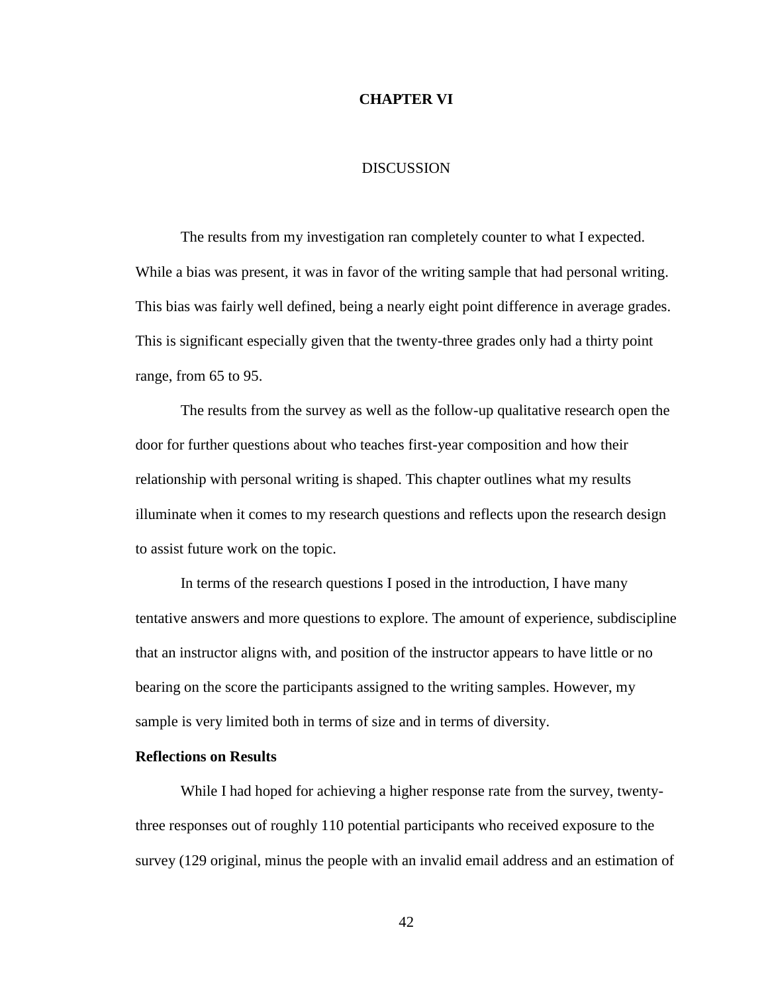### **CHAPTER VI**

#### DISCUSSION

The results from my investigation ran completely counter to what I expected. While a bias was present, it was in favor of the writing sample that had personal writing. This bias was fairly well defined, being a nearly eight point difference in average grades. This is significant especially given that the twenty-three grades only had a thirty point range, from 65 to 95.

The results from the survey as well as the follow-up qualitative research open the door for further questions about who teaches first-year composition and how their relationship with personal writing is shaped. This chapter outlines what my results illuminate when it comes to my research questions and reflects upon the research design to assist future work on the topic.

In terms of the research questions I posed in the introduction, I have many tentative answers and more questions to explore. The amount of experience, subdiscipline that an instructor aligns with, and position of the instructor appears to have little or no bearing on the score the participants assigned to the writing samples. However, my sample is very limited both in terms of size and in terms of diversity.

## **Reflections on Results**

While I had hoped for achieving a higher response rate from the survey, twentythree responses out of roughly 110 potential participants who received exposure to the survey (129 original, minus the people with an invalid email address and an estimation of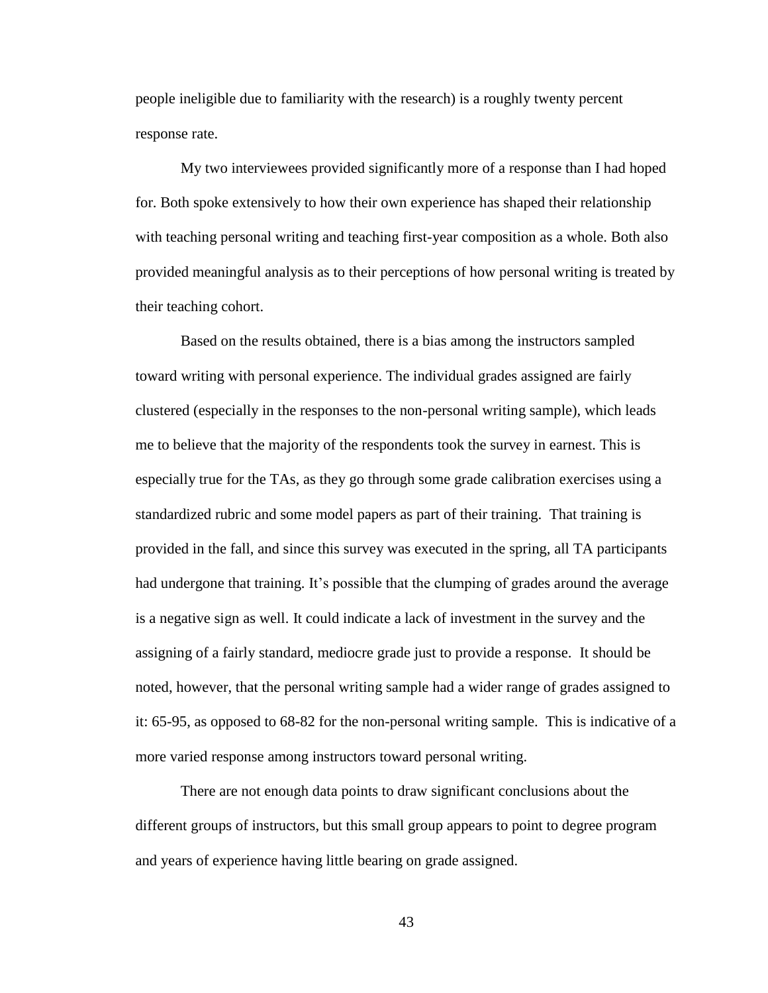people ineligible due to familiarity with the research) is a roughly twenty percent response rate.

My two interviewees provided significantly more of a response than I had hoped for. Both spoke extensively to how their own experience has shaped their relationship with teaching personal writing and teaching first-year composition as a whole. Both also provided meaningful analysis as to their perceptions of how personal writing is treated by their teaching cohort.

Based on the results obtained, there is a bias among the instructors sampled toward writing with personal experience. The individual grades assigned are fairly clustered (especially in the responses to the non-personal writing sample), which leads me to believe that the majority of the respondents took the survey in earnest. This is especially true for the TAs, as they go through some grade calibration exercises using a standardized rubric and some model papers as part of their training. That training is provided in the fall, and since this survey was executed in the spring, all TA participants had undergone that training. It's possible that the clumping of grades around the average is a negative sign as well. It could indicate a lack of investment in the survey and the assigning of a fairly standard, mediocre grade just to provide a response. It should be noted, however, that the personal writing sample had a wider range of grades assigned to it: 65-95, as opposed to 68-82 for the non-personal writing sample. This is indicative of a more varied response among instructors toward personal writing.

There are not enough data points to draw significant conclusions about the different groups of instructors, but this small group appears to point to degree program and years of experience having little bearing on grade assigned.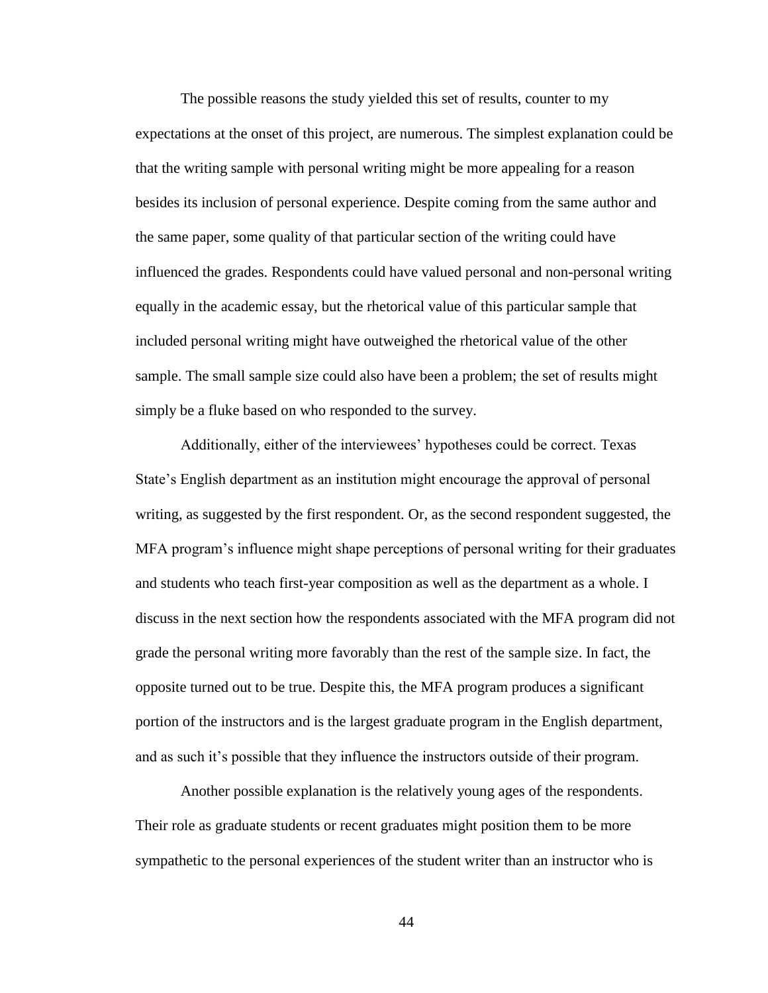The possible reasons the study yielded this set of results, counter to my expectations at the onset of this project, are numerous. The simplest explanation could be that the writing sample with personal writing might be more appealing for a reason besides its inclusion of personal experience. Despite coming from the same author and the same paper, some quality of that particular section of the writing could have influenced the grades. Respondents could have valued personal and non-personal writing equally in the academic essay, but the rhetorical value of this particular sample that included personal writing might have outweighed the rhetorical value of the other sample. The small sample size could also have been a problem; the set of results might simply be a fluke based on who responded to the survey.

Additionally, either of the interviewees' hypotheses could be correct. Texas State's English department as an institution might encourage the approval of personal writing, as suggested by the first respondent. Or, as the second respondent suggested, the MFA program's influence might shape perceptions of personal writing for their graduates and students who teach first-year composition as well as the department as a whole. I discuss in the next section how the respondents associated with the MFA program did not grade the personal writing more favorably than the rest of the sample size. In fact, the opposite turned out to be true. Despite this, the MFA program produces a significant portion of the instructors and is the largest graduate program in the English department, and as such it's possible that they influence the instructors outside of their program.

Another possible explanation is the relatively young ages of the respondents. Their role as graduate students or recent graduates might position them to be more sympathetic to the personal experiences of the student writer than an instructor who is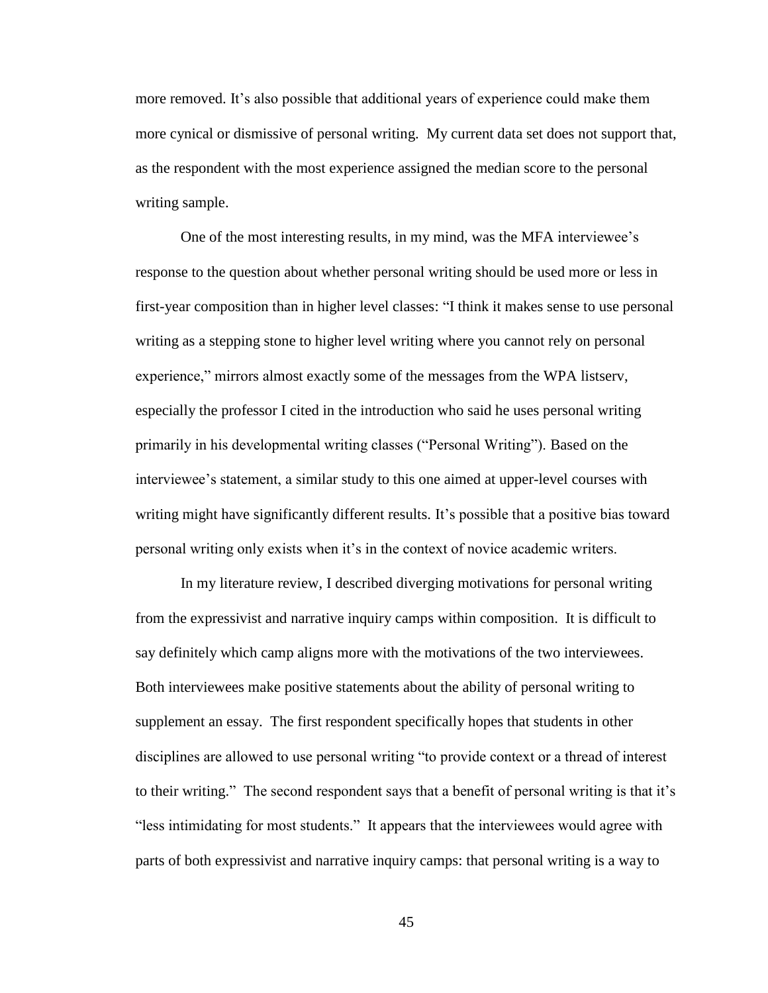more removed. It's also possible that additional years of experience could make them more cynical or dismissive of personal writing. My current data set does not support that, as the respondent with the most experience assigned the median score to the personal writing sample.

One of the most interesting results, in my mind, was the MFA interviewee's response to the question about whether personal writing should be used more or less in first-year composition than in higher level classes: "I think it makes sense to use personal writing as a stepping stone to higher level writing where you cannot rely on personal experience," mirrors almost exactly some of the messages from the WPA listserv, especially the professor I cited in the introduction who said he uses personal writing primarily in his developmental writing classes ("Personal Writing"). Based on the interviewee's statement, a similar study to this one aimed at upper-level courses with writing might have significantly different results. It's possible that a positive bias toward personal writing only exists when it's in the context of novice academic writers.

In my literature review, I described diverging motivations for personal writing from the expressivist and narrative inquiry camps within composition. It is difficult to say definitely which camp aligns more with the motivations of the two interviewees. Both interviewees make positive statements about the ability of personal writing to supplement an essay. The first respondent specifically hopes that students in other disciplines are allowed to use personal writing "to provide context or a thread of interest to their writing." The second respondent says that a benefit of personal writing is that it's "less intimidating for most students." It appears that the interviewees would agree with parts of both expressivist and narrative inquiry camps: that personal writing is a way to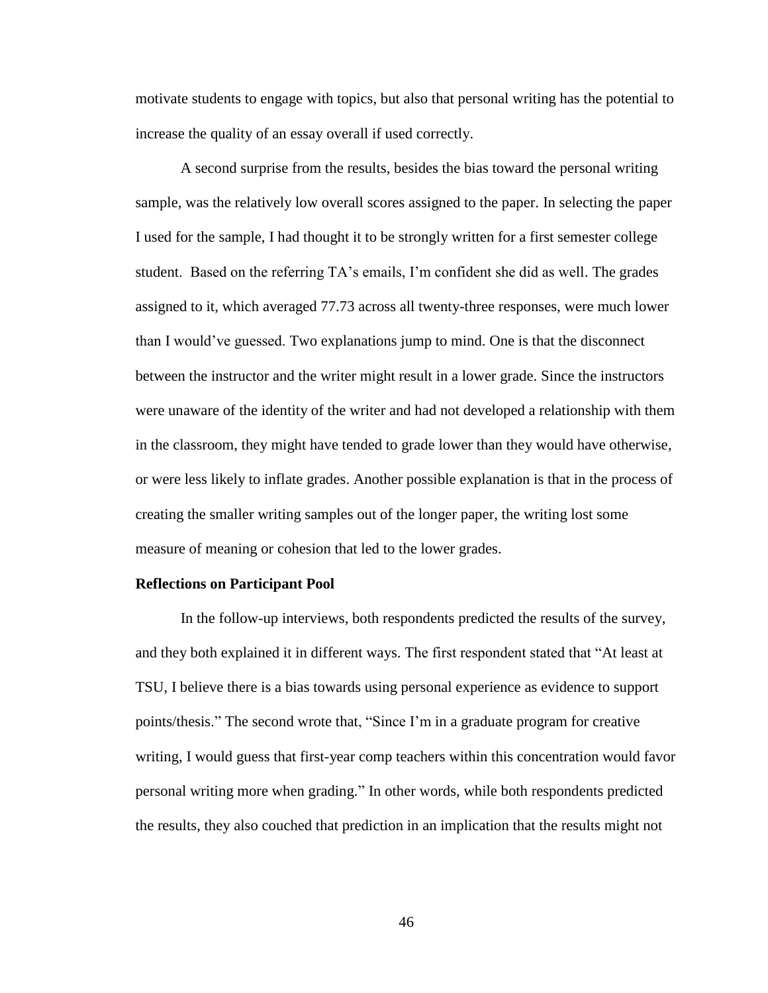motivate students to engage with topics, but also that personal writing has the potential to increase the quality of an essay overall if used correctly.

A second surprise from the results, besides the bias toward the personal writing sample, was the relatively low overall scores assigned to the paper. In selecting the paper I used for the sample, I had thought it to be strongly written for a first semester college student. Based on the referring TA's emails, I'm confident she did as well. The grades assigned to it, which averaged 77.73 across all twenty-three responses, were much lower than I would've guessed. Two explanations jump to mind. One is that the disconnect between the instructor and the writer might result in a lower grade. Since the instructors were unaware of the identity of the writer and had not developed a relationship with them in the classroom, they might have tended to grade lower than they would have otherwise, or were less likely to inflate grades. Another possible explanation is that in the process of creating the smaller writing samples out of the longer paper, the writing lost some measure of meaning or cohesion that led to the lower grades.

#### **Reflections on Participant Pool**

In the follow-up interviews, both respondents predicted the results of the survey, and they both explained it in different ways. The first respondent stated that "At least at TSU, I believe there is a bias towards using personal experience as evidence to support points/thesis." The second wrote that, "Since I'm in a graduate program for creative writing, I would guess that first-year comp teachers within this concentration would favor personal writing more when grading." In other words, while both respondents predicted the results, they also couched that prediction in an implication that the results might not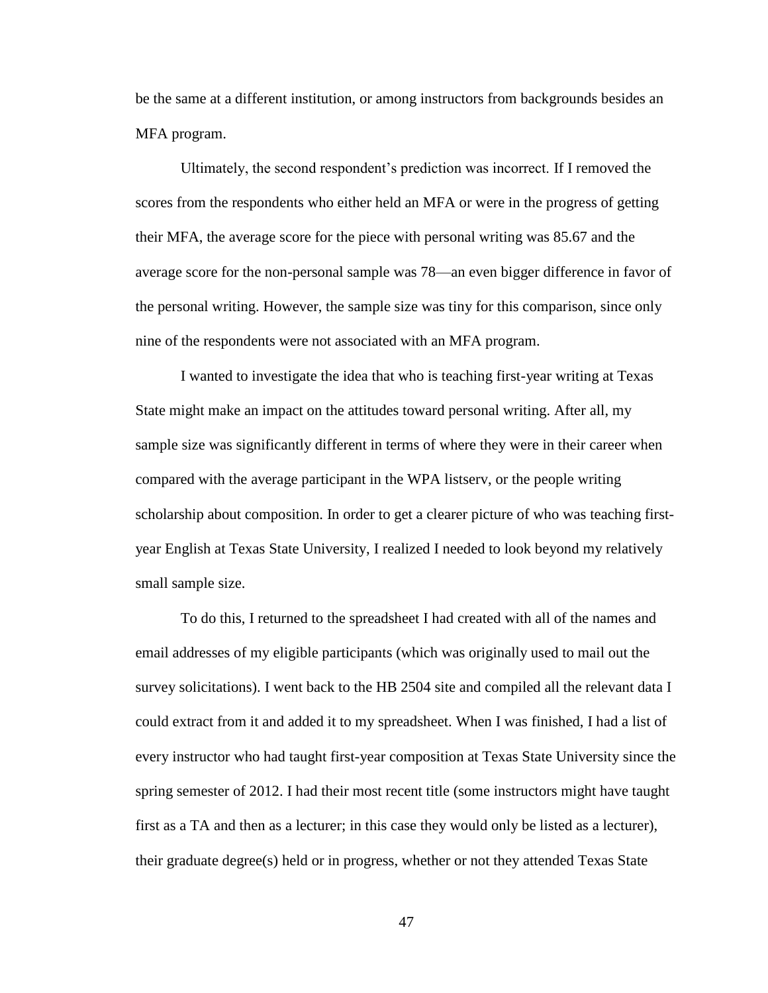be the same at a different institution, or among instructors from backgrounds besides an MFA program.

Ultimately, the second respondent's prediction was incorrect. If I removed the scores from the respondents who either held an MFA or were in the progress of getting their MFA, the average score for the piece with personal writing was 85.67 and the average score for the non-personal sample was 78—an even bigger difference in favor of the personal writing. However, the sample size was tiny for this comparison, since only nine of the respondents were not associated with an MFA program.

I wanted to investigate the idea that who is teaching first-year writing at Texas State might make an impact on the attitudes toward personal writing. After all, my sample size was significantly different in terms of where they were in their career when compared with the average participant in the WPA listserv, or the people writing scholarship about composition. In order to get a clearer picture of who was teaching firstyear English at Texas State University, I realized I needed to look beyond my relatively small sample size.

To do this, I returned to the spreadsheet I had created with all of the names and email addresses of my eligible participants (which was originally used to mail out the survey solicitations). I went back to the HB 2504 site and compiled all the relevant data I could extract from it and added it to my spreadsheet. When I was finished, I had a list of every instructor who had taught first-year composition at Texas State University since the spring semester of 2012. I had their most recent title (some instructors might have taught first as a TA and then as a lecturer; in this case they would only be listed as a lecturer), their graduate degree(s) held or in progress, whether or not they attended Texas State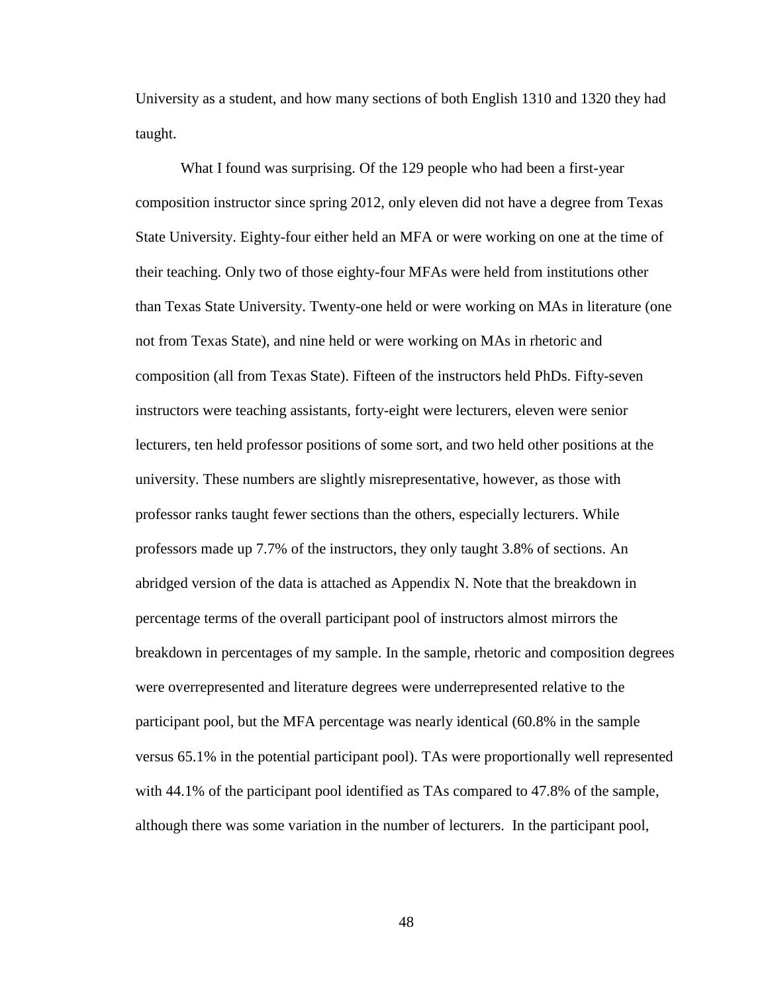University as a student, and how many sections of both English 1310 and 1320 they had taught.

What I found was surprising. Of the 129 people who had been a first-year composition instructor since spring 2012, only eleven did not have a degree from Texas State University. Eighty-four either held an MFA or were working on one at the time of their teaching. Only two of those eighty-four MFAs were held from institutions other than Texas State University. Twenty-one held or were working on MAs in literature (one not from Texas State), and nine held or were working on MAs in rhetoric and composition (all from Texas State). Fifteen of the instructors held PhDs. Fifty-seven instructors were teaching assistants, forty-eight were lecturers, eleven were senior lecturers, ten held professor positions of some sort, and two held other positions at the university. These numbers are slightly misrepresentative, however, as those with professor ranks taught fewer sections than the others, especially lecturers. While professors made up 7.7% of the instructors, they only taught 3.8% of sections. An abridged version of the data is attached as Appendix N. Note that the breakdown in percentage terms of the overall participant pool of instructors almost mirrors the breakdown in percentages of my sample. In the sample, rhetoric and composition degrees were overrepresented and literature degrees were underrepresented relative to the participant pool, but the MFA percentage was nearly identical (60.8% in the sample versus 65.1% in the potential participant pool). TAs were proportionally well represented with 44.1% of the participant pool identified as TAs compared to 47.8% of the sample, although there was some variation in the number of lecturers. In the participant pool,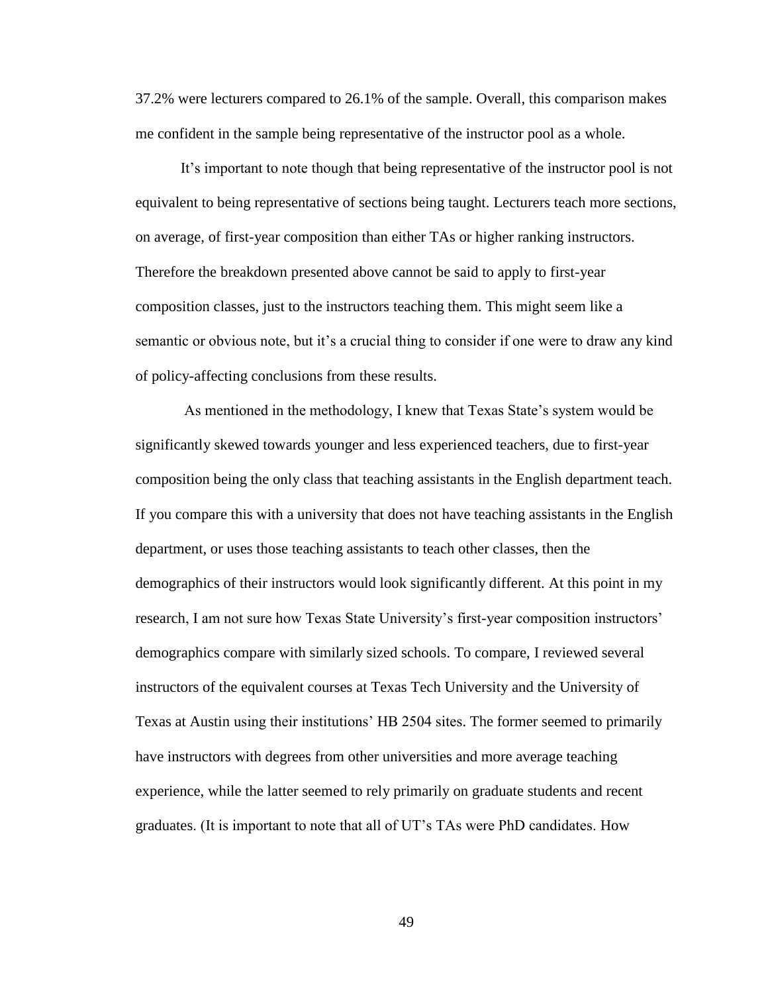37.2% were lecturers compared to 26.1% of the sample. Overall, this comparison makes me confident in the sample being representative of the instructor pool as a whole.

It's important to note though that being representative of the instructor pool is not equivalent to being representative of sections being taught. Lecturers teach more sections, on average, of first-year composition than either TAs or higher ranking instructors. Therefore the breakdown presented above cannot be said to apply to first-year composition classes, just to the instructors teaching them. This might seem like a semantic or obvious note, but it's a crucial thing to consider if one were to draw any kind of policy-affecting conclusions from these results.

As mentioned in the methodology, I knew that Texas State's system would be significantly skewed towards younger and less experienced teachers, due to first-year composition being the only class that teaching assistants in the English department teach. If you compare this with a university that does not have teaching assistants in the English department, or uses those teaching assistants to teach other classes, then the demographics of their instructors would look significantly different. At this point in my research, I am not sure how Texas State University's first-year composition instructors' demographics compare with similarly sized schools. To compare, I reviewed several instructors of the equivalent courses at Texas Tech University and the University of Texas at Austin using their institutions' HB 2504 sites. The former seemed to primarily have instructors with degrees from other universities and more average teaching experience, while the latter seemed to rely primarily on graduate students and recent graduates. (It is important to note that all of UT's TAs were PhD candidates. How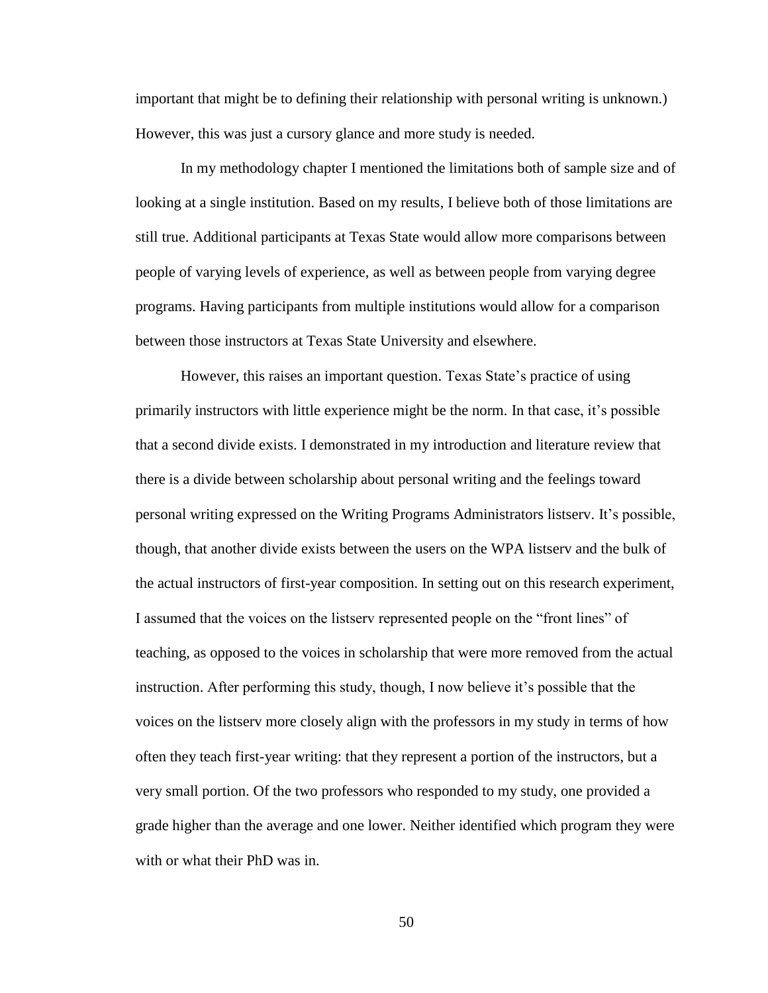important that might be to defining their relationship with personal writing is unknown.) However, this was just a cursory glance and more study is needed.

In my methodology chapter I mentioned the limitations both of sample size and of looking at a single institution. Based on my results, I believe both of those limitations are still true. Additional participants at Texas State would allow more comparisons between people of varying levels of experience, as well as between people from varying degree programs. Having participants from multiple institutions would allow for a comparison between those instructors at Texas State University and elsewhere.

However, this raises an important question. Texas State's practice of using primarily instructors with little experience might be the norm. In that case, it's possible that a second divide exists. I demonstrated in my introduction and literature review that there is a divide between scholarship about personal writing and the feelings toward personal writing expressed on the Writing Programs Administrators listserv. It's possible, though, that another divide exists between the users on the WPA listserv and the bulk of the actual instructors of first-year composition. In setting out on this research experiment, I assumed that the voices on the listserv represented people on the "front lines" of teaching, as opposed to the voices in scholarship that were more removed from the actual instruction. After performing this study, though, I now believe it's possible that the voices on the listserv more closely align with the professors in my study in terms of how often they teach first-year writing: that they represent a portion of the instructors, but a very small portion. Of the two professors who responded to my study, one provided a grade higher than the average and one lower. Neither identified which program they were with or what their PhD was in.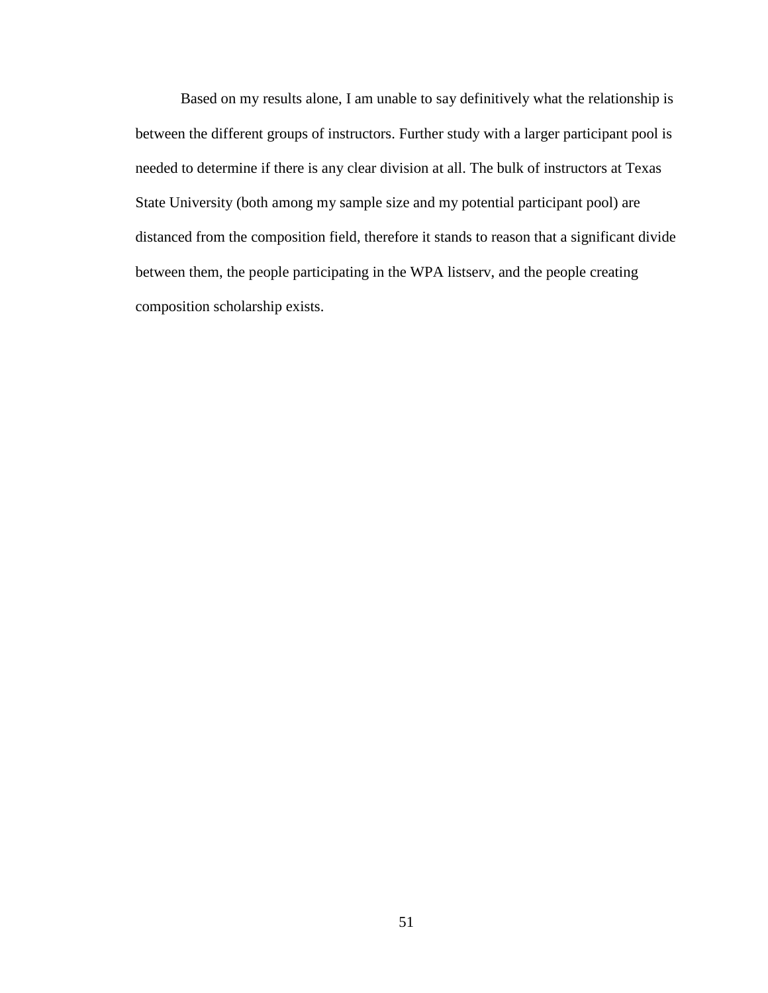Based on my results alone, I am unable to say definitively what the relationship is between the different groups of instructors. Further study with a larger participant pool is needed to determine if there is any clear division at all. The bulk of instructors at Texas State University (both among my sample size and my potential participant pool) are distanced from the composition field, therefore it stands to reason that a significant divide between them, the people participating in the WPA listserv, and the people creating composition scholarship exists.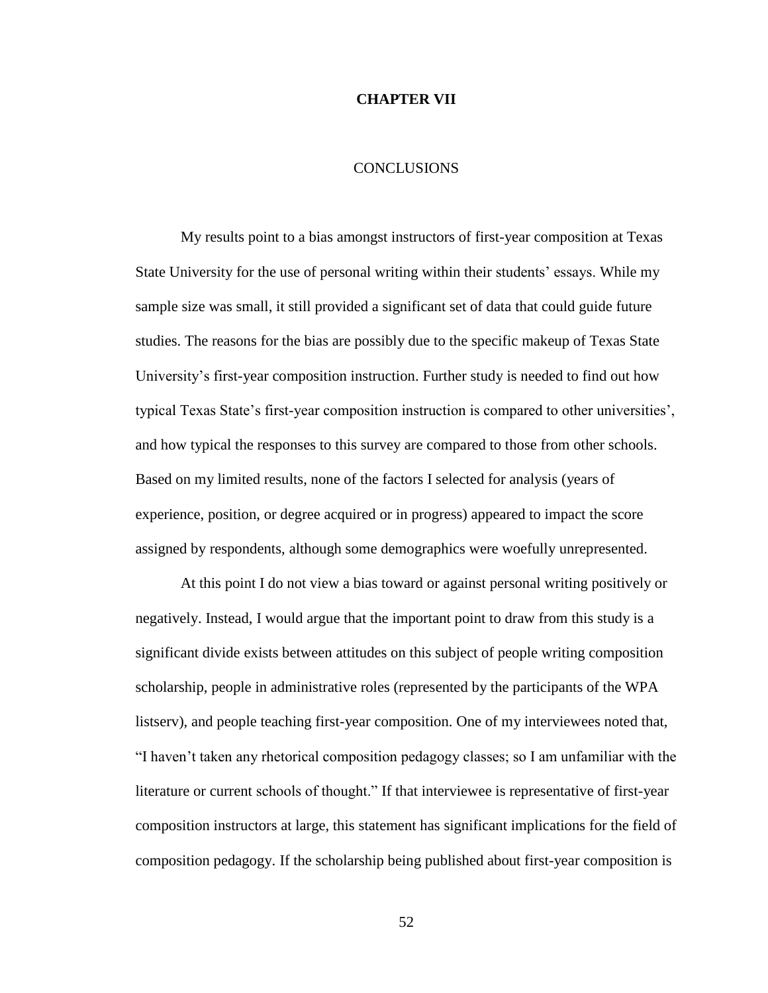## **CHAPTER VII**

#### **CONCLUSIONS**

My results point to a bias amongst instructors of first-year composition at Texas State University for the use of personal writing within their students' essays. While my sample size was small, it still provided a significant set of data that could guide future studies. The reasons for the bias are possibly due to the specific makeup of Texas State University's first-year composition instruction. Further study is needed to find out how typical Texas State's first-year composition instruction is compared to other universities', and how typical the responses to this survey are compared to those from other schools. Based on my limited results, none of the factors I selected for analysis (years of experience, position, or degree acquired or in progress) appeared to impact the score assigned by respondents, although some demographics were woefully unrepresented.

At this point I do not view a bias toward or against personal writing positively or negatively. Instead, I would argue that the important point to draw from this study is a significant divide exists between attitudes on this subject of people writing composition scholarship, people in administrative roles (represented by the participants of the WPA listserv), and people teaching first-year composition. One of my interviewees noted that, "I haven't taken any rhetorical composition pedagogy classes; so I am unfamiliar with the literature or current schools of thought." If that interviewee is representative of first-year composition instructors at large, this statement has significant implications for the field of composition pedagogy. If the scholarship being published about first-year composition is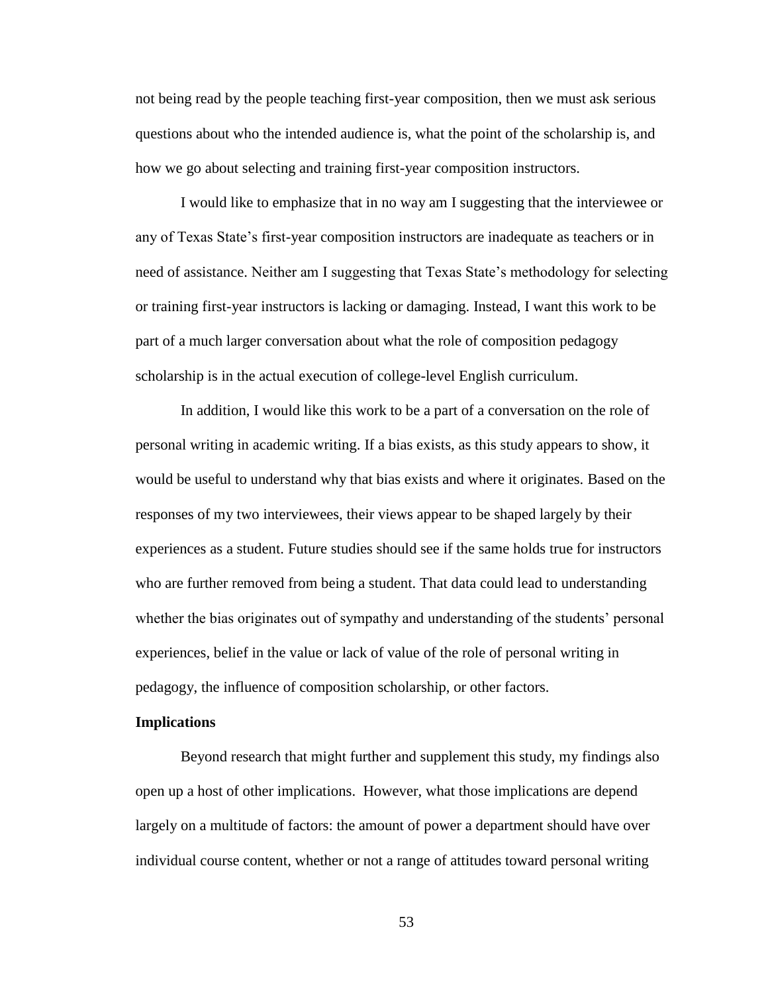not being read by the people teaching first-year composition, then we must ask serious questions about who the intended audience is, what the point of the scholarship is, and how we go about selecting and training first-year composition instructors.

I would like to emphasize that in no way am I suggesting that the interviewee or any of Texas State's first-year composition instructors are inadequate as teachers or in need of assistance. Neither am I suggesting that Texas State's methodology for selecting or training first-year instructors is lacking or damaging. Instead, I want this work to be part of a much larger conversation about what the role of composition pedagogy scholarship is in the actual execution of college-level English curriculum.

In addition, I would like this work to be a part of a conversation on the role of personal writing in academic writing. If a bias exists, as this study appears to show, it would be useful to understand why that bias exists and where it originates. Based on the responses of my two interviewees, their views appear to be shaped largely by their experiences as a student. Future studies should see if the same holds true for instructors who are further removed from being a student. That data could lead to understanding whether the bias originates out of sympathy and understanding of the students' personal experiences, belief in the value or lack of value of the role of personal writing in pedagogy, the influence of composition scholarship, or other factors.

#### **Implications**

Beyond research that might further and supplement this study, my findings also open up a host of other implications. However, what those implications are depend largely on a multitude of factors: the amount of power a department should have over individual course content, whether or not a range of attitudes toward personal writing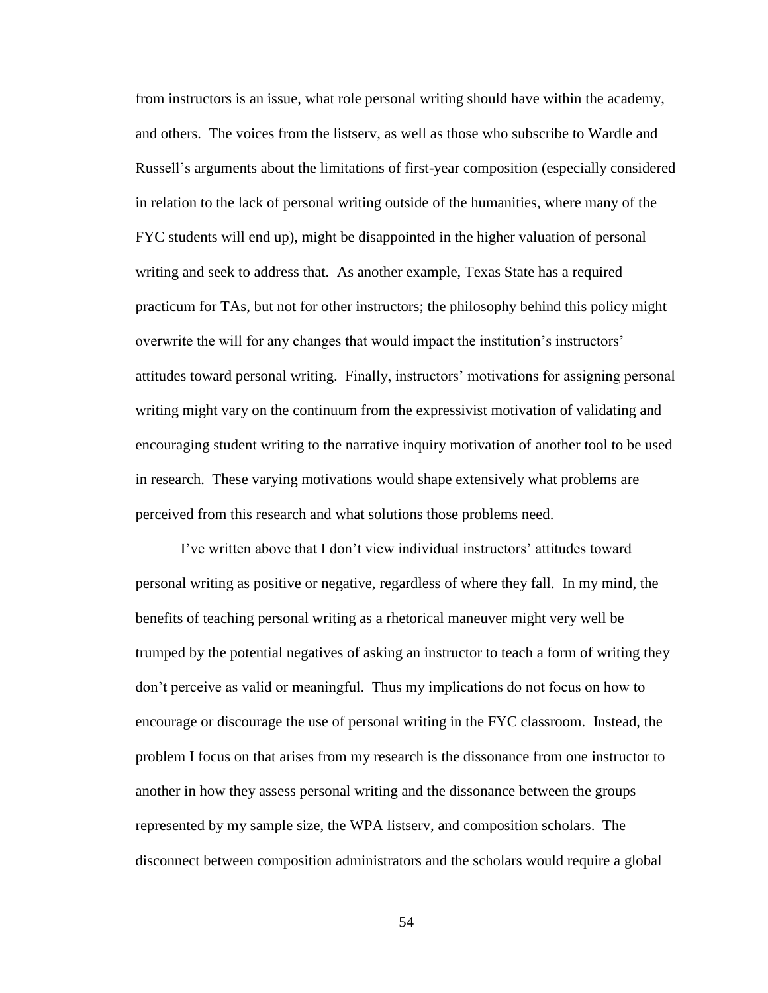from instructors is an issue, what role personal writing should have within the academy, and others. The voices from the listserv, as well as those who subscribe to Wardle and Russell's arguments about the limitations of first-year composition (especially considered in relation to the lack of personal writing outside of the humanities, where many of the FYC students will end up), might be disappointed in the higher valuation of personal writing and seek to address that. As another example, Texas State has a required practicum for TAs, but not for other instructors; the philosophy behind this policy might overwrite the will for any changes that would impact the institution's instructors' attitudes toward personal writing. Finally, instructors' motivations for assigning personal writing might vary on the continuum from the expressivist motivation of validating and encouraging student writing to the narrative inquiry motivation of another tool to be used in research. These varying motivations would shape extensively what problems are perceived from this research and what solutions those problems need.

I've written above that I don't view individual instructors' attitudes toward personal writing as positive or negative, regardless of where they fall. In my mind, the benefits of teaching personal writing as a rhetorical maneuver might very well be trumped by the potential negatives of asking an instructor to teach a form of writing they don't perceive as valid or meaningful. Thus my implications do not focus on how to encourage or discourage the use of personal writing in the FYC classroom. Instead, the problem I focus on that arises from my research is the dissonance from one instructor to another in how they assess personal writing and the dissonance between the groups represented by my sample size, the WPA listserv, and composition scholars. The disconnect between composition administrators and the scholars would require a global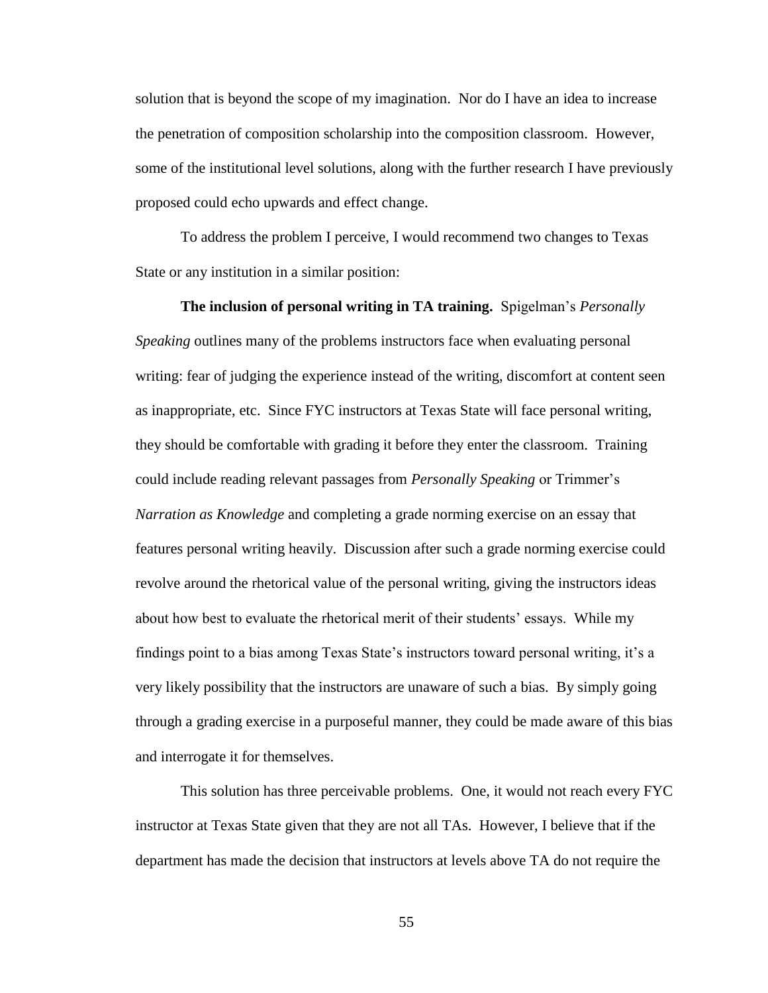solution that is beyond the scope of my imagination. Nor do I have an idea to increase the penetration of composition scholarship into the composition classroom. However, some of the institutional level solutions, along with the further research I have previously proposed could echo upwards and effect change.

To address the problem I perceive, I would recommend two changes to Texas State or any institution in a similar position:

**The inclusion of personal writing in TA training.** Spigelman's *Personally Speaking* outlines many of the problems instructors face when evaluating personal writing: fear of judging the experience instead of the writing, discomfort at content seen as inappropriate, etc. Since FYC instructors at Texas State will face personal writing, they should be comfortable with grading it before they enter the classroom. Training could include reading relevant passages from *Personally Speaking* or Trimmer's *Narration as Knowledge* and completing a grade norming exercise on an essay that features personal writing heavily. Discussion after such a grade norming exercise could revolve around the rhetorical value of the personal writing, giving the instructors ideas about how best to evaluate the rhetorical merit of their students' essays. While my findings point to a bias among Texas State's instructors toward personal writing, it's a very likely possibility that the instructors are unaware of such a bias. By simply going through a grading exercise in a purposeful manner, they could be made aware of this bias and interrogate it for themselves.

This solution has three perceivable problems. One, it would not reach every FYC instructor at Texas State given that they are not all TAs. However, I believe that if the department has made the decision that instructors at levels above TA do not require the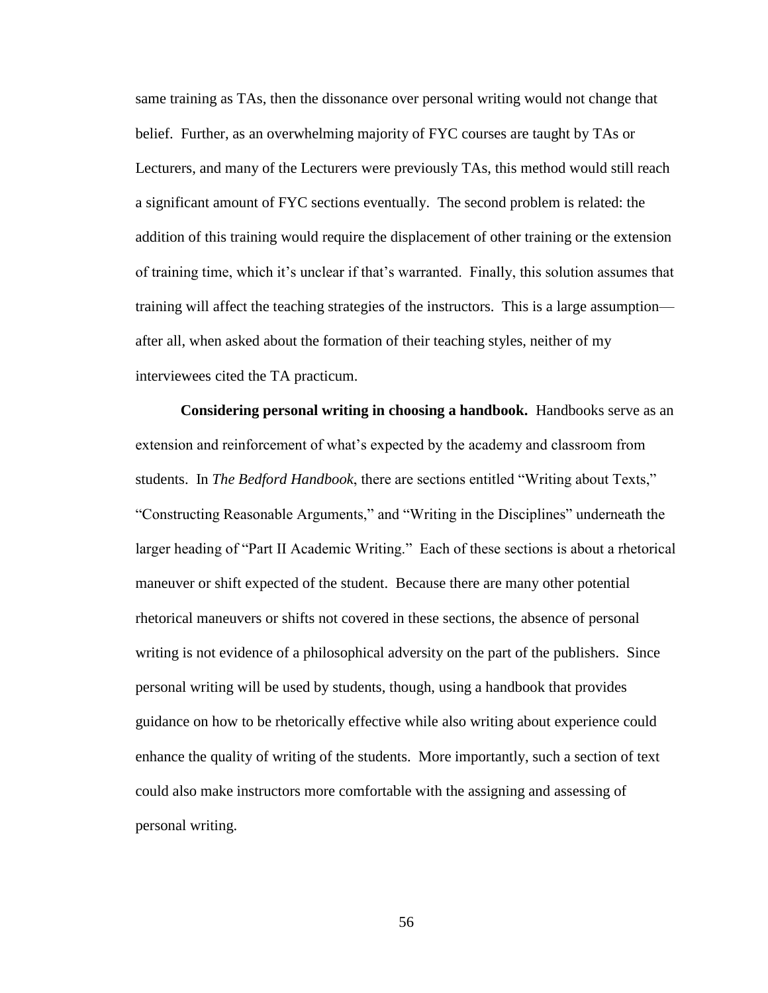same training as TAs, then the dissonance over personal writing would not change that belief. Further, as an overwhelming majority of FYC courses are taught by TAs or Lecturers, and many of the Lecturers were previously TAs, this method would still reach a significant amount of FYC sections eventually. The second problem is related: the addition of this training would require the displacement of other training or the extension of training time, which it's unclear if that's warranted. Finally, this solution assumes that training will affect the teaching strategies of the instructors. This is a large assumption after all, when asked about the formation of their teaching styles, neither of my interviewees cited the TA practicum.

**Considering personal writing in choosing a handbook.** Handbooks serve as an extension and reinforcement of what's expected by the academy and classroom from students. In *The Bedford Handbook*, there are sections entitled "Writing about Texts," "Constructing Reasonable Arguments," and "Writing in the Disciplines" underneath the larger heading of "Part II Academic Writing." Each of these sections is about a rhetorical maneuver or shift expected of the student. Because there are many other potential rhetorical maneuvers or shifts not covered in these sections, the absence of personal writing is not evidence of a philosophical adversity on the part of the publishers. Since personal writing will be used by students, though, using a handbook that provides guidance on how to be rhetorically effective while also writing about experience could enhance the quality of writing of the students. More importantly, such a section of text could also make instructors more comfortable with the assigning and assessing of personal writing.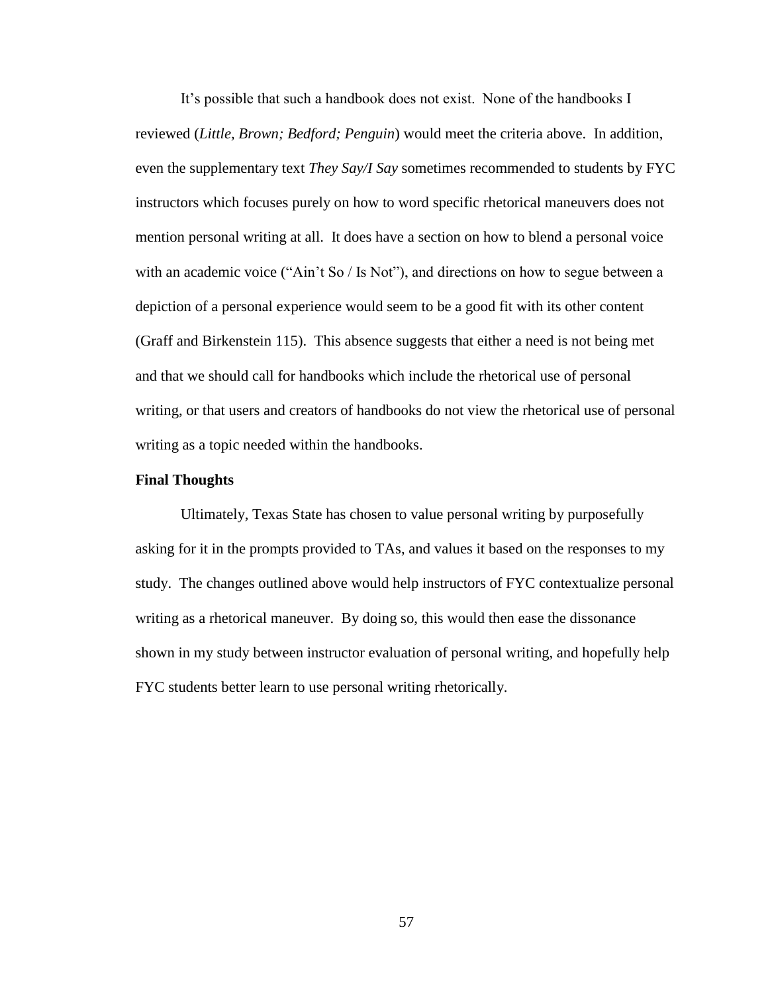It's possible that such a handbook does not exist. None of the handbooks I reviewed (*Little, Brown; Bedford; Penguin*) would meet the criteria above. In addition, even the supplementary text *They Say/I Say* sometimes recommended to students by FYC instructors which focuses purely on how to word specific rhetorical maneuvers does not mention personal writing at all. It does have a section on how to blend a personal voice with an academic voice ("Ain't So / Is Not"), and directions on how to segue between a depiction of a personal experience would seem to be a good fit with its other content (Graff and Birkenstein 115). This absence suggests that either a need is not being met and that we should call for handbooks which include the rhetorical use of personal writing, or that users and creators of handbooks do not view the rhetorical use of personal writing as a topic needed within the handbooks.

## **Final Thoughts**

Ultimately, Texas State has chosen to value personal writing by purposefully asking for it in the prompts provided to TAs, and values it based on the responses to my study. The changes outlined above would help instructors of FYC contextualize personal writing as a rhetorical maneuver. By doing so, this would then ease the dissonance shown in my study between instructor evaluation of personal writing, and hopefully help FYC students better learn to use personal writing rhetorically.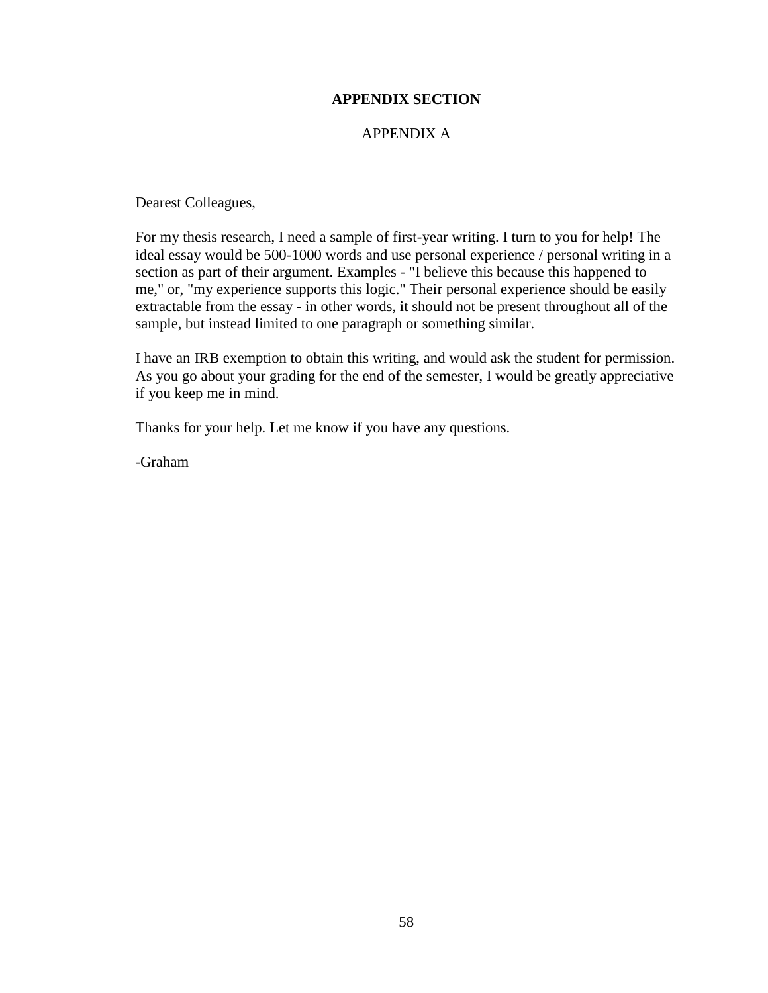# **APPENDIX SECTION**

# APPENDIX A

Dearest Colleagues,

For my thesis research, I need a sample of first-year writing. I turn to you for help! The ideal essay would be 500-1000 words and use personal experience / personal writing in a section as part of their argument. Examples - "I believe this because this happened to me," or, "my experience supports this logic." Their personal experience should be easily extractable from the essay - in other words, it should not be present throughout all of the sample, but instead limited to one paragraph or something similar.

I have an IRB exemption to obtain this writing, and would ask the student for permission. As you go about your grading for the end of the semester, I would be greatly appreciative if you keep me in mind.

Thanks for your help. Let me know if you have any questions.

-Graham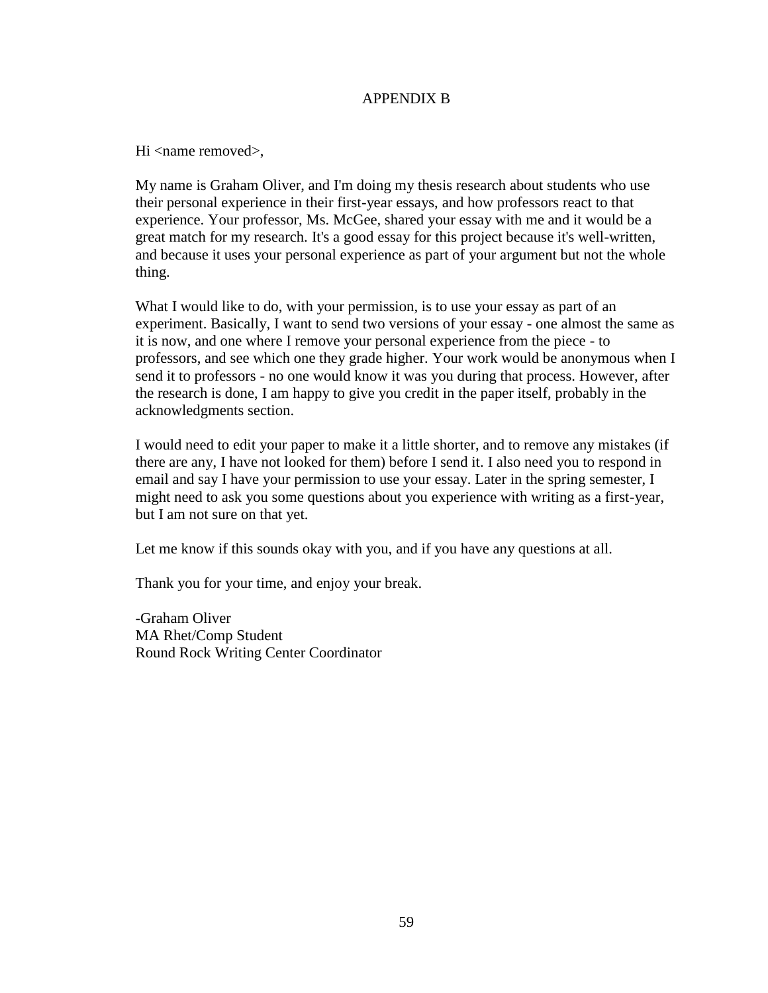# APPENDIX B

Hi <name removed>,

My name is Graham Oliver, and I'm doing my thesis research about students who use their personal experience in their first-year essays, and how professors react to that experience. Your professor, Ms. McGee, shared your essay with me and it would be a great match for my research. It's a good essay for this project because it's well-written, and because it uses your personal experience as part of your argument but not the whole thing.

What I would like to do, with your permission, is to use your essay as part of an experiment. Basically, I want to send two versions of your essay - one almost the same as it is now, and one where I remove your personal experience from the piece - to professors, and see which one they grade higher. Your work would be anonymous when I send it to professors - no one would know it was you during that process. However, after the research is done, I am happy to give you credit in the paper itself, probably in the acknowledgments section.

I would need to edit your paper to make it a little shorter, and to remove any mistakes (if there are any, I have not looked for them) before I send it. I also need you to respond in email and say I have your permission to use your essay. Later in the spring semester, I might need to ask you some questions about you experience with writing as a first-year, but I am not sure on that yet.

Let me know if this sounds okay with you, and if you have any questions at all.

Thank you for your time, and enjoy your break.

-Graham Oliver MA Rhet/Comp Student Round Rock Writing Center Coordinator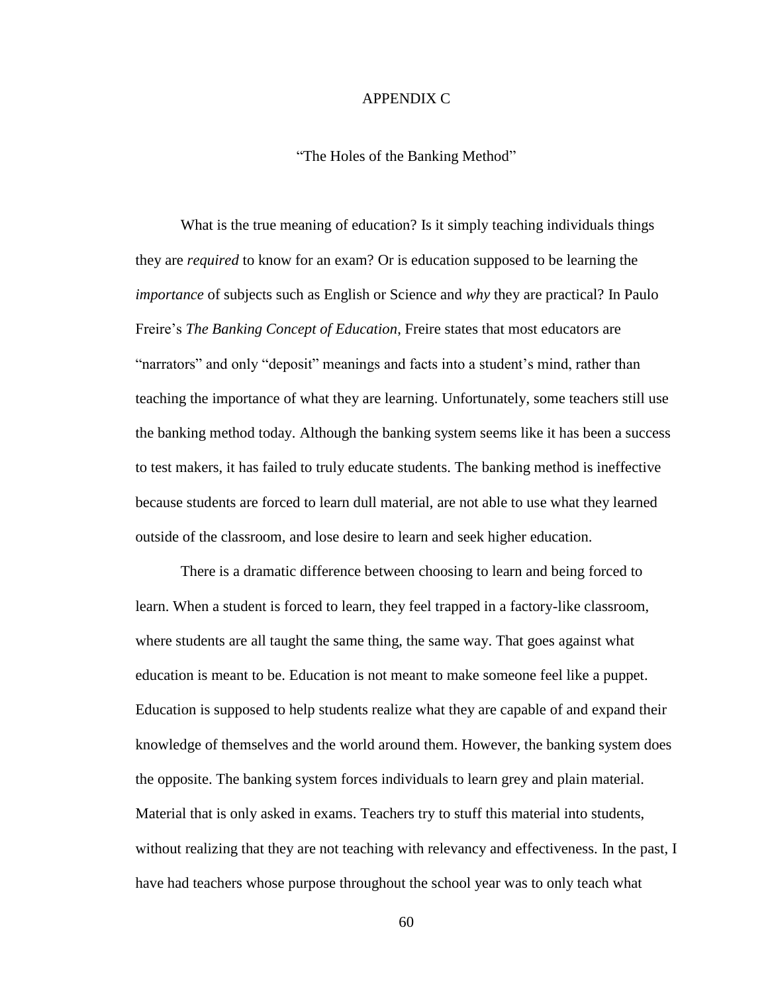## APPENDIX C

### "The Holes of the Banking Method"

What is the true meaning of education? Is it simply teaching individuals things they are *required* to know for an exam? Or is education supposed to be learning the *importance* of subjects such as English or Science and *why* they are practical? In Paulo Freire's *The Banking Concept of Education*, Freire states that most educators are "narrators" and only "deposit" meanings and facts into a student's mind, rather than teaching the importance of what they are learning. Unfortunately, some teachers still use the banking method today. Although the banking system seems like it has been a success to test makers, it has failed to truly educate students. The banking method is ineffective because students are forced to learn dull material, are not able to use what they learned outside of the classroom, and lose desire to learn and seek higher education.

There is a dramatic difference between choosing to learn and being forced to learn. When a student is forced to learn, they feel trapped in a factory-like classroom, where students are all taught the same thing, the same way. That goes against what education is meant to be. Education is not meant to make someone feel like a puppet. Education is supposed to help students realize what they are capable of and expand their knowledge of themselves and the world around them. However, the banking system does the opposite. The banking system forces individuals to learn grey and plain material. Material that is only asked in exams. Teachers try to stuff this material into students, without realizing that they are not teaching with relevancy and effectiveness. In the past, I have had teachers whose purpose throughout the school year was to only teach what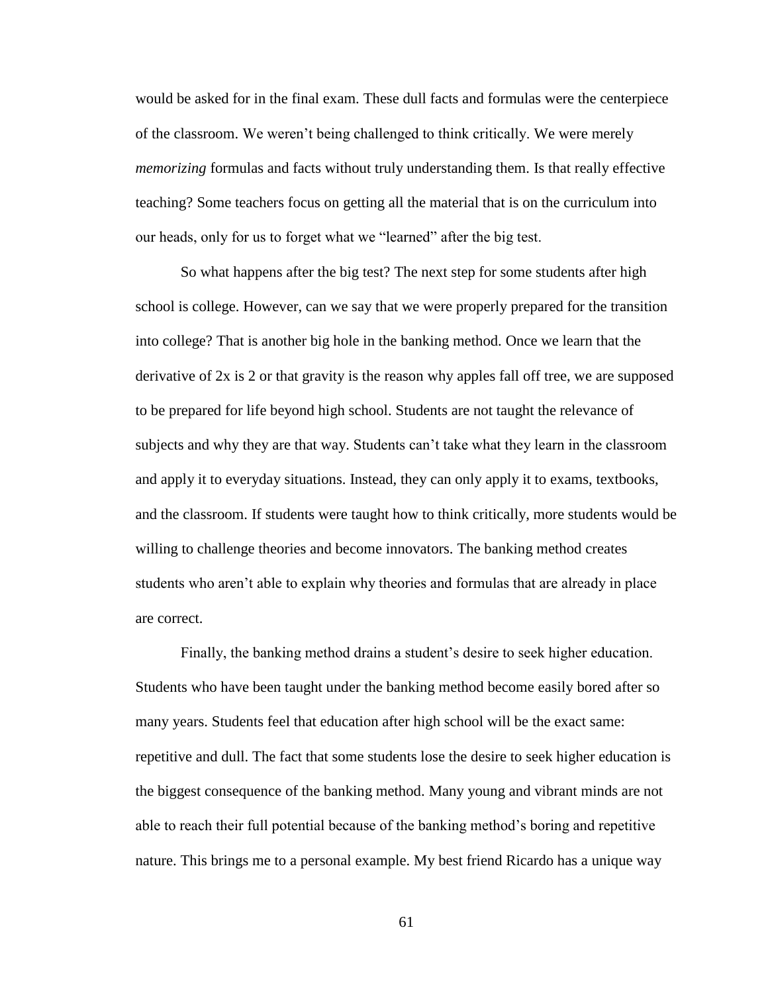would be asked for in the final exam. These dull facts and formulas were the centerpiece of the classroom. We weren't being challenged to think critically. We were merely *memorizing* formulas and facts without truly understanding them. Is that really effective teaching? Some teachers focus on getting all the material that is on the curriculum into our heads, only for us to forget what we "learned" after the big test.

So what happens after the big test? The next step for some students after high school is college. However, can we say that we were properly prepared for the transition into college? That is another big hole in the banking method. Once we learn that the derivative of 2x is 2 or that gravity is the reason why apples fall off tree, we are supposed to be prepared for life beyond high school. Students are not taught the relevance of subjects and why they are that way. Students can't take what they learn in the classroom and apply it to everyday situations. Instead, they can only apply it to exams, textbooks, and the classroom. If students were taught how to think critically, more students would be willing to challenge theories and become innovators. The banking method creates students who aren't able to explain why theories and formulas that are already in place are correct.

Finally, the banking method drains a student's desire to seek higher education. Students who have been taught under the banking method become easily bored after so many years. Students feel that education after high school will be the exact same: repetitive and dull. The fact that some students lose the desire to seek higher education is the biggest consequence of the banking method. Many young and vibrant minds are not able to reach their full potential because of the banking method's boring and repetitive nature. This brings me to a personal example. My best friend Ricardo has a unique way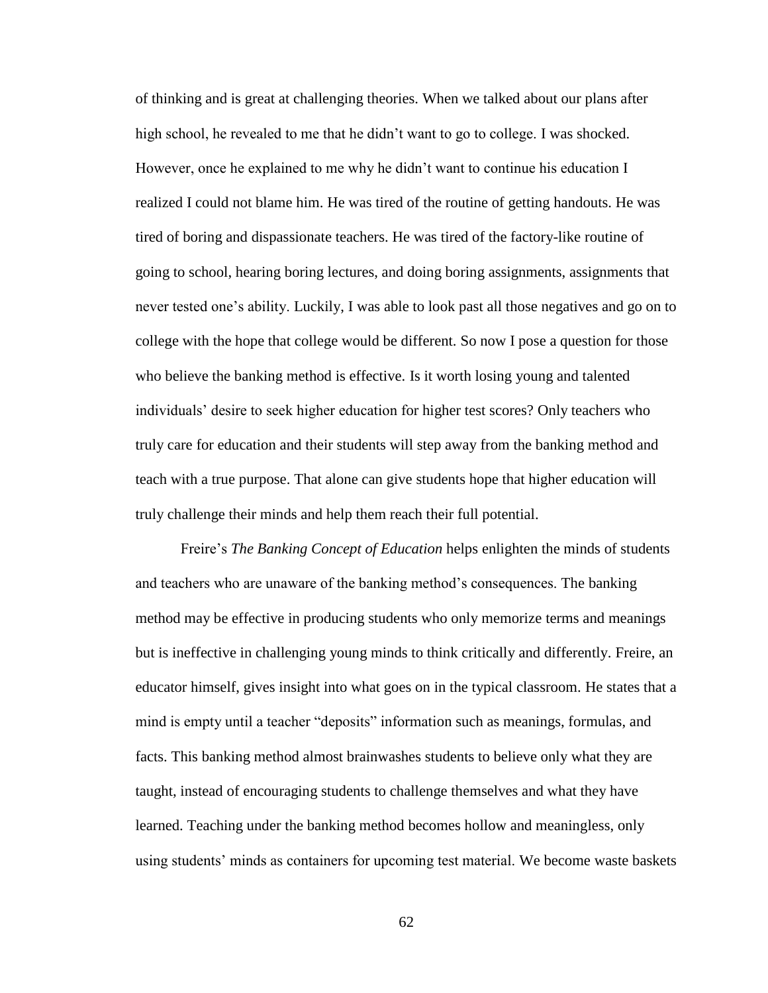of thinking and is great at challenging theories. When we talked about our plans after high school, he revealed to me that he didn't want to go to college. I was shocked. However, once he explained to me why he didn't want to continue his education I realized I could not blame him. He was tired of the routine of getting handouts. He was tired of boring and dispassionate teachers. He was tired of the factory-like routine of going to school, hearing boring lectures, and doing boring assignments, assignments that never tested one's ability. Luckily, I was able to look past all those negatives and go on to college with the hope that college would be different. So now I pose a question for those who believe the banking method is effective. Is it worth losing young and talented individuals' desire to seek higher education for higher test scores? Only teachers who truly care for education and their students will step away from the banking method and teach with a true purpose. That alone can give students hope that higher education will truly challenge their minds and help them reach their full potential.

Freire's *The Banking Concept of Education* helps enlighten the minds of students and teachers who are unaware of the banking method's consequences. The banking method may be effective in producing students who only memorize terms and meanings but is ineffective in challenging young minds to think critically and differently. Freire, an educator himself, gives insight into what goes on in the typical classroom. He states that a mind is empty until a teacher "deposits" information such as meanings, formulas, and facts. This banking method almost brainwashes students to believe only what they are taught, instead of encouraging students to challenge themselves and what they have learned. Teaching under the banking method becomes hollow and meaningless, only using students' minds as containers for upcoming test material. We become waste baskets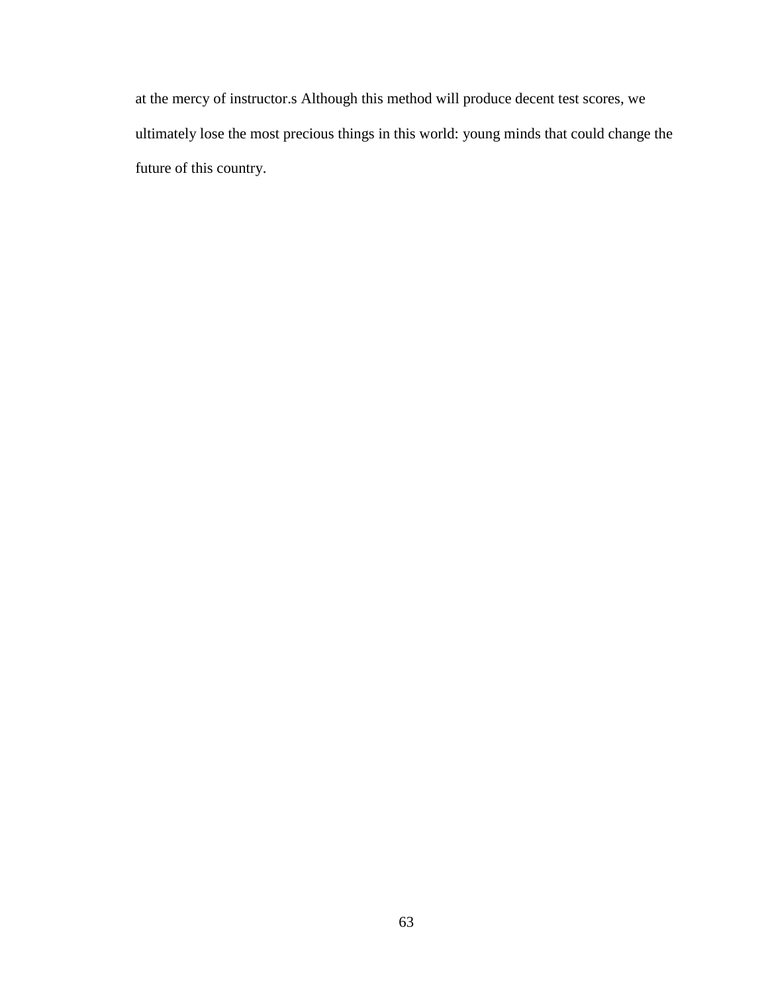at the mercy of instructor.s Although this method will produce decent test scores, we ultimately lose the most precious things in this world: young minds that could change the future of this country.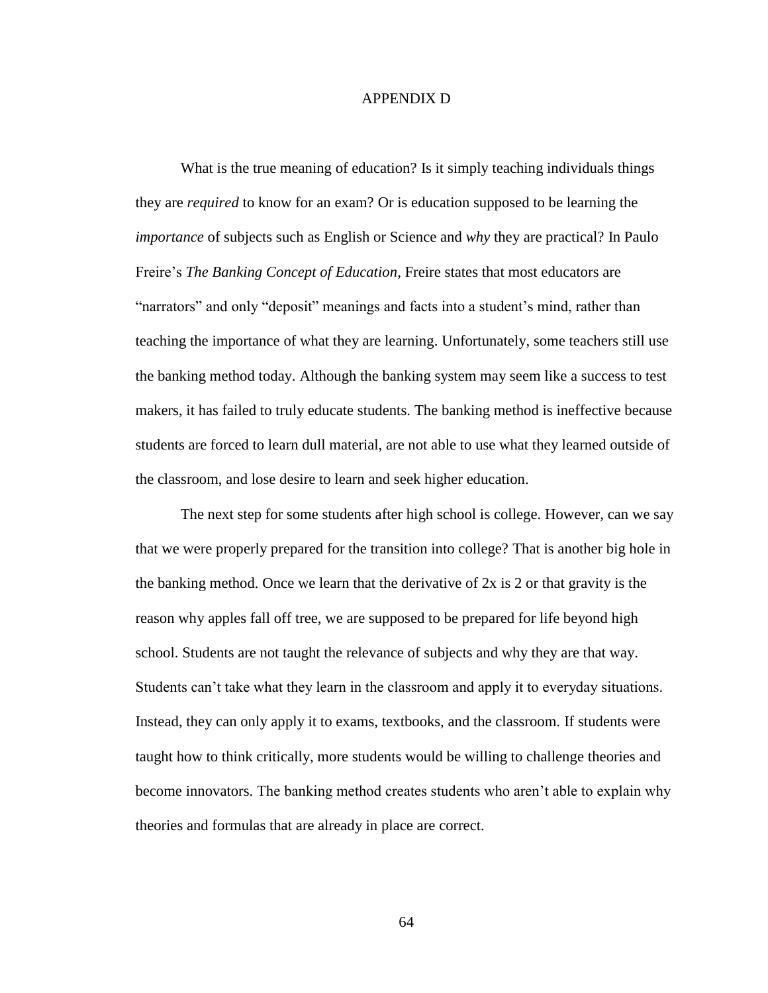## APPENDIX D

What is the true meaning of education? Is it simply teaching individuals things they are *required* to know for an exam? Or is education supposed to be learning the *importance* of subjects such as English or Science and *why* they are practical? In Paulo Freire's *The Banking Concept of Education*, Freire states that most educators are "narrators" and only "deposit" meanings and facts into a student's mind, rather than teaching the importance of what they are learning. Unfortunately, some teachers still use the banking method today. Although the banking system may seem like a success to test makers, it has failed to truly educate students. The banking method is ineffective because students are forced to learn dull material, are not able to use what they learned outside of the classroom, and lose desire to learn and seek higher education.

The next step for some students after high school is college. However, can we say that we were properly prepared for the transition into college? That is another big hole in the banking method. Once we learn that the derivative of  $2x$  is  $2$  or that gravity is the reason why apples fall off tree, we are supposed to be prepared for life beyond high school. Students are not taught the relevance of subjects and why they are that way. Students can't take what they learn in the classroom and apply it to everyday situations. Instead, they can only apply it to exams, textbooks, and the classroom. If students were taught how to think critically, more students would be willing to challenge theories and become innovators. The banking method creates students who aren't able to explain why theories and formulas that are already in place are correct.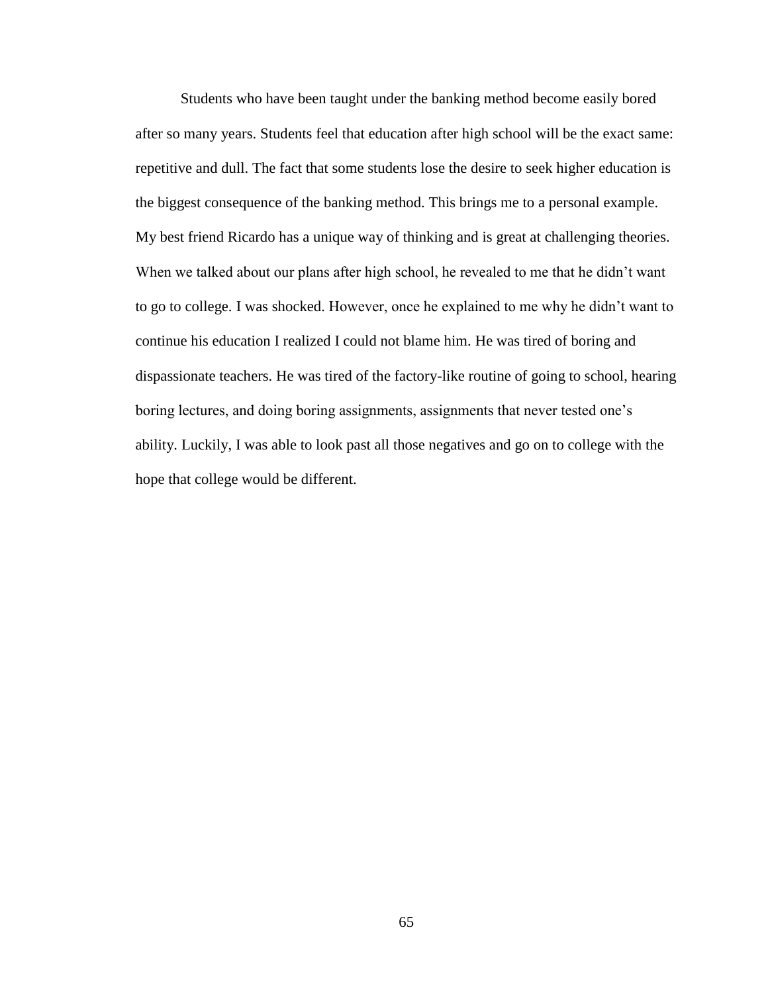Students who have been taught under the banking method become easily bored after so many years. Students feel that education after high school will be the exact same: repetitive and dull. The fact that some students lose the desire to seek higher education is the biggest consequence of the banking method. This brings me to a personal example. My best friend Ricardo has a unique way of thinking and is great at challenging theories. When we talked about our plans after high school, he revealed to me that he didn't want to go to college. I was shocked. However, once he explained to me why he didn't want to continue his education I realized I could not blame him. He was tired of boring and dispassionate teachers. He was tired of the factory-like routine of going to school, hearing boring lectures, and doing boring assignments, assignments that never tested one's ability. Luckily, I was able to look past all those negatives and go on to college with the hope that college would be different.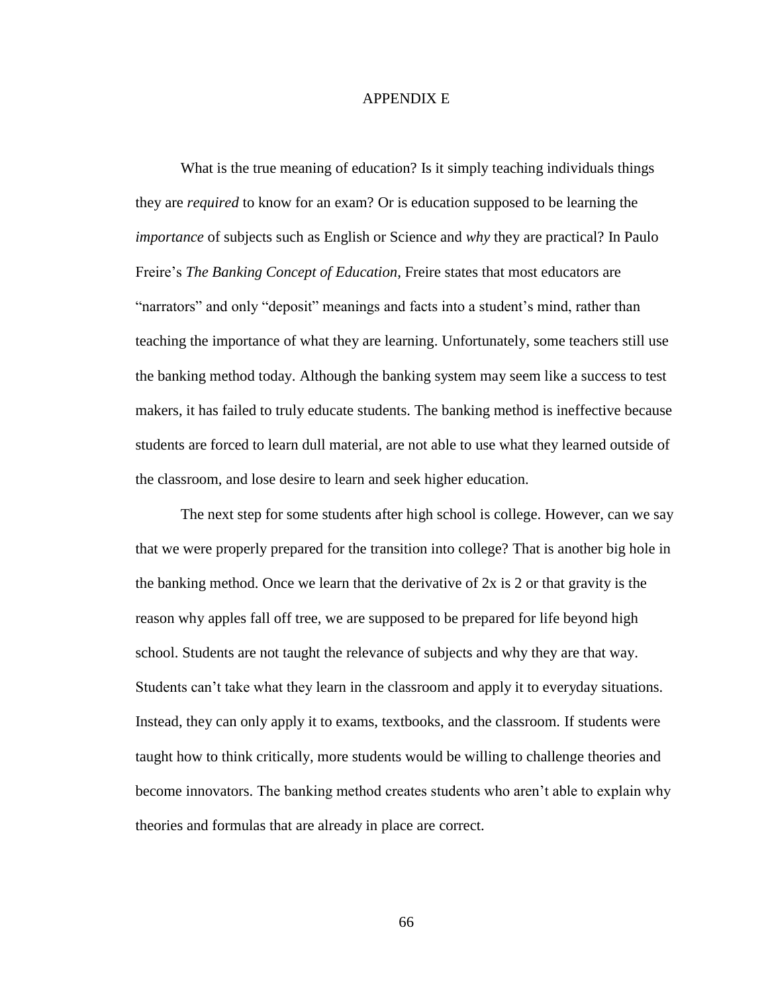## APPENDIX E

What is the true meaning of education? Is it simply teaching individuals things they are *required* to know for an exam? Or is education supposed to be learning the *importance* of subjects such as English or Science and *why* they are practical? In Paulo Freire's *The Banking Concept of Education*, Freire states that most educators are "narrators" and only "deposit" meanings and facts into a student's mind, rather than teaching the importance of what they are learning. Unfortunately, some teachers still use the banking method today. Although the banking system may seem like a success to test makers, it has failed to truly educate students. The banking method is ineffective because students are forced to learn dull material, are not able to use what they learned outside of the classroom, and lose desire to learn and seek higher education.

The next step for some students after high school is college. However, can we say that we were properly prepared for the transition into college? That is another big hole in the banking method. Once we learn that the derivative of 2x is 2 or that gravity is the reason why apples fall off tree, we are supposed to be prepared for life beyond high school. Students are not taught the relevance of subjects and why they are that way. Students can't take what they learn in the classroom and apply it to everyday situations. Instead, they can only apply it to exams, textbooks, and the classroom. If students were taught how to think critically, more students would be willing to challenge theories and become innovators. The banking method creates students who aren't able to explain why theories and formulas that are already in place are correct.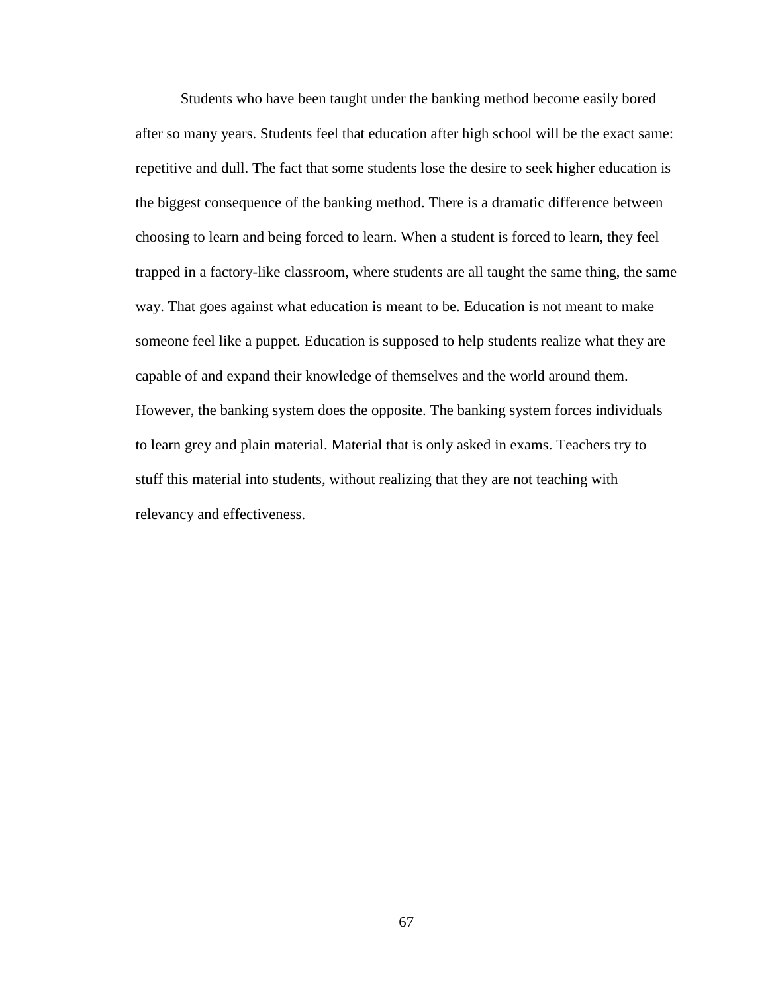Students who have been taught under the banking method become easily bored after so many years. Students feel that education after high school will be the exact same: repetitive and dull. The fact that some students lose the desire to seek higher education is the biggest consequence of the banking method. There is a dramatic difference between choosing to learn and being forced to learn. When a student is forced to learn, they feel trapped in a factory-like classroom, where students are all taught the same thing, the same way. That goes against what education is meant to be. Education is not meant to make someone feel like a puppet. Education is supposed to help students realize what they are capable of and expand their knowledge of themselves and the world around them. However, the banking system does the opposite. The banking system forces individuals to learn grey and plain material. Material that is only asked in exams. Teachers try to stuff this material into students, without realizing that they are not teaching with relevancy and effectiveness.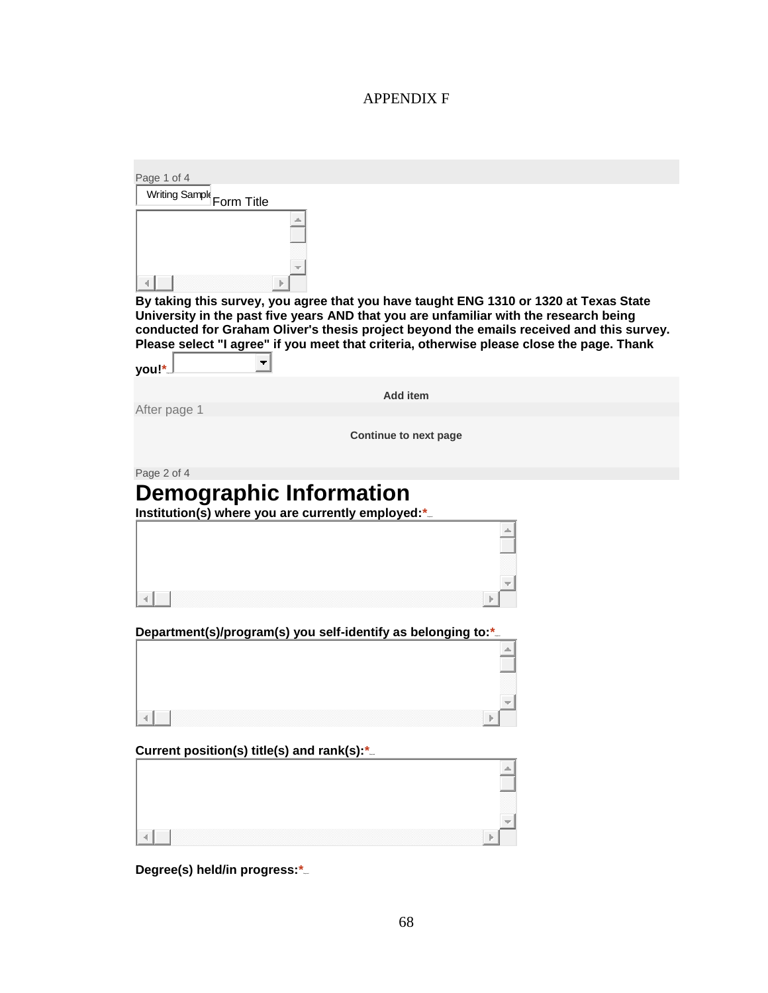# APPENDIX F

| Page 1 of 4                                                                                                                                                                    |
|--------------------------------------------------------------------------------------------------------------------------------------------------------------------------------|
| Writing Sample<br>Form Title                                                                                                                                                   |
|                                                                                                                                                                                |
| By taking this survey, you agree that you have taught ENG 1310 or 1320 at Texas State<br>University in the past five years AND that you are unfamiliar with the research being |
| conducted for Graham Oliver's thesis project beyond the emails received and this survey.                                                                                       |
| Please select "I agree" if you meet that criteria, otherwise please close the page. Thank                                                                                      |
| you!*                                                                                                                                                                          |
| <b>Add item</b>                                                                                                                                                                |
| After page 1                                                                                                                                                                   |
| <b>Continue to next page</b>                                                                                                                                                   |
| Page 2 of 4                                                                                                                                                                    |
| <b>Demographic Information</b>                                                                                                                                                 |
| Institution(s) where you are currently employed:*.                                                                                                                             |
| Department(s)/program(s) you self-identify as belonging to:*.                                                                                                                  |
|                                                                                                                                                                                |
|                                                                                                                                                                                |
|                                                                                                                                                                                |
|                                                                                                                                                                                |
| Current position(s) title(s) and rank(s):*                                                                                                                                     |
|                                                                                                                                                                                |
|                                                                                                                                                                                |
|                                                                                                                                                                                |
| Degree(s) held/in progress:*                                                                                                                                                   |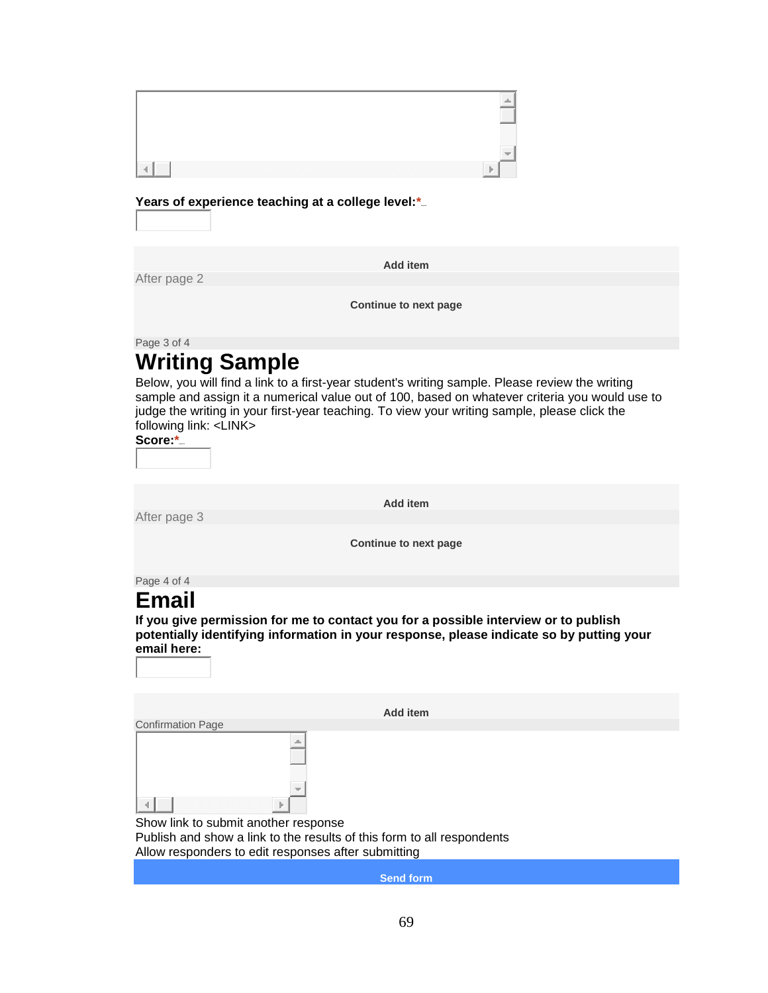| n. |  |
|----|--|

Years of experience teaching at a college level:\*...

After page 2

**Add item**

**Continue to next page**

Page 3 of 4

# **Writing Sample**

Below, you will find a link to a first-year student's writing sample. Please review the writing sample and assign it a numerical value out of 100, based on whatever criteria you would use to judge the writing in your first-year teaching. To view your writing sample, please click the following link: <LINK>

Score:\*

After page 3

**Add item**

**Continue to next page**

Page 4 of 4

# **Email**

**If you give permission for me to contact you for a possible interview or to publish potentially identifying information in your response, please indicate so by putting your email here:**

| Add item                 |  |  |  |  |  |
|--------------------------|--|--|--|--|--|
| <b>Confirmation Page</b> |  |  |  |  |  |
| $\sim$<br>Þ.             |  |  |  |  |  |

Show link to submit another response Publish and show a link to the results of this form to all respondents Allow responders to edit responses after submitting

**Send form**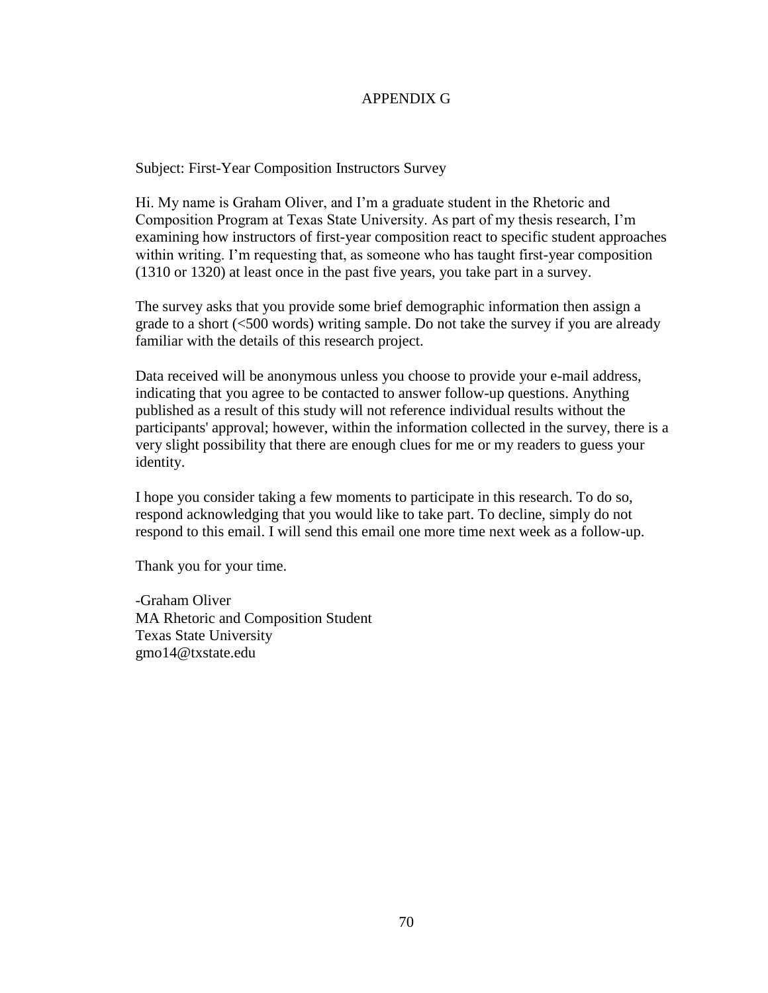#### APPENDIX G

Subject: First-Year Composition Instructors Survey

Hi. My name is Graham Oliver, and I'm a graduate student in the Rhetoric and Composition Program at Texas State University. As part of my thesis research, I'm examining how instructors of first-year composition react to specific student approaches within writing. I'm requesting that, as someone who has taught first-year composition (1310 or 1320) at least once in the past five years, you take part in a survey.

The survey asks that you provide some brief demographic information then assign a grade to a short (<500 words) writing sample. Do not take the survey if you are already familiar with the details of this research project.

Data received will be anonymous unless you choose to provide your e-mail address, indicating that you agree to be contacted to answer follow-up questions. Anything published as a result of this study will not reference individual results without the participants' approval; however, within the information collected in the survey, there is a very slight possibility that there are enough clues for me or my readers to guess your identity.

I hope you consider taking a few moments to participate in this research. To do so, respond acknowledging that you would like to take part. To decline, simply do not respond to this email. I will send this email one more time next week as a follow-up.

Thank you for your time.

-Graham Oliver MA Rhetoric and Composition Student Texas State University gmo14@txstate.edu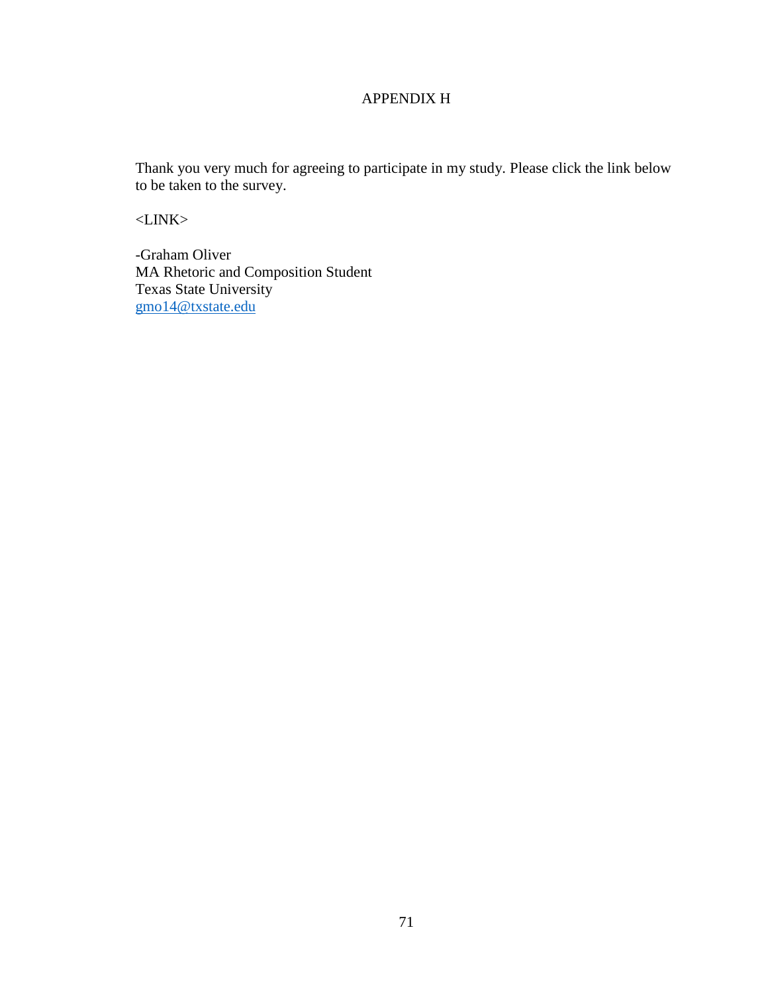#### APPENDIX H

Thank you very much for agreeing to participate in my study. Please click the link below to be taken to the survey.

<LINK>

-Graham Oliver MA Rhetoric and Composition Student Texas State University [gmo14@txstate.edu](mailto:gmo14@txstate.edu)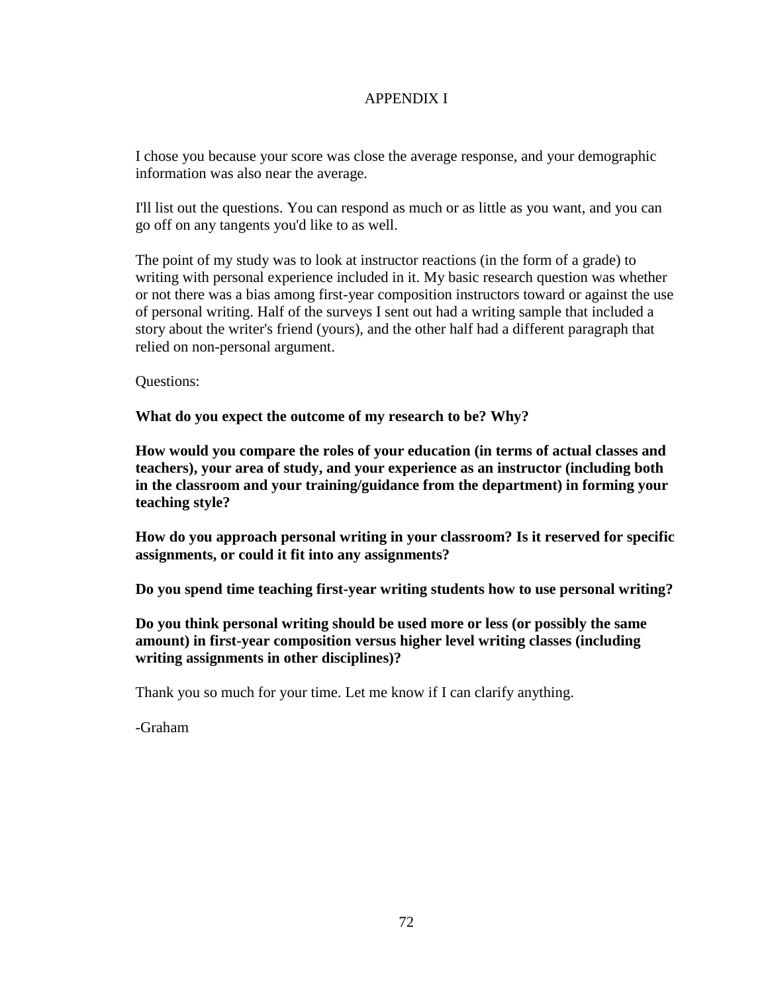### APPENDIX I

I chose you because your score was close the average response, and your demographic information was also near the average.

I'll list out the questions. You can respond as much or as little as you want, and you can go off on any tangents you'd like to as well.

The point of my study was to look at instructor reactions (in the form of a grade) to writing with personal experience included in it. My basic research question was whether or not there was a bias among first-year composition instructors toward or against the use of personal writing. Half of the surveys I sent out had a writing sample that included a story about the writer's friend (yours), and the other half had a different paragraph that relied on non-personal argument.

Questions:

**What do you expect the outcome of my research to be? Why?**

**How would you compare the roles of your education (in terms of actual classes and teachers), your area of study, and your experience as an instructor (including both in the classroom and your training/guidance from the department) in forming your teaching style?**

**How do you approach personal writing in your classroom? Is it reserved for specific assignments, or could it fit into any assignments?**

**Do you spend time teaching first-year writing students how to use personal writing?**

**Do you think personal writing should be used more or less (or possibly the same amount) in first-year composition versus higher level writing classes (including writing assignments in other disciplines)?**

Thank you so much for your time. Let me know if I can clarify anything.

-Graham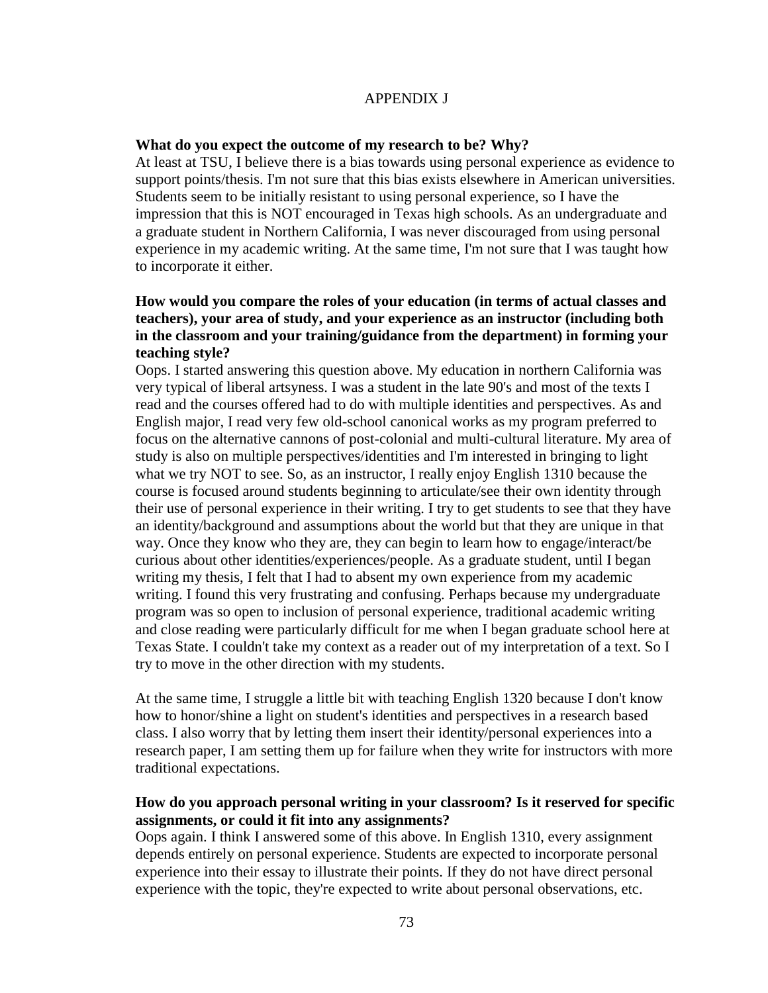#### APPENDIX J

#### **What do you expect the outcome of my research to be? Why?**

At least at TSU, I believe there is a bias towards using personal experience as evidence to support points/thesis. I'm not sure that this bias exists elsewhere in American universities. Students seem to be initially resistant to using personal experience, so I have the impression that this is NOT encouraged in Texas high schools. As an undergraduate and a graduate student in Northern California, I was never discouraged from using personal experience in my academic writing. At the same time, I'm not sure that I was taught how to incorporate it either.

#### **How would you compare the roles of your education (in terms of actual classes and teachers), your area of study, and your experience as an instructor (including both in the classroom and your training/guidance from the department) in forming your teaching style?**

Oops. I started answering this question above. My education in northern California was very typical of liberal artsyness. I was a student in the late 90's and most of the texts I read and the courses offered had to do with multiple identities and perspectives. As and English major, I read very few old-school canonical works as my program preferred to focus on the alternative cannons of post-colonial and multi-cultural literature. My area of study is also on multiple perspectives/identities and I'm interested in bringing to light what we try NOT to see. So, as an instructor, I really enjoy English 1310 because the course is focused around students beginning to articulate/see their own identity through their use of personal experience in their writing. I try to get students to see that they have an identity/background and assumptions about the world but that they are unique in that way. Once they know who they are, they can begin to learn how to engage/interact/be curious about other identities/experiences/people. As a graduate student, until I began writing my thesis, I felt that I had to absent my own experience from my academic writing. I found this very frustrating and confusing. Perhaps because my undergraduate program was so open to inclusion of personal experience, traditional academic writing and close reading were particularly difficult for me when I began graduate school here at Texas State. I couldn't take my context as a reader out of my interpretation of a text. So I try to move in the other direction with my students.

At the same time, I struggle a little bit with teaching English 1320 because I don't know how to honor/shine a light on student's identities and perspectives in a research based class. I also worry that by letting them insert their identity/personal experiences into a research paper, I am setting them up for failure when they write for instructors with more traditional expectations.

#### **How do you approach personal writing in your classroom? Is it reserved for specific assignments, or could it fit into any assignments?**

Oops again. I think I answered some of this above. In English 1310, every assignment depends entirely on personal experience. Students are expected to incorporate personal experience into their essay to illustrate their points. If they do not have direct personal experience with the topic, they're expected to write about personal observations, etc.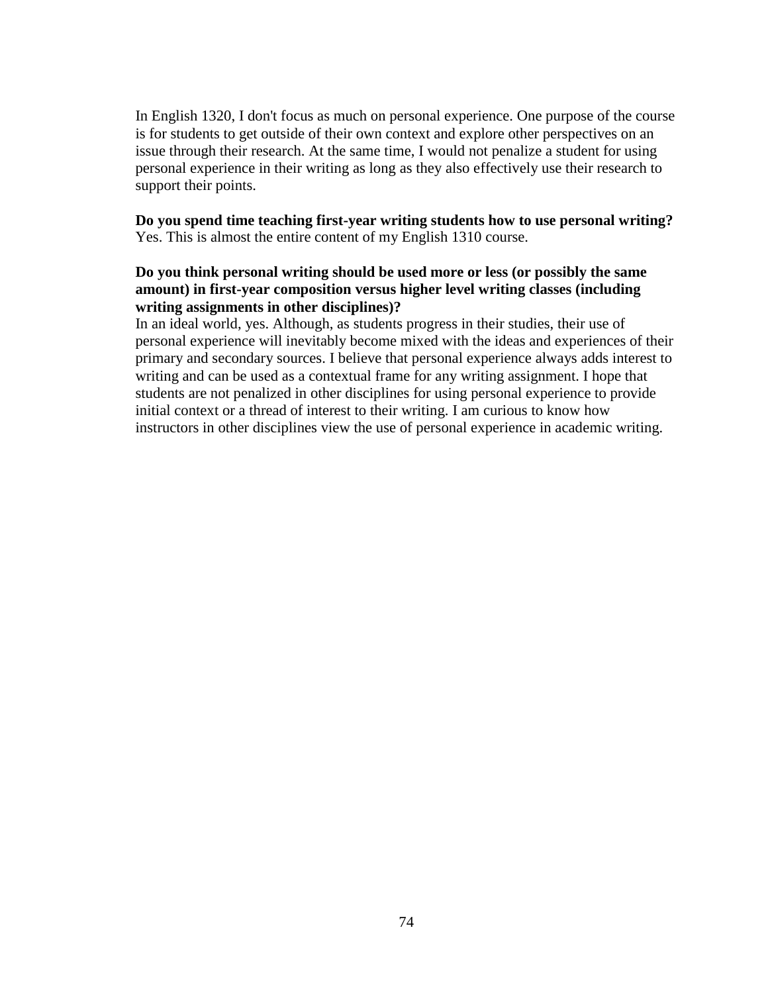In English 1320, I don't focus as much on personal experience. One purpose of the course is for students to get outside of their own context and explore other perspectives on an issue through their research. At the same time, I would not penalize a student for using personal experience in their writing as long as they also effectively use their research to support their points.

**Do you spend time teaching first-year writing students how to use personal writing?** Yes. This is almost the entire content of my English 1310 course.

#### **Do you think personal writing should be used more or less (or possibly the same amount) in first-year composition versus higher level writing classes (including writing assignments in other disciplines)?**

In an ideal world, yes. Although, as students progress in their studies, their use of personal experience will inevitably become mixed with the ideas and experiences of their primary and secondary sources. I believe that personal experience always adds interest to writing and can be used as a contextual frame for any writing assignment. I hope that students are not penalized in other disciplines for using personal experience to provide initial context or a thread of interest to their writing. I am curious to know how instructors in other disciplines view the use of personal experience in academic writing.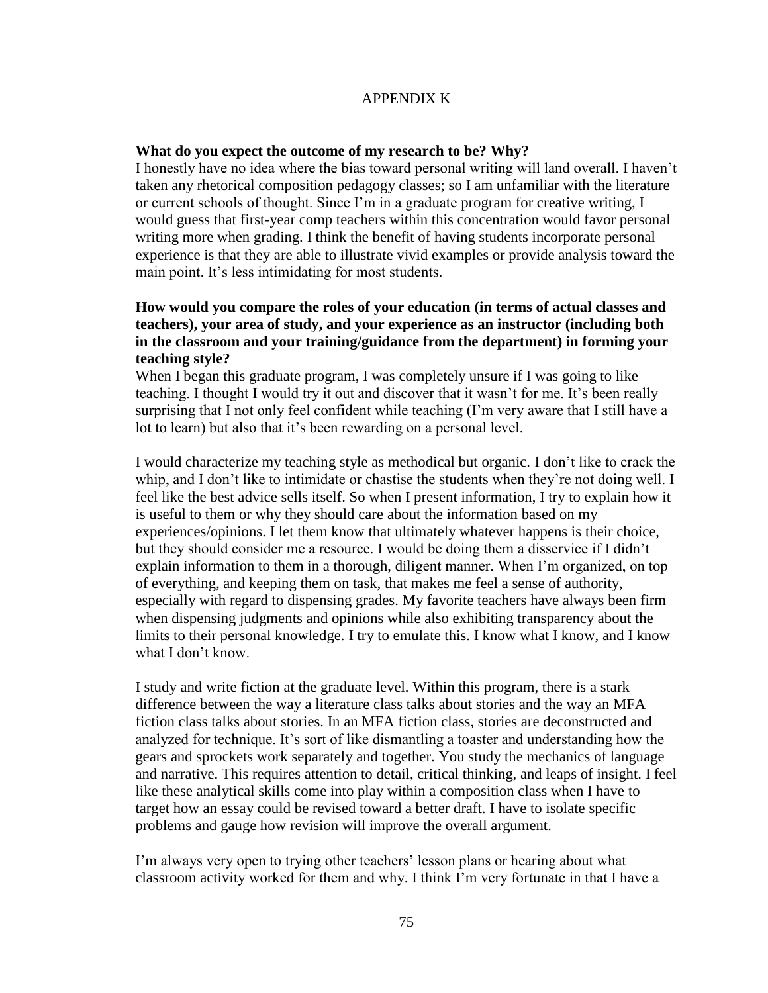#### APPENDIX K

#### **What do you expect the outcome of my research to be? Why?**

I honestly have no idea where the bias toward personal writing will land overall. I haven't taken any rhetorical composition pedagogy classes; so I am unfamiliar with the literature or current schools of thought. Since I'm in a graduate program for creative writing, I would guess that first-year comp teachers within this concentration would favor personal writing more when grading. I think the benefit of having students incorporate personal experience is that they are able to illustrate vivid examples or provide analysis toward the main point. It's less intimidating for most students.

#### **How would you compare the roles of your education (in terms of actual classes and teachers), your area of study, and your experience as an instructor (including both in the classroom and your training/guidance from the department) in forming your teaching style?**

When I began this graduate program, I was completely unsure if I was going to like teaching. I thought I would try it out and discover that it wasn't for me. It's been really surprising that I not only feel confident while teaching (I'm very aware that I still have a lot to learn) but also that it's been rewarding on a personal level.

I would characterize my teaching style as methodical but organic. I don't like to crack the whip, and I don't like to intimidate or chastise the students when they're not doing well. I feel like the best advice sells itself. So when I present information, I try to explain how it is useful to them or why they should care about the information based on my experiences/opinions. I let them know that ultimately whatever happens is their choice, but they should consider me a resource. I would be doing them a disservice if I didn't explain information to them in a thorough, diligent manner. When I'm organized, on top of everything, and keeping them on task, that makes me feel a sense of authority, especially with regard to dispensing grades. My favorite teachers have always been firm when dispensing judgments and opinions while also exhibiting transparency about the limits to their personal knowledge. I try to emulate this. I know what I know, and I know what I don't know.

I study and write fiction at the graduate level. Within this program, there is a stark difference between the way a literature class talks about stories and the way an MFA fiction class talks about stories. In an MFA fiction class, stories are deconstructed and analyzed for technique. It's sort of like dismantling a toaster and understanding how the gears and sprockets work separately and together. You study the mechanics of language and narrative. This requires attention to detail, critical thinking, and leaps of insight. I feel like these analytical skills come into play within a composition class when I have to target how an essay could be revised toward a better draft. I have to isolate specific problems and gauge how revision will improve the overall argument.

I'm always very open to trying other teachers' lesson plans or hearing about what classroom activity worked for them and why. I think I'm very fortunate in that I have a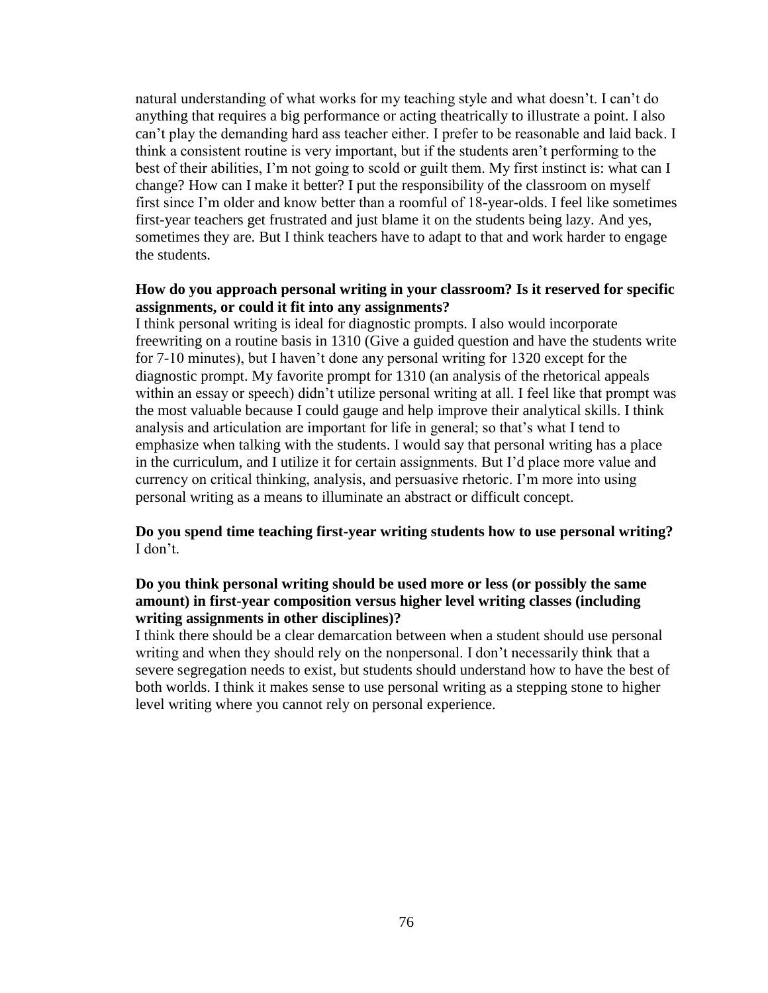natural understanding of what works for my teaching style and what doesn't. I can't do anything that requires a big performance or acting theatrically to illustrate a point. I also can't play the demanding hard ass teacher either. I prefer to be reasonable and laid back. I think a consistent routine is very important, but if the students aren't performing to the best of their abilities, I'm not going to scold or guilt them. My first instinct is: what can I change? How can I make it better? I put the responsibility of the classroom on myself first since I'm older and know better than a roomful of 18-year-olds. I feel like sometimes first-year teachers get frustrated and just blame it on the students being lazy. And yes, sometimes they are. But I think teachers have to adapt to that and work harder to engage the students.

#### **How do you approach personal writing in your classroom? Is it reserved for specific assignments, or could it fit into any assignments?**

I think personal writing is ideal for diagnostic prompts. I also would incorporate freewriting on a routine basis in 1310 (Give a guided question and have the students write for 7-10 minutes), but I haven't done any personal writing for 1320 except for the diagnostic prompt. My favorite prompt for 1310 (an analysis of the rhetorical appeals within an essay or speech) didn't utilize personal writing at all. I feel like that prompt was the most valuable because I could gauge and help improve their analytical skills. I think analysis and articulation are important for life in general; so that's what I tend to emphasize when talking with the students. I would say that personal writing has a place in the curriculum, and I utilize it for certain assignments. But I'd place more value and currency on critical thinking, analysis, and persuasive rhetoric. I'm more into using personal writing as a means to illuminate an abstract or difficult concept.

**Do you spend time teaching first-year writing students how to use personal writing?** I don't.

#### **Do you think personal writing should be used more or less (or possibly the same amount) in first-year composition versus higher level writing classes (including writing assignments in other disciplines)?**

I think there should be a clear demarcation between when a student should use personal writing and when they should rely on the nonpersonal. I don't necessarily think that a severe segregation needs to exist, but students should understand how to have the best of both worlds. I think it makes sense to use personal writing as a stepping stone to higher level writing where you cannot rely on personal experience.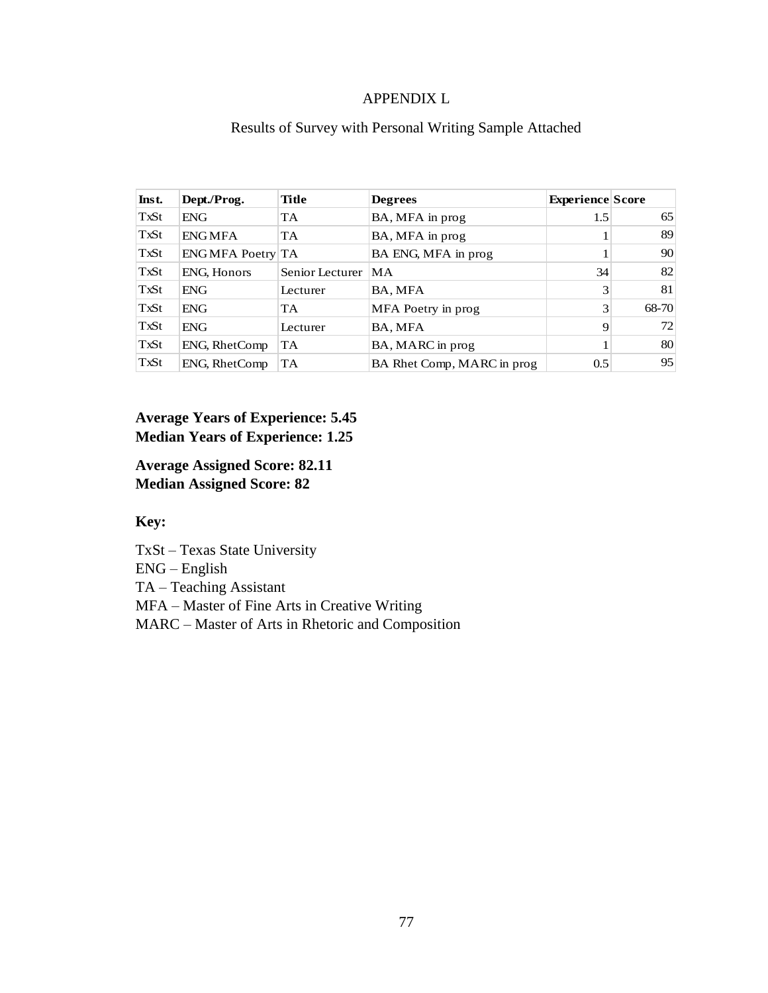#### APPENDIX L

| Inst. | Dept./Prog.        | Title           | <b>Degrees</b>             | <b>Experience Score</b> |       |
|-------|--------------------|-----------------|----------------------------|-------------------------|-------|
| TxSt  | <b>ENG</b>         | <b>TA</b>       | BA, MFA in prog            | 1.5                     | 65    |
| TxSt  | <b>ENGMFA</b>      | <b>TA</b>       | BA, MFA in prog            |                         | 89    |
| TxSt  | ENGMFA Poetry TA   |                 | BA ENG, MFA in prog        |                         | 90    |
| TxSt  | <b>ENG, Honors</b> | Senior Lecturer | MA                         | 34                      | 82    |
| TxSt  | ENG                | Lecturer        | BA, MFA                    | 3                       | 81    |
| TxSt  | <b>ENG</b>         | <b>TA</b>       | MFA Poetry in prog         | 3                       | 68-70 |
| TxSt  | <b>ENG</b>         | Lecturer        | BA, MFA                    | 9                       | 72    |
| TxSt  | ENG, RhetComp      | <b>TA</b>       | BA, MARC in prog           |                         | 80    |
| TxSt  | ENG, RhetComp      | <b>TA</b>       | BA Rhet Comp, MARC in prog | 0.5                     | 95    |

# Results of Survey with Personal Writing Sample Attached

# **Average Years of Experience: 5.45 Median Years of Experience: 1.25**

**Average Assigned Score: 82.11 Median Assigned Score: 82**

# **Key:**

TxSt – Texas State University

ENG – English

TA – Teaching Assistant

MFA – Master of Fine Arts in Creative Writing

MARC – Master of Arts in Rhetoric and Composition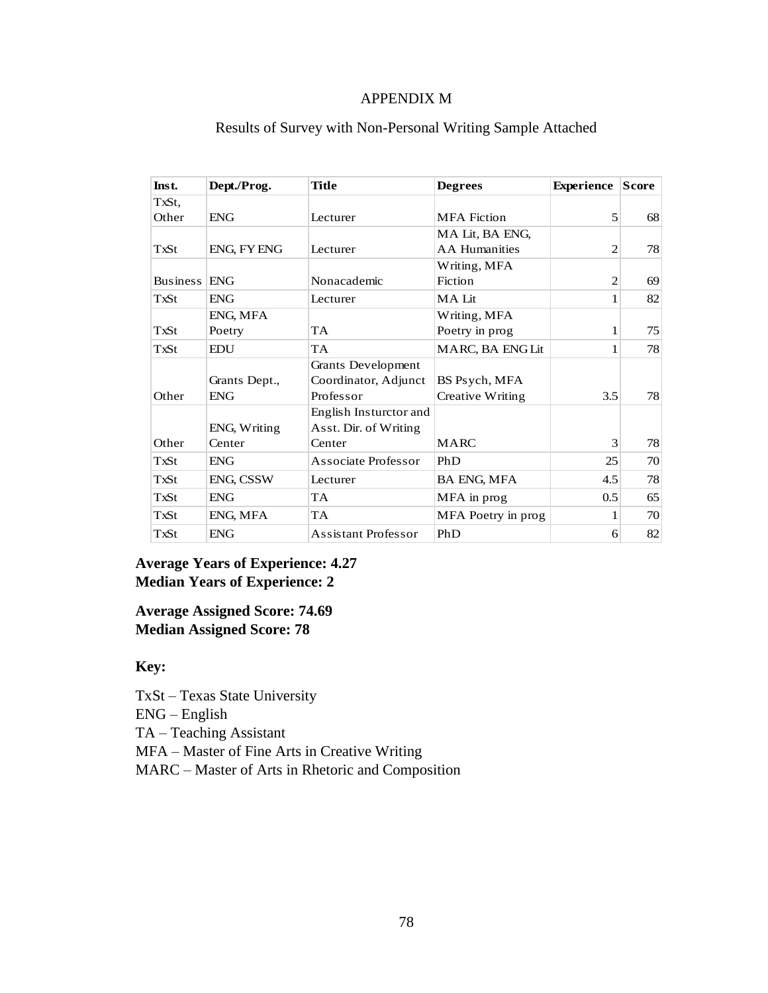### APPENDIX M

| Inst.               | Dept./Prog.   | <b>Title</b>               | <b>Degrees</b>       | <b>Experience</b> | <b>Score</b> |
|---------------------|---------------|----------------------------|----------------------|-------------------|--------------|
| TxSt.               |               |                            |                      |                   |              |
| Other               | <b>ENG</b>    | Lecturer                   | <b>MFA</b> Fiction   | 5                 | 68           |
|                     |               |                            | MA Lit, BA ENG,      |                   |              |
| TxSt                | ENG, FY ENG   | Lecturer                   | <b>AA</b> Humanities | $\overline{2}$    | 78           |
|                     |               |                            | Writing, MFA         |                   |              |
| <b>Business ENG</b> |               | Nonacademic                | Fiction              | $\overline{2}$    | 69           |
| <b>TxSt</b>         | <b>ENG</b>    | Lecturer                   | MA Lit               | 1                 | 82           |
|                     | ENG, MFA      |                            | Writing, MFA         |                   |              |
| TxSt                | Poetry        | <b>TA</b>                  | Poetry in prog       | 1                 | 75           |
| TxSt                | <b>EDU</b>    | <b>TA</b>                  | MARC, BA ENGLit      | 1                 | 78           |
|                     |               | Grants Development         |                      |                   |              |
|                     | Grants Dept., | Coordinator, Adjunct       | BS Psych, MFA        |                   |              |
| Other               | <b>ENG</b>    | Professor                  | Creative Writing     | 3.5               | 78           |
|                     |               | English Insturctor and     |                      |                   |              |
|                     | ENG, Writing  | Asst. Dir. of Writing      |                      |                   |              |
| Other               | Center        | Center                     | <b>MARC</b>          | 3                 | 78           |
| TxSt                | <b>ENG</b>    | Associate Professor        | PhD                  | 25                | 70           |
| TxSt                | ENG, CSSW     | Lecturer                   | <b>BA ENG, MFA</b>   | 4.5               | 78           |
| TxSt                | <b>ENG</b>    | <b>TA</b>                  | MFA in prog          | 0.5               | 65           |
| TxSt                | ENG, MFA      | <b>TA</b>                  | MFA Poetry in prog   | 1                 | 70           |
| TxSt                | <b>ENG</b>    | <b>Assistant Professor</b> | PhD                  | 6                 | 82           |

# Results of Survey with Non-Personal Writing Sample Attached

# **Average Years of Experience: 4.27 Median Years of Experience: 2**

**Average Assigned Score: 74.69 Median Assigned Score: 78**

#### **Key:**

- TxSt Texas State University
- ENG English

TA – Teaching Assistant

MFA – Master of Fine Arts in Creative Writing

MARC – Master of Arts in Rhetoric and Composition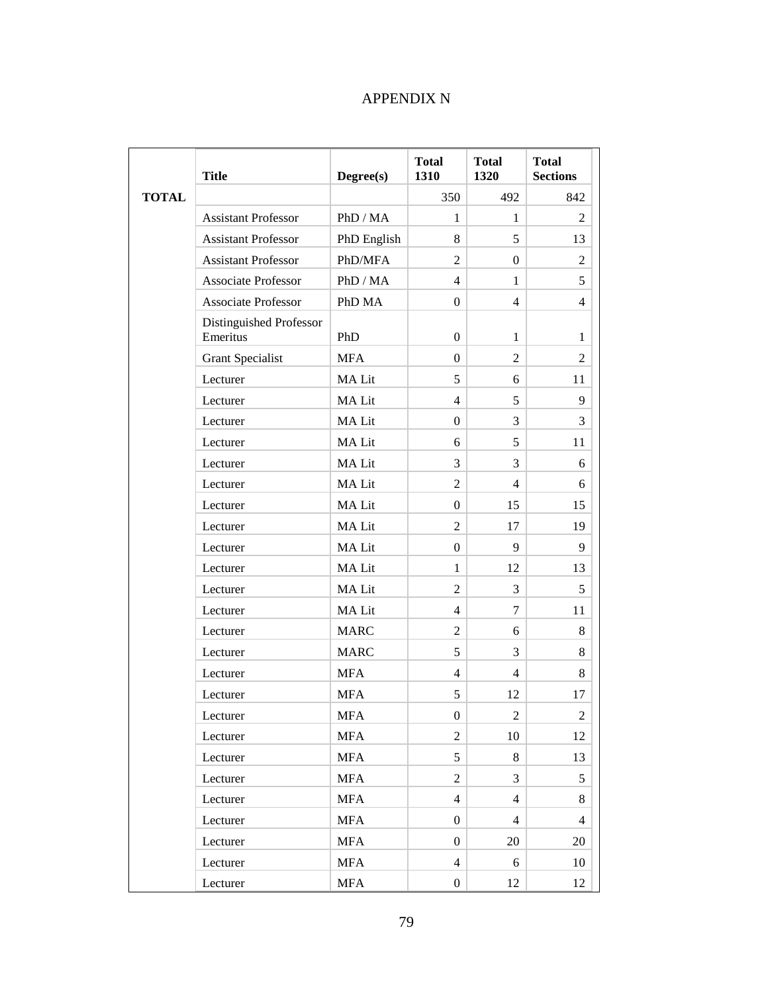# APPENDIX N

|              | <b>Title</b>                        | Degree(s)    | <b>Total</b><br>1310 | <b>Total</b><br>1320 | <b>Total</b><br><b>Sections</b> |
|--------------|-------------------------------------|--------------|----------------------|----------------------|---------------------------------|
| <b>TOTAL</b> |                                     |              | 350                  | 492                  | 842                             |
|              | <b>Assistant Professor</b>          | PhD / MA     | 1                    | $\mathbf{1}$         | 2                               |
|              | <b>Assistant Professor</b>          | PhD English  | 8                    | 5                    | 13                              |
|              | <b>Assistant Professor</b>          | PhD/MFA      | $\overline{2}$       | $\overline{0}$       | $\overline{2}$                  |
|              | <b>Associate Professor</b>          | PhD / MA     | $\overline{4}$       | $\mathbf{1}$         | 5                               |
|              | <b>Associate Professor</b>          | PhD MA       | $\overline{0}$       | 4                    | $\overline{4}$                  |
|              | Distinguished Professor<br>Emeritus | PhD          | $\mathbf{0}$         | 1                    | 1                               |
|              | <b>Grant Specialist</b>             | <b>MFA</b>   | $\overline{0}$       | $\overline{2}$       | 2                               |
|              | Lecturer                            | MA Lit       | 5                    | 6                    | 11                              |
|              | Lecturer                            | MA Lit       | $\overline{4}$       | 5                    | 9                               |
|              | Lecturer                            | MA Lit       | $\mathbf{0}$         | 3                    | 3                               |
|              | Lecturer                            | <b>MALit</b> | 6                    | 5                    | 11                              |
|              | Lecturer                            | MA Lit       | 3                    | 3                    | 6                               |
|              | Lecturer                            | MA Lit       | $\overline{2}$       | 4                    | 6                               |
|              | Lecturer                            | MA Lit       | $\overline{0}$       | 15                   | 15                              |
|              | Lecturer                            | MA Lit       | $\overline{2}$       | 17                   | 19                              |
|              | Lecturer                            | MA Lit       | $\mathbf{0}$         | 9                    | 9                               |
|              | Lecturer                            | MA Lit       | $\mathbf{1}$         | 12                   | 13                              |
|              | Lecturer                            | MA Lit       | $\overline{2}$       | 3                    | 5                               |
|              | Lecturer                            | MA Lit       | $\overline{4}$       | $\tau$               | 11                              |
|              | Lecturer                            | <b>MARC</b>  | $\mathfrak{2}$       | 6                    | 8                               |
|              | Lecturer                            | <b>MARC</b>  | 5                    | 3                    | 8                               |
|              | Lecturer                            | <b>MFA</b>   | $\overline{4}$       | $\overline{4}$       | 8                               |
|              | Lecturer                            | <b>MFA</b>   | 5                    | 12                   | 17                              |
|              | Lecturer                            | <b>MFA</b>   | $\mathbf{0}$         | $\overline{2}$       | $\overline{2}$                  |
|              | Lecturer                            | <b>MFA</b>   | $\overline{2}$       | 10                   | 12                              |
|              | Lecturer                            | <b>MFA</b>   | 5                    | 8                    | 13                              |
|              | Lecturer                            | <b>MFA</b>   | $\overline{2}$       | 3                    | 5                               |
|              | Lecturer                            | <b>MFA</b>   | $\overline{4}$       | $\overline{4}$       | 8                               |
|              | Lecturer                            | <b>MFA</b>   | $\overline{0}$       | $\overline{4}$       | $\overline{4}$                  |
|              | Lecturer                            | <b>MFA</b>   | $\overline{0}$       | 20                   | 20                              |
|              | Lecturer                            | ${\rm MFA}$  | $\overline{4}$       | 6                    | 10                              |
|              | Lecturer                            | <b>MFA</b>   | $\boldsymbol{0}$     | 12                   | 12                              |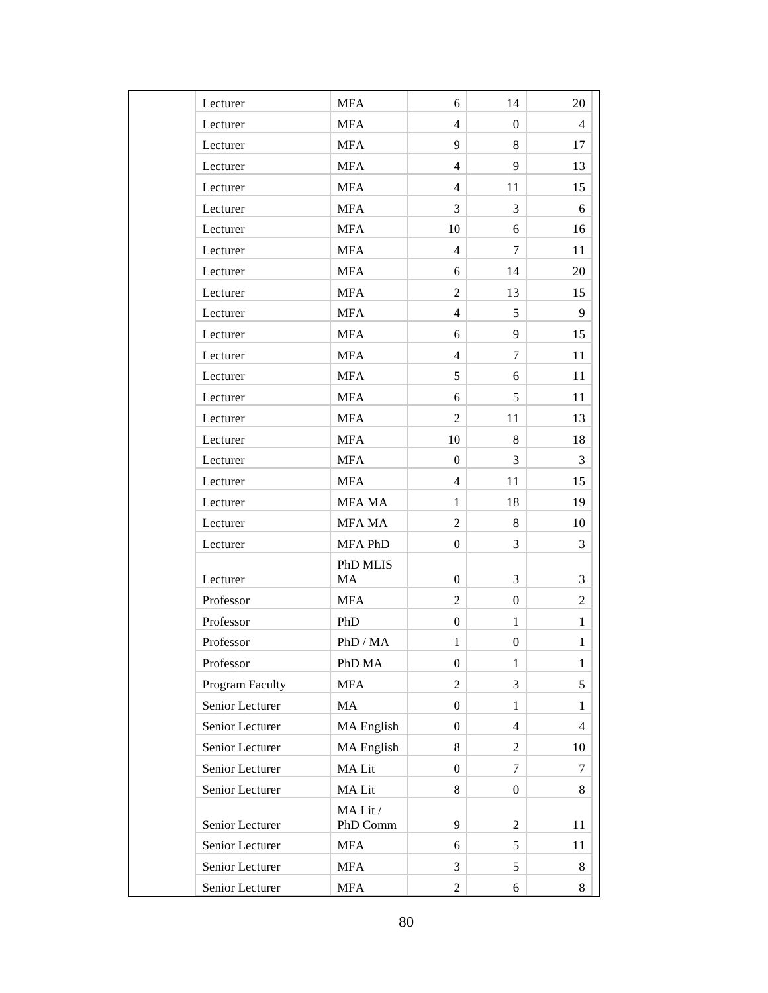| Lecturer        | <b>MFA</b>           | 6                | 14               | 20             |
|-----------------|----------------------|------------------|------------------|----------------|
| Lecturer        | <b>MFA</b>           | $\overline{4}$   | $\overline{0}$   | $\overline{4}$ |
| Lecturer        | <b>MFA</b>           | 9                | 8                | 17             |
| Lecturer        | <b>MFA</b>           | $\overline{4}$   | 9                | 13             |
| Lecturer        | <b>MFA</b>           | $\overline{4}$   | 11               | 15             |
| Lecturer        | <b>MFA</b>           | 3                | 3                | 6              |
| Lecturer        | <b>MFA</b>           | 10               | 6                | 16             |
| Lecturer        | <b>MFA</b>           | $\overline{4}$   | 7                | 11             |
| Lecturer        | <b>MFA</b>           | 6                | 14               | 20             |
| Lecturer        | <b>MFA</b>           | $\overline{c}$   | 13               | 15             |
| Lecturer        | <b>MFA</b>           | $\overline{4}$   | 5                | 9              |
| Lecturer        | <b>MFA</b>           | 6                | 9                | 15             |
| Lecturer        | <b>MFA</b>           | $\overline{4}$   | 7                | 11             |
| Lecturer        | <b>MFA</b>           | 5                | 6                | 11             |
| Lecturer        | <b>MFA</b>           | 6                | 5                | 11             |
| Lecturer        | <b>MFA</b>           | $\overline{2}$   | 11               | 13             |
| Lecturer        | <b>MFA</b>           | 10               | 8                | 18             |
| Lecturer        | <b>MFA</b>           | $\boldsymbol{0}$ | 3                | 3              |
| Lecturer        | <b>MFA</b>           | $\overline{4}$   | 11               | 15             |
| Lecturer        | MFA MA               | $\mathbf{1}$     | 18               | 19             |
| Lecturer        | MFA MA               | $\overline{2}$   | 8                | 10             |
| Lecturer        | MFA PhD              | $\boldsymbol{0}$ | 3                | 3              |
|                 | PhD MLIS             |                  |                  |                |
| Lecturer        | MA                   | $\overline{0}$   | 3                | 3              |
| Professor       | <b>MFA</b>           | $\overline{2}$   | $\overline{0}$   | $\overline{2}$ |
| Professor       | PhD                  | $\boldsymbol{0}$ | $\mathbf{1}$     | $\mathbf{1}$   |
| Professor       | PhD / MA             | $\mathbf{1}$     | $\boldsymbol{0}$ | $\mathbf{1}$   |
| Professor       | PhD MA               | $\boldsymbol{0}$ | $\mathbf{1}$     | $\mathbf{1}$   |
| Program Faculty | ${\rm MFA}$          | $\overline{2}$   | 3                | 5              |
| Senior Lecturer | $\rm MA$             | $\boldsymbol{0}$ | $\mathbf{1}$     | $\mathbf{1}$   |
| Senior Lecturer | MA English           | $\boldsymbol{0}$ | $\overline{4}$   | $\overline{4}$ |
| Senior Lecturer | MA English           | 8                | $\overline{c}$   | 10             |
| Senior Lecturer | MA Lit               | $\boldsymbol{0}$ | 7                | 7              |
| Senior Lecturer | MA Lit               | 8                | $\boldsymbol{0}$ | 8              |
| Senior Lecturer | MA Lit /<br>PhD Comm | 9                | $\overline{c}$   | 11             |
| Senior Lecturer | <b>MFA</b>           | 6                | 5                | 11             |
| Senior Lecturer | <b>MFA</b>           | 3                | 5                | 8              |
| Senior Lecturer | <b>MFA</b>           | $\overline{c}$   | 6                | 8              |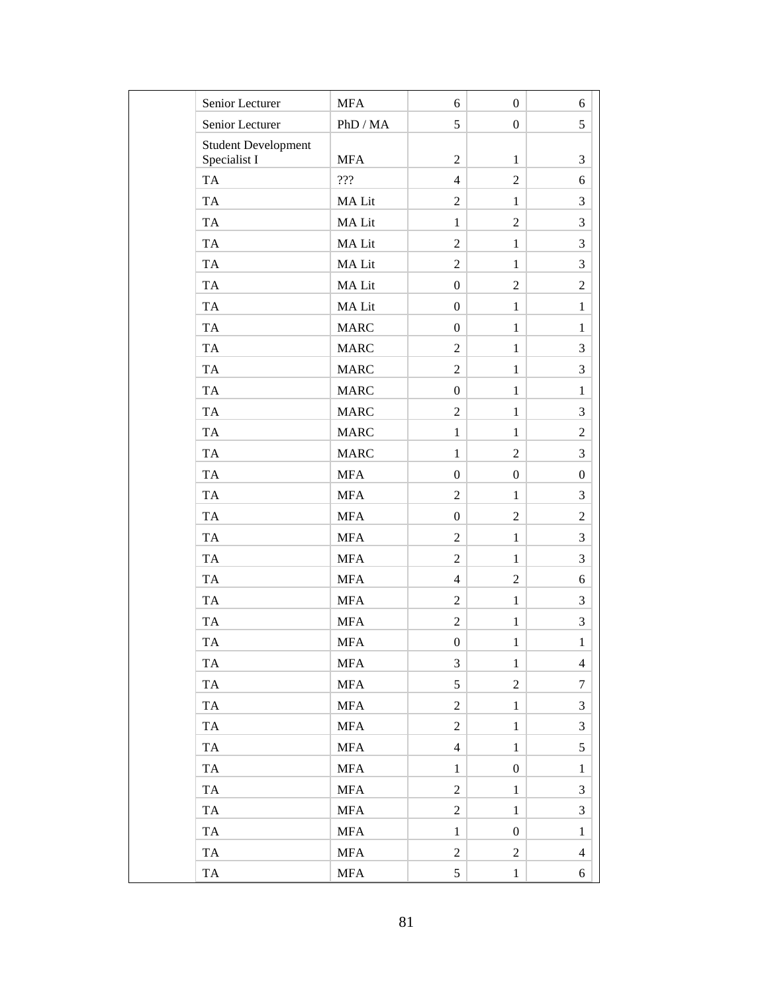| Senior Lecturer                            | <b>MFA</b>           | 6                | $\overline{0}$   | 6                        |
|--------------------------------------------|----------------------|------------------|------------------|--------------------------|
| Senior Lecturer                            | PhD / MA             | 5                | $\overline{0}$   | 5                        |
| <b>Student Development</b><br>Specialist I | <b>MFA</b>           | $\overline{2}$   | $\mathbf{1}$     | 3                        |
| TA                                         | 222                  | $\overline{4}$   | $\overline{2}$   | 6                        |
| <b>TA</b>                                  | MA Lit               | $\overline{2}$   | $\mathbf{1}$     | 3                        |
| <b>TA</b>                                  | MA Lit               | $\mathbf{1}$     | $\overline{2}$   | 3                        |
| <b>TA</b>                                  | MA Lit               | $\overline{2}$   | $\mathbf{1}$     | 3                        |
| TA                                         | MA Lit               | $\overline{2}$   | $\mathbf{1}$     | 3                        |
| <b>TA</b>                                  | MA Lit               | $\boldsymbol{0}$ | 2                | $\overline{2}$           |
| <b>TA</b>                                  | MA Lit               | $\boldsymbol{0}$ | $\mathbf{1}$     | $\mathbf{1}$             |
| <b>TA</b>                                  | <b>MARC</b>          | $\boldsymbol{0}$ | $\mathbf{1}$     | $\mathbf{1}$             |
| <b>TA</b>                                  | <b>MARC</b>          | $\overline{2}$   | $\mathbf{1}$     | 3                        |
| TA                                         | <b>MARC</b>          | $\overline{2}$   | $\mathbf{1}$     | 3                        |
| <b>TA</b>                                  | <b>MARC</b>          | $\boldsymbol{0}$ | $\mathbf{1}$     | $\mathbf{1}$             |
| <b>TA</b>                                  | <b>MARC</b>          | $\overline{2}$   | $\mathbf{1}$     | 3                        |
| <b>TA</b>                                  | <b>MARC</b>          | $\mathbf{1}$     | $\mathbf{1}$     | $\overline{2}$           |
| <b>TA</b>                                  | <b>MARC</b>          | $\mathbf{1}$     | $\overline{2}$   | 3                        |
| <b>TA</b>                                  | <b>MFA</b>           | $\overline{0}$   | $\boldsymbol{0}$ | $\overline{0}$           |
| <b>TA</b>                                  | <b>MFA</b>           | $\overline{c}$   | $\mathbf{1}$     | 3                        |
| <b>TA</b>                                  | <b>MFA</b>           | $\boldsymbol{0}$ | $\overline{2}$   | $\overline{2}$           |
| TA                                         | <b>MFA</b>           | $\overline{2}$   | $\mathbf{1}$     | 3                        |
| TA                                         | <b>MFA</b>           | $\overline{2}$   | $\mathbf{1}$     | 3                        |
| TA                                         | <b>MFA</b>           | $\overline{4}$   | $\overline{2}$   | 6                        |
| <b>TA</b>                                  | <b>MFA</b>           | $\overline{2}$   | $\mathbf{1}$     | 3                        |
| <b>TA</b>                                  | <b>MFA</b>           | $\sqrt{2}$       | $\mathbf{1}$     | 3                        |
| TA                                         | <b>MFA</b>           | $\boldsymbol{0}$ | $\mathbf{1}$     | $\,1\,$                  |
| <b>TA</b>                                  | <b>MFA</b>           | 3                | $\mathbf{1}$     | $\overline{\mathcal{A}}$ |
| <b>TA</b>                                  | $\operatorname{MFA}$ | 5                | $\overline{2}$   | 7                        |
| <b>TA</b>                                  | <b>MFA</b>           | $\overline{2}$   | $\mathbf{1}$     | 3                        |
| <b>TA</b>                                  | $\operatorname{MFA}$ | $\sqrt{2}$       | $\mathbf{1}$     | 3                        |
| <b>TA</b>                                  | <b>MFA</b>           | $\overline{4}$   | $\mathbf{1}$     | 5                        |
| <b>TA</b>                                  | <b>MFA</b>           | $\mathbf{1}$     | $\boldsymbol{0}$ | $\mathbf{1}$             |
| <b>TA</b>                                  | <b>MFA</b>           | $\overline{2}$   | $\mathbf{1}$     | 3                        |
| <b>TA</b>                                  | $\operatorname{MFA}$ | $\mathbf{2}$     | $\mathbf{1}$     | 3                        |
| <b>TA</b>                                  | <b>MFA</b>           | $\,1$            | $\boldsymbol{0}$ | $\mathbf{1}$             |
| <b>TA</b>                                  | <b>MFA</b>           | $\overline{c}$   | $\overline{2}$   | 4                        |
| TA                                         | <b>MFA</b>           | 5                | $\mathbf{1}$     | 6                        |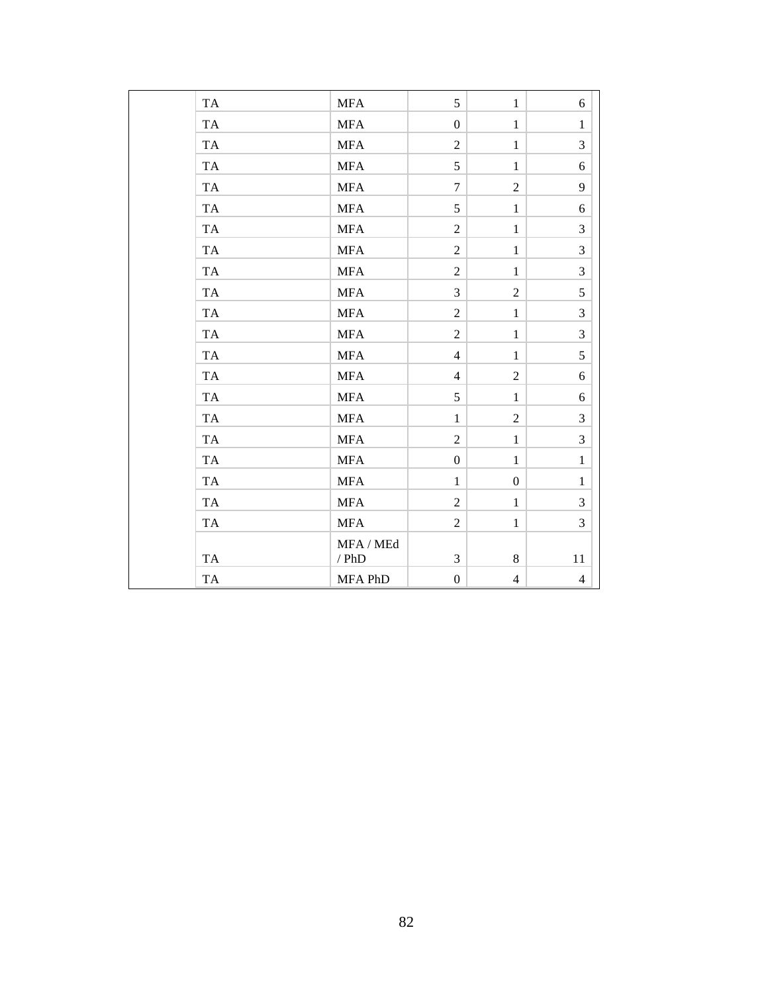| TA        | <b>MFA</b>  | 5                | $\mathbf{1}$     | 6              |
|-----------|-------------|------------------|------------------|----------------|
| TA        | <b>MFA</b>  | $\boldsymbol{0}$ | $\mathbf{1}$     | $\mathbf{1}$   |
| TA        | <b>MFA</b>  | $\overline{2}$   | $\mathbf{1}$     | 3              |
| TA        | ${\rm MFA}$ | 5                | $\mathbf{1}$     | 6              |
| TA        | <b>MFA</b>  | $\overline{7}$   | $\overline{c}$   | 9              |
| TA        | <b>MFA</b>  | 5                | $\mathbf{1}$     | 6              |
| <b>TA</b> | <b>MFA</b>  | $\overline{2}$   | $\mathbf{1}$     | 3              |
| TA        | <b>MFA</b>  | $\overline{2}$   | $\mathbf{1}$     | 3              |
| <b>TA</b> | <b>MFA</b>  | $\overline{2}$   | $\mathbf{1}$     | 3              |
| <b>TA</b> | <b>MFA</b>  | $\overline{3}$   | $\overline{2}$   | 5              |
| <b>TA</b> | <b>MFA</b>  | $\overline{2}$   | $\mathbf{1}$     | 3              |
| <b>TA</b> | <b>MFA</b>  | $\overline{2}$   | $\mathbf{1}$     | $\overline{3}$ |
| <b>TA</b> | <b>MFA</b>  | $\overline{4}$   | $\mathbf{1}$     | 5              |
| <b>TA</b> | <b>MFA</b>  | $\overline{4}$   | $\overline{2}$   | 6              |
| TA        | <b>MFA</b>  | 5                | $\mathbf{1}$     | 6              |
| <b>TA</b> | <b>MFA</b>  | $\mathbf{1}$     | $\overline{2}$   | 3              |
| TA        | <b>MFA</b>  | $\overline{2}$   | $\mathbf{1}$     | $\mathfrak{Z}$ |
| <b>TA</b> | <b>MFA</b>  | $\boldsymbol{0}$ | $\mathbf{1}$     | $\mathbf{1}$   |
| <b>TA</b> | <b>MFA</b>  | $\mathbf{1}$     | $\boldsymbol{0}$ | $\mathbf{1}$   |
| <b>TA</b> | <b>MFA</b>  | $\overline{2}$   | $\mathbf{1}$     | 3              |
| <b>TA</b> | <b>MFA</b>  | $\overline{2}$   | $\mathbf{1}$     | $\overline{3}$ |
|           | MFA / MEd   |                  |                  |                |
| TA        | $/$ PhD     | 3                | 8                | 11             |
| <b>TA</b> | MFA PhD     | $\boldsymbol{0}$ | $\overline{4}$   | $\overline{4}$ |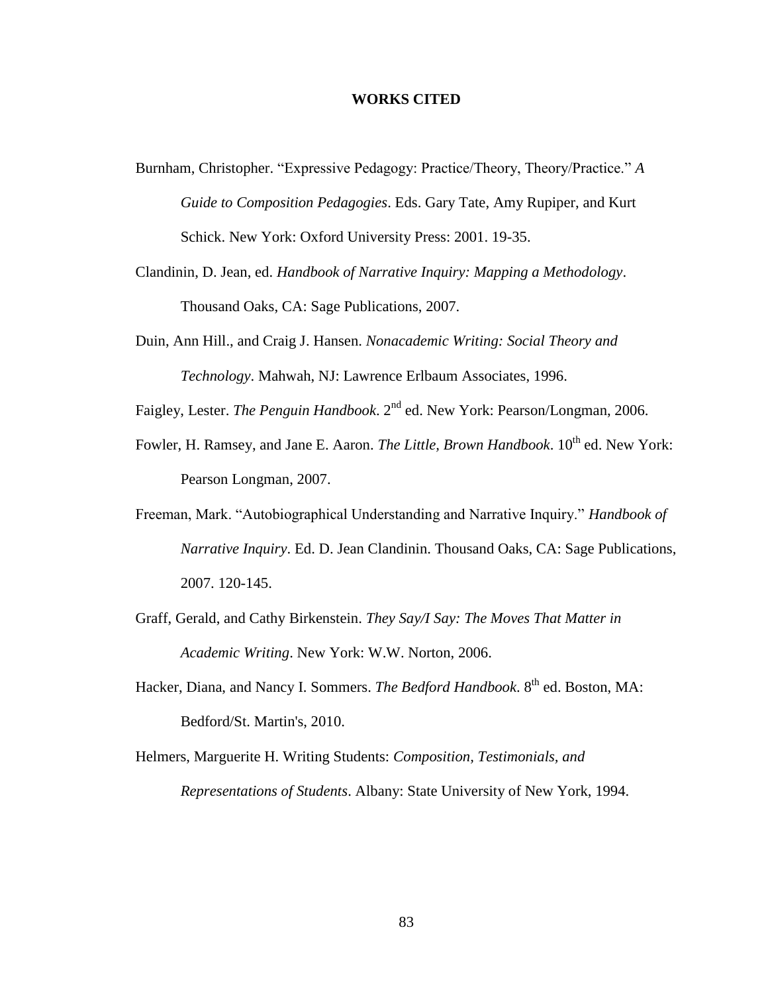#### **WORKS CITED**

- Burnham, Christopher. "Expressive Pedagogy: Practice/Theory, Theory/Practice." *A Guide to Composition Pedagogies*. Eds. Gary Tate, Amy Rupiper, and Kurt Schick. New York: Oxford University Press: 2001. 19-35.
- Clandinin, D. Jean, ed. *Handbook of Narrative Inquiry: Mapping a Methodology*. Thousand Oaks, CA: Sage Publications, 2007.
- Duin, Ann Hill., and Craig J. Hansen. *Nonacademic Writing: Social Theory and Technology*. Mahwah, NJ: Lawrence Erlbaum Associates, 1996.
- Faigley, Lester. *The Penguin Handbook*. 2<sup>nd</sup> ed. New York: Pearson/Longman, 2006.
- Fowler, H. Ramsey, and Jane E. Aaron. *The Little, Brown Handbook*.  $10^{th}$  ed. New York: Pearson Longman, 2007.
- Freeman, Mark. "Autobiographical Understanding and Narrative Inquiry." *Handbook of Narrative Inquiry*. Ed. D. Jean Clandinin. Thousand Oaks, CA: Sage Publications, 2007. 120-145.
- Graff, Gerald, and Cathy Birkenstein. *They Say/I Say: The Moves That Matter in Academic Writing*. New York: W.W. Norton, 2006.
- Hacker, Diana, and Nancy I. Sommers. *The Bedford Handbook*. 8<sup>th</sup> ed. Boston, MA: Bedford/St. Martin's, 2010.
- Helmers, Marguerite H. Writing Students: *Composition, Testimonials, and Representations of Students*. Albany: State University of New York, 1994.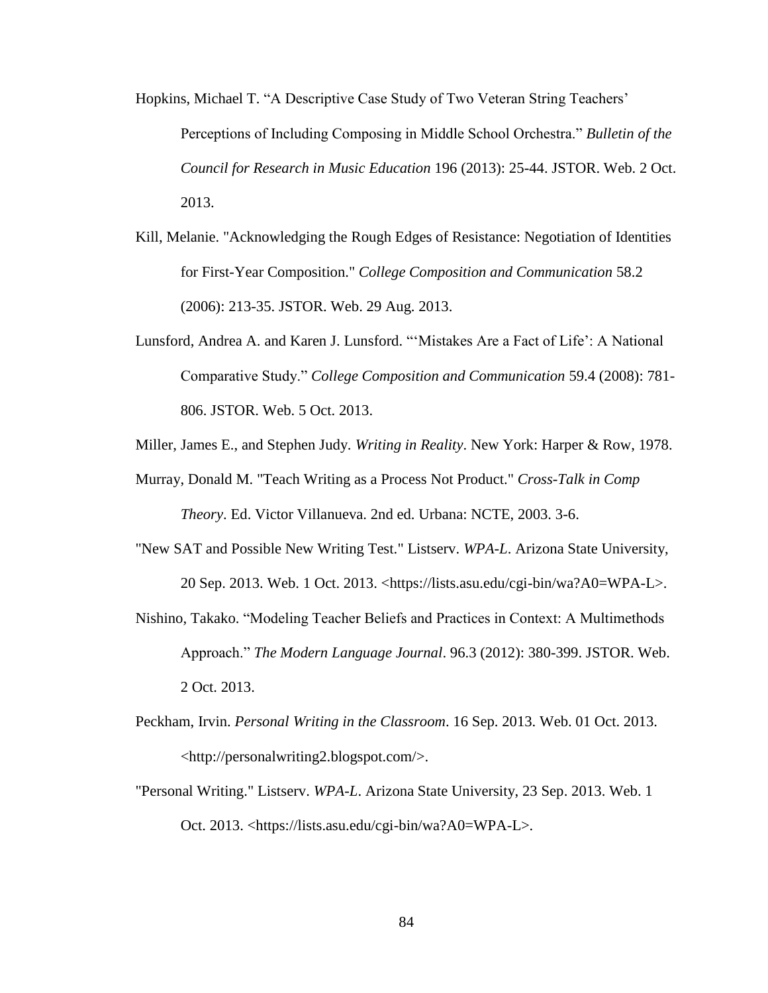- Hopkins, Michael T. "A Descriptive Case Study of Two Veteran String Teachers' Perceptions of Including Composing in Middle School Orchestra." *Bulletin of the Council for Research in Music Education* 196 (2013): 25-44. JSTOR. Web. 2 Oct. 2013.
- Kill, Melanie. "Acknowledging the Rough Edges of Resistance: Negotiation of Identities for First-Year Composition." *College Composition and Communication* 58.2 (2006): 213-35. JSTOR. Web. 29 Aug. 2013.
- Lunsford, Andrea A. and Karen J. Lunsford. "'Mistakes Are a Fact of Life': A National Comparative Study." *College Composition and Communication* 59.4 (2008): 781- 806. JSTOR. Web. 5 Oct. 2013.
- Miller, James E., and Stephen Judy. *Writing in Reality*. New York: Harper & Row, 1978.
- Murray, Donald M. "Teach Writing as a Process Not Product." *Cross-Talk in Comp Theory*. Ed. Victor Villanueva. 2nd ed. Urbana: NCTE, 2003. 3-6.
- "New SAT and Possible New Writing Test." Listserv. *WPA-L*. Arizona State University, 20 Sep. 2013. Web. 1 Oct. 2013. <https://lists.asu.edu/cgi-bin/wa?A0=WPA-L>.
- Nishino, Takako. "Modeling Teacher Beliefs and Practices in Context: A Multimethods Approach." *The Modern Language Journal*. 96.3 (2012): 380-399. JSTOR. Web. 2 Oct. 2013.
- Peckham, Irvin. *Personal Writing in the Classroom*. 16 Sep. 2013. Web. 01 Oct. 2013. <http://personalwriting2.blogspot.com/>.
- "Personal Writing." Listserv. *WPA-L*. Arizona State University, 23 Sep. 2013. Web. 1 Oct. 2013. <https://lists.asu.edu/cgi-bin/wa?A0=WPA-L>.